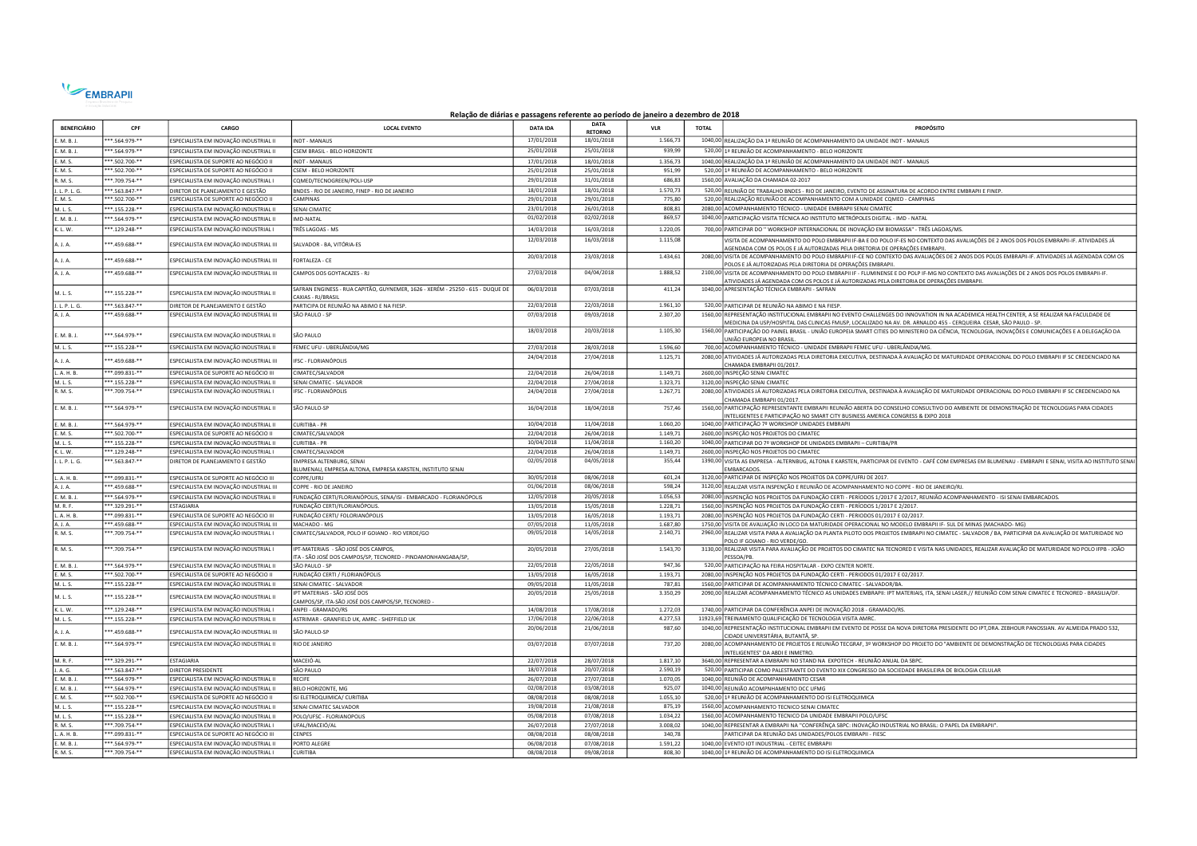

## Relação de diárias e passagens referente ao período de janeiro a dezembro de 2018

| <b>BENEFICIÁRIO</b>    | <b>CPF</b>                   | CARGO                                                                          | <b>LOCAL EVENTO</b>                                                                                | <b>DATA IDA</b>          | <b>DATA</b><br><b>RETORNO</b> | <b>VLR</b>         | <b>TOTAL</b> | <b>PROPÓSITO</b>                                                                                                                                                                                                                                                  |
|------------------------|------------------------------|--------------------------------------------------------------------------------|----------------------------------------------------------------------------------------------------|--------------------------|-------------------------------|--------------------|--------------|-------------------------------------------------------------------------------------------------------------------------------------------------------------------------------------------------------------------------------------------------------------------|
| M. B. J.               | **.564.979-**                | SPECIALISTA EM INOVAÇÃO INDUSTRIAL II                                          | <b>NDT - MANAUS</b>                                                                                | 17/01/2018               | 18/01/2018                    | 1.566.73           |              | 1040,00 REALIZAÇÃO DA 1ª REUNIÃO DE ACOMPANHAMENTO DA UNIDADE INDT - MANAUS                                                                                                                                                                                       |
| .M.B.J                 | **.564.979-**                | ESPECIALISTA EM INOVAÇÃO INDUSTRIAL II                                         | CSEM BRASIL - BELO HORIZONTE                                                                       | 25/01/2018               | 25/01/2018                    | 939,99             |              | 520,00 1ª REUNIÃO DE ACOMPANHAMENTO - BELO HORIZONTE                                                                                                                                                                                                              |
| E. M. S.               | **.502.700-**                | ESPECIALISTA DE SUPORTE AO NEGÓCIO II                                          | <b>INDT - MANAUS</b>                                                                               | 17/01/2018               | 18/01/2018                    | 1.356,73           |              | 1040,00 REALIZAÇÃO DA 1ª REUNIÃO DE ACOMPANHAMENTO DA UNIDADE INDT - MANAUS                                                                                                                                                                                       |
| E. M. S.               | **.502.700-**                | ESPECIALISTA DE SUPORTE AO NEGÓCIO II                                          | <b>CSEM - BELO HORIZONTE</b>                                                                       | 25/01/2018               | 25/01/2018                    | 951,99             |              | 520,00 1ª REUNIÃO DE ACOMPANHAMENTO - BELO HORIZONTE                                                                                                                                                                                                              |
| R. M. S.               | **.709.754-**                | ESPECIALISTA EM INOVAÇÃO INDUSTRIAL I                                          | COMED/TECNOGREEN/POLI-USP                                                                          | 29/01/2018               | 31/01/2018                    | 686,83             |              | 1560,00 AVALIAÇÃO DA CHAMADA 02-2017                                                                                                                                                                                                                              |
| J. L. P. L. G.         | $***.563.847***$             | DIRETOR DE PLANEJAMENTO E GESTÃO                                               | BNDES - RIO DE JANEIRO, FINEP - RIO DE JANEIRO                                                     | 18/01/2018               | 18/01/2018                    | 1.570,73           |              | 520,00 REUNIÃO DE TRABALHO BNDES - RIO DE JANEIRO, EVENTO DE ASSINATURA DE ACORDO ENTRE EMBRAPII E FINEP.                                                                                                                                                         |
| E. M. S.               | **.502.700-**                | ESPECIALISTA DE SUPORTE AO NEGÓCIO II                                          | CAMPINAS                                                                                           | 29/01/2018               | 29/01/2018                    | 775,80             |              | 520,00 REALIZAÇÃO REUNIÃO DE ACOMPANHAMENTO COM A UNIDADE COMED - CAMPINAS                                                                                                                                                                                        |
| M. L. S.               | **.155.228-**                | SPECIALISTA EM INOVAÇÃO INDUSTRIAL II                                          | <b>SENAI CIMATEC</b>                                                                               | 23/01/2018               | 26/01/2018                    | 808,81             |              | 2080,00 ACOMPANHAMENTO TÉCNICO - UNIDADE EMBRAPII SENAI CIMATEC                                                                                                                                                                                                   |
| .<br>M. B. J.          | **.564.979.**                | ESPECIALISTA EM INOVAÇÃO INDUSTRIAL II                                         | <b>IMD-NATAL</b>                                                                                   | 01/02/2018               | 02/02/2018                    | 869.57             |              | 1040,00 PARTICIPAÇÃO VISITA TÉCNICA AO INSTITUTO METRÓPOLES DIGITAL - IMD - NATAL                                                                                                                                                                                 |
| K. L. W.               | **.129.248-**                | ESPECIALISTA EM INOVAÇÃO INDUSTRIAL I                                          | TRÊS LAGOAS - MS                                                                                   | 14/03/2018               | 16/03/2018                    | 1.220,05           |              | 700,00 PARTICIPAR DO "WORKSHOP INTERNACIONAL DE INOVAÇÃO EM BIOMASSA" - TRÊS LAGOAS/MS.                                                                                                                                                                           |
| A. J. A.               | **.459.688-**                | ESPECIALISTA EM INOVAÇÃO INDUSTRIAL III                                        | SALVADOR - BA, VITÓRIA-ES                                                                          | 12/03/2018               | 16/03/2018                    | 1.115,08           |              | VISITA DE ACOMPANHAMENTO DO POLO EMBRAPII IF-BA E DO POLO IF-ES NO CONTEXTO DAS AVALIAÇÕES DE 2 ANOS DOS POLOS EMBRAPII-IF. ATIVIDADES JÁ<br>AGENDADA COM OS POLOS E JÁ AUTORIZADAS PELA DIRETORIA DE OPERAÇÕES EMBRAPII                                          |
| A.1.4.                 | ** 459.688-**                | ESPECIALISTA EM INOVAÇÃO INDUSTRIAL III                                        | FORTALEZA - CE                                                                                     | 20/03/2018               | 23/03/2018                    | 1.434,61           |              | 2080,00 VISITA DE ACOMPANHAMENTO DO POLO EMBRAPII IF-CE NO CONTEXTO DAS AVALIAÇÕES DE 2 ANOS DOS POLOS EMBRAPII-IF. ATIVIDADES JÁ AGENDADA COM OS<br>POLOS E JÁ AUTORIZADAS PELA DIRETORIA DE OPERAÇÕES EMBRAPII.                                                 |
| A. J. A.               | **.459.688-**                | SPECIALISTA EM INOVAÇÃO INDUSTRIAL III                                         | CAMPOS DOS GOYTACAZES - RJ                                                                         | 27/03/2018               | 04/04/2018                    | 1.888,52           |              | 2100,00 VISITA DE ACOMPANHAMENTO DO POLO EMBRAPII IF - FLUMINENSE E DO POLP IF-MG NO CONTEXTO DAS AVALIAÇÕES DE 2 ANOS DOS POLOS EMBRAPII-IF.<br>ATIVIDADES JÁ AGENDADA COM OS POLOS E JÁ AUTORIZADAS PELA DIRETORIA DE OPERAÇÕES EMBRAPII                        |
| M. L. S.               | **.155.228-**                | ESPECIALISTA EM INOVAÇÃO INDUSTRIAL II                                         | SAFRAN ENGINESS - RUA CAPITÃO, GUYNEMER, 1626 - XERÉM - 25250 - 615 - DUQUE DE<br>AXIAS - RI/BRASI | 06/03/2018               | 07/03/2018                    | 411,24             |              | 1040,00 APRESENTAÇÃO TÉCNICA EMBRAPII - SAFRAN                                                                                                                                                                                                                    |
| J. L. P. L. G.         | ***.563.847-**               | DIRETOR DE PLANEJAMENTO E GESTÃO                                               | PARTICIPA DE REUNIÃO NA ABIMO E NA FIESP.                                                          | 22/03/2018               | 22/03/2018                    | 1.961,10           |              | 520.00 PARTICIPAR DE REUNIÃO NA ABIMO E NA FIESP.                                                                                                                                                                                                                 |
| A. J. A.               | **.459.688-**                | ESPECIALISTA EM INOVAÇÃO INDUSTRIAL III                                        | SÃO PAULO - SP                                                                                     | 07/03/2018               | 09/03/2018                    | 2.307,20           |              | 1560,00 REPRESENTAÇÃO INSTITUCIONAL EMBRAPII NO EVENTO CHALLENGES DO INNOVATION IN NA ACADEMICA HEALTH CENTER, A SE REALIZAR NA FACULDADE DE<br>MEDICINA DA USP/HOSPITAL DAS CLINICAS FMUSP, LOCALIZADO NA AV. DR. ARNALDO 455 - CERQUEIRA CESAR, SÃO PAULO - SP. |
| E. M. B. J.            | **.564.979-**                | ESPECIALISTA EM INOVAÇÃO INDUSTRIAL II                                         | SÃO PAULO                                                                                          | 18/03/2018               | 20/03/2018                    | 1.105,30           |              | 1560,00 PARTICIPAÇÃO DO PAINEL BRASIL - UNIÃO EUROPEIA SMART CITIES DO MINISTERIO DA CIÊNCIA, TECNOLOGIA, INOVAÇÕES E COMUNICAÇÕES E A DELEGAÇÃO DA<br>UNIÃO EUROPEIA NO BRASIL                                                                                   |
| M. L. S.               | ***.155.228-**               | ESPECIALISTA EM INOVAÇÃO INDUSTRIAL II                                         | FEMEC UFU - UBERLÂNDIA/MG                                                                          | 27/03/2018               | 28/03/2018                    | 1.596,60           |              | 700,00 ACOMPANHAMENTO TÉCNICO - UNIDADE EMBRAPII FEMEC UFU - UBERLÂNDIA/MG                                                                                                                                                                                        |
| A. J. A.               | **.459.688-**                | ESPECIALISTA EM INOVAÇÃO INDUSTRIAL III                                        | <b>IFSC - FLORIANÓPOLIS</b>                                                                        | 24/04/2018               | 27/04/2018                    | 1.125,71           |              | 2080,00 ATIVIDADES JÁ AUTORIZADAS PELA DIRETORIA EXECUTIVA, DESTINADA À AVALIAÇÃO DE MATURIDADE OPERACIONAL DO POLO EMBRAPII IF SC CREDENCIADO NA<br>CHAMADA EMBRAPII 01/2017                                                                                     |
| L. A. H. B.            | ***.099.831-**               | ESPECIALISTA DE SUPORTE AO NEGÓCIO III                                         | CIMATEC/SALVADOR                                                                                   | 22/04/2018               | 26/04/2018                    | 1.149,71           |              | 2600,00 INSPEÇÃO SENAI CIMATEC                                                                                                                                                                                                                                    |
| M. L. S.               | $***.155.228.**$             | ESPECIALISTA EM INOVACÃO INDUSTRIAL II                                         | SENAI CIMATEC - SALVADOR                                                                           | 22/04/2018               | 27/04/2018                    | 1.323,71           |              | 3120,00 INSPEÇÃO SENAI CIMATEC                                                                                                                                                                                                                                    |
| R. M. S.               | **.709.754-**                | ESPECIALISTA EM INOVAÇÃO INDUSTRIAL I                                          | <b>IFSC - FLORIANÓPOLIS</b>                                                                        | 24/04/2018               | 27/04/2018                    | 1.267,71           |              | 2080,00 ATIVIDADES JÁ AUTORIZADAS PELA DIRETORIA EXECUTIVA, DESTINADA À AVALIAÇÃO DE MATURIDADE OPERACIONAL DO POLO EMBRAPII IF SC CREDENCIADO NA<br>CHAMADA EMBRAPII 01/2017                                                                                     |
| E. M. B. J.            | **.564.979-**                | ESPECIALISTA EM INOVAÇÃO INDUSTRIAL II                                         | SÃO PAULO-SP                                                                                       | 16/04/2018               | 18/04/2018                    | 757,46             |              | 1560,00 PARTICIPAÇÃO REPRESENTANTE EMBRAPII REUNIÃO ABERTA DO CONSELHO CONSULTIVO DO AMBIENTE DE DEMONSTRAÇÃO DE TECNOLOGIAS PARA CIDADES<br>INTELIGENTES E PARTICIPAÇÃO NO SMART CITY BUSINESS AMERICA CONGRESS & EXPO 2018                                      |
| E. M. B. J.            | ***.564.979-**               | ESPECIALISTA EM INOVAÇÃO INDUSTRIAL I                                          | <b>CURITIBA - PR</b>                                                                               | 10/04/2018               | 11/04/2018                    | 1.060.20           |              | 1040,00 PARTICIPAÇÃO 7º WORKSHOP UNIDADES EMBRAPII                                                                                                                                                                                                                |
| E. M. S.               | ***.502.700-**               | ESPECIALISTA DE SUPORTE AO NEGÓCIO II                                          | CIMATEC/SALVADOR                                                                                   | 22/04/2018               | 26/04/2018                    | 1.149,71           |              | 2600,00 INSPEÇÃO NOS PROJETOS DO CIMATEC                                                                                                                                                                                                                          |
| M. L. S.               | **.155.228-**                | ESPECIALISTA EM INOVAÇÃO INDUSTRIAL II                                         | <b>CURITIBA - PR</b>                                                                               | 10/04/2018               | 11/04/2018                    | 1.160,20           |              | 1040,00 PARTICIPAR DO 7º WORKSHOP DE UNIDADES EMBRAPII - CURITIBA/PR                                                                                                                                                                                              |
| K. L. W.               | $***.129.248***$             | SPECIALISTA EM INOVAÇÃO INDUSTRIAL I                                           | CIMATEC/SALVADOR                                                                                   | 22/04/2018               | 26/04/2018                    | 1.149,71           |              | 2600,00 INSPEÇÃO NOS PROJETOS DO CIMATEC                                                                                                                                                                                                                          |
| J. L. P. L. G.         | $*8.563.847$                 | DIRETOR DE PLANEJAMENTO E GESTÃO                                               | MPRESA ALTENBURG, SENA<br><b>ILUMENAU, EMPRESA ALTONA, EMPRESA KARSTEN, INSTITUTO SENAI</b>        | 02/05/2018               | 04/05/2018                    | 355,44             |              | 1390,00 VISITA AS EMPRESA - ALTERNBUG, ALTONA E KARSTEN, PARTICIPAR DE EVENTO - CAFÉ COM EMPRESAS EM BLUMENAU - EMBRAPII E SENAI, VISITA AO INSTITUTO SENAI<br><b>MBARCADOS</b>                                                                                   |
| A. H. B.               | ** 099.831-**                | ESPECIALISTA DE SUPORTE AO NEGÓCIO III                                         | OPPE/UFRI                                                                                          | 30/05/2018               | 08/06/2018                    | 601,24             |              | 3120,00 PARTICIPAR DE INSPEÇÃO NOS PROJETOS DA COPPE/UFRJ DE 2017.                                                                                                                                                                                                |
| A. J. A.               | *.459.688-**                 | SPECIALISTA EM INOVAÇÃO INDUSTRIAL III                                         | OPPE - RIO DE JANEIRO                                                                              | 01/06/2018               | 08/06/2018                    | 598,24             |              | 3120,00 REALIZAR VISITA INSPENÇÃO E REUNIÃO DE ACOMPANHAMENTO NO COPPE - RIO DE JANEIRO/RJ.                                                                                                                                                                       |
| E. M. B. J.            | **.564.979-**                | ESPECIALISTA EM INOVAÇÃO INDUSTRIAL II                                         | FUNDAÇÃO CERTI/FLORIANÓPOLIS, SENA/ISI - EMBARCADO - FLORIANÓPOLIS                                 | 12/05/2018               | 20/05/2018                    | 1.056,53           |              | 2080,00 INSPENÇÃO NOS PROJETOS DA FUNDAÇÃO CERTI - PERÍODOS 1/2017 E 2/2017, REUNIÃO ACOMPANHAMENTO - ISI SENAI EMBARCADOS.                                                                                                                                       |
| M.R.F.                 | **.329.291-**                | <b>FSTAGIARIA</b>                                                              | FUNDAÇÃO CERTI/FLORIANÓPOLIS.                                                                      | 13/05/2018               | 15/05/2018                    | 1.228,71           |              | 1560,00 INSPENÇÃO NOS PROJETOS DA FUNDAÇÃO CERTI - PERÍODOS 1/2017 E 2/2017                                                                                                                                                                                       |
| L. A. H. B.            | **.099.831-**                | ESPECIALISTA DE SUPORTE AO NEGÓCIO III                                         | FUNDAÇÃO CERTI/ FOLORIANÓPOLIS                                                                     | 13/05/2018               | 16/05/2018                    | 1.193,71           |              | 2080,00 INSPENÇÃO NOS PROJETOS DA FUNDAÇÃO CERTI - PERIODOS 01/2017 E 02/2017                                                                                                                                                                                     |
| A. J. A.               | ***.459.688-**               | ESPECIALISTA EM INOVAÇÃO INDUSTRIAL III                                        | MACHADO - MG                                                                                       | 07/05/2018               | 11/05/2018                    | 1.687,80           |              | 1750,00 VISITA DE AVALIAÇÃO IN LOCO DA MATURIDADE OPERACIONAL NO MODELO EMBRAPII IF- SUL DE MINAS (MACHADO- MG)                                                                                                                                                   |
| R. M. S.               | **.709.754-**                | ESPECIALISTA EM INOVAÇÃO INDUSTRIAL I                                          | CIMATEC/SALVADOR, POLO IF GOIANO - RIO VERDE/GO                                                    | 09/05/2018               | 14/05/2018                    | 2.140,71           |              | 2960,00 REALIZAR VISITA PARA A AVALIAÇÃO DA PLANTA PILOTO DOS PROJETOS EMBRAPII NO CIMATEC - SALVADOR / BA, PARTICIPAR DA AVALIAÇÃO DE MATURIDADE NO<br>POLO IF GOIANO - RIO VERDE/GO                                                                             |
| R. M. S.               | **.709.754-**                | ESPECIALISTA EM INOVAÇÃO INDUSTRIAL I                                          | IPT-MATERIAIS - SÃO JOSÉ DOS CAMPOS<br>TA - SÃO JOSÉ DOS CAMPOS/SP, TECNORED - PINDAMONHANGABA/SP  | 20/05/2018               | 27/05/2018                    | 1.543,70           |              | 3130,00 REALIZAR VISITA PARA AVALIAÇÃO DE PROJETOS DO CIMATEC NA TECNORED E VISITA NAS UNIDADES, REALIZAR AVALIAÇÃO DE MATURIDADE NO POLO IFPB - JOÃO<br>PESSOA/PB                                                                                                |
| E. M. B. J.            | **.564.979-**                | ESPECIALISTA EM INOVAÇÃO INDUSTRIAL II                                         | SÃO PAULO - SP                                                                                     | 22/05/2018               | 22/05/2018                    | 947,36             |              | 520,00 PARTICIPAÇÃO NA FEIRA HOSPITALAR - EXPO CENTER NORTE                                                                                                                                                                                                       |
| E. M. S.               | $***.502.700***$             | ESPECIALISTA DE SUPORTE AO NEGÓCIO II                                          | FUNDAÇÃO CERTI / FLORIANÓPOLIS                                                                     | 13/05/2018               | 16/05/2018                    | 1.193,71           |              | 2080,00 INSPENÇÃO NOS PROJETOS DA FUNDAÇÃO CERTI - PERIODOS 01/2017 E 02/2017.                                                                                                                                                                                    |
| M. L. S.               | ***.155.228-**               | ESPECIALISTA EM INOVAÇÃO INDUSTRIAL II                                         | SENAI CIMATEC - SALVADOR                                                                           | 09/05/2018               | 11/05/2018                    | 787,81             |              | 1560,00 PARTICIPAR DE ACOMPANHAMENTO TÉCNICO CIMATEC - SALVADOR/BA.                                                                                                                                                                                               |
| M. L. S.               | **.155.228-**                | SPECIALISTA EM INOVAÇÃO INDUSTRIAL II                                          | PT MATERIAIS - SÃO JOSÉ DOS<br>CAMPOS/SP, ITA-SÃO JOSÉ DOS CAMPOS/SP, TECNORED                     | 20/05/2018               | 25/05/2018                    | 3.350,29           |              | 2090,00 REALIZAR ACOMPANHAMENTO TÉCNICO AS UNIDADES EMBRAPII: IPT MATERIAIS, ITA, SENAI LASER.// REUNIÃO COM SENAI CIMATEC E TECNORED - BRASILIA/DF.                                                                                                              |
| K. L. W.               | ***.129.248-**               | ESPECIALISTA EM INOVAÇÃO INDUSTRIAL I                                          | ANPEI - GRAMADO/RS                                                                                 | 14/08/2018               | 17/08/2018                    | 1.272,03           |              | 1740,00 PARTICIPAR DA CONFERÊNCIA ANPEI DE INOVAÇÃO 2018 - GRAMADO/RS.                                                                                                                                                                                            |
| M. L. S.               | **.155.228-**                | SPECIALISTA EM INOVAÇÃO INDUSTRIAL II                                          | ASTRIMAR - GRANFIELD UK, AMRC - SHEFFIELD UK                                                       | 17/06/2018               | 22/06/2018                    | 4.277,53           |              | 11923,69 TREINAMENTO QUALIFICAÇÃO DE TECNOLOGIA VISITA AMRC                                                                                                                                                                                                       |
| A. J. A.               | **.459.688-**                | SPECIALISTA EM INOVAÇÃO INDUSTRIAL III                                         | SÃO PAULO-SP                                                                                       | 20/06/2018               | 21/06/2018                    | 987,60             |              | 1040,00 REPRESENTAÇÃO INSTITUCIONAL EMBRAPII EM EVENTO DE POSSE DA NOVA DIRETORA PRESIDENTE DO IPT,DRA. ZEBHOUR PANOSSIAN. AV ALMEIDA PRADO 532,<br>CIDADE UNIVERSITÁRIA. BUTANTÂ. SP                                                                             |
| E. M. B. J.            | **.564.979-**                | ESPECIALISTA EM INOVAÇÃO INDUSTRIAL II                                         | RIO DE JANEIRO                                                                                     | 03/07/2018               | 07/07/2018                    | 737,20             |              | 2080,00 ACOMPANHAMENTO DE PROJETOS E REUNIÃO TECGRAF, 3º WORKSHOP DO PROJETO DO "AMBIENTE DE DEMONSTRAÇÃO DE TECNOLOGIAS PARA CIDADES<br>INTELIGENTES" DA ABDI E INMETRO                                                                                          |
| M. R. F.               | **.329.291-**                | <b>FSTAGIARIA</b>                                                              | MACFIÓ-AI                                                                                          | 22/07/2018               | 28/07/2018                    | 1.817,10           |              | 3640,00 REPRESENTAR A EMBRAPII NO STAND NA EXPOTECH - REUNIÃO ANUAL DA SBPC.                                                                                                                                                                                      |
| J. A. G.               | **.563.847-**                | <b>DIRETOR PRESIDENTE</b>                                                      | SÃO PAULO                                                                                          | 18/07/2018               | 20/07/2018                    | 2.590,19           |              | 520,00 PARTICIPAR COMO PALESTRANTE DO EVENTO XIX CONGRESSO DA SOCIEDADE BRASILEIRA DE BIOLOGIA CELULAR                                                                                                                                                            |
| E. M. B. J.            | **.564.979-*                 | SPECIALISTA EM INOVAÇÃO INDUSTRIAL II                                          | RECIFE                                                                                             | 26/07/2018               | 27/07/2018                    | 1.070,05           |              | 1040,00 REUNIÃO DE ACOMPANHAMENTO CESAR                                                                                                                                                                                                                           |
| E. M. B. J.            | **.564.979-**                | ESPECIALISTA EM INOVAÇÃO INDUSTRIAL II                                         | <b>BELO HORIZONTE, MG</b>                                                                          | 02/08/2018               | 03/08/2018                    | 925.07             |              | 1040,00 REUNIÃO ACOMPNHAMENTO DCC UFMG                                                                                                                                                                                                                            |
| E. M. S.               | $***.502.700***$             | ESPECIALISTA DE SUPORTE AO NEGÓCIO II                                          | ISI ELETROQUIMICA/ CURITIBA                                                                        | 08/08/2018               | 08/08/2018                    | 1.055,10           |              | 520,00 1ª REUNIÃO DE ACOMPANHAMENTO DO ISI ELETROQUIMICA                                                                                                                                                                                                          |
| M. L. S.               | ***.155.228-**               | ESPECIALISTA EM INOVAÇÃO INDUSTRIAL II                                         | SENAI CIMATEC SALVADOR                                                                             | 19/08/2018               | 21/08/2018                    | 875,19             |              | 1560,00 ACOMPANHAMENTO TECNICO SENAI CIMATEC                                                                                                                                                                                                                      |
| M. L. S.               | ***.155.228-**               | ESPECIALISTA EM INOVAÇÃO INDUSTRIAL II                                         | POLO/UFSC - FLORIANOPOLIS                                                                          | 05/08/2018               | 07/08/2018                    | 1.034,22           |              | 1560,00 ACOMPANHAMENTO TECNICO DA UNIDADE EMBRAPII POLO/UFSC                                                                                                                                                                                                      |
| R. M. S.<br>. A. H. B. | **.709.754-**<br>*.099.831-* | ESPECIALISTA EM INOVAÇÃO INDUSTRIAL I<br>SPECIALISTA DE SUPORTE AO NEGÓCIO III | JFAL/MACEIÓ/AL<br><b>FNPFS</b>                                                                     | 26/07/2018<br>08/08/2018 | 27/07/2018<br>08/08/2018      | 3.008,02<br>340,78 |              | 1040,00 REPRESENTAR A EMBRAPII NA "CONFERÊNÇA SBPC: INOVAÇÃO INDUSTRIAL NO BRASIL: O PAPEL DA EMBRAPII"<br>ARTICIPAR DA REUNIÃO DAS UNIDADES/POLOS EMBRAPII - FIESC                                                                                               |
| E. M. B. J.            | **.564.979-**                | ESPECIALISTA EM INOVAÇÃO INDUSTRIAL II                                         | PORTO ALEGRE                                                                                       | 06/08/2018               | 07/08/2018                    | 1.591.22           |              | 1040.00 EVENTO IOT INDUSTRIAL - CEITEC EMBRAPII                                                                                                                                                                                                                   |
| R. M. S.               | ***.709.754-**               | ESPECIALISTA EM INOVAÇÃO INDUSTRIAL I                                          | CURITIBA                                                                                           | 08/08/2018               | 09/08/2018                    | 808,30             |              | 1040,00 1ª REUNIÃO DE ACOMPANHAMENTO DO ISI ELETROQUIMICA                                                                                                                                                                                                         |
|                        |                              |                                                                                |                                                                                                    |                          |                               |                    |              |                                                                                                                                                                                                                                                                   |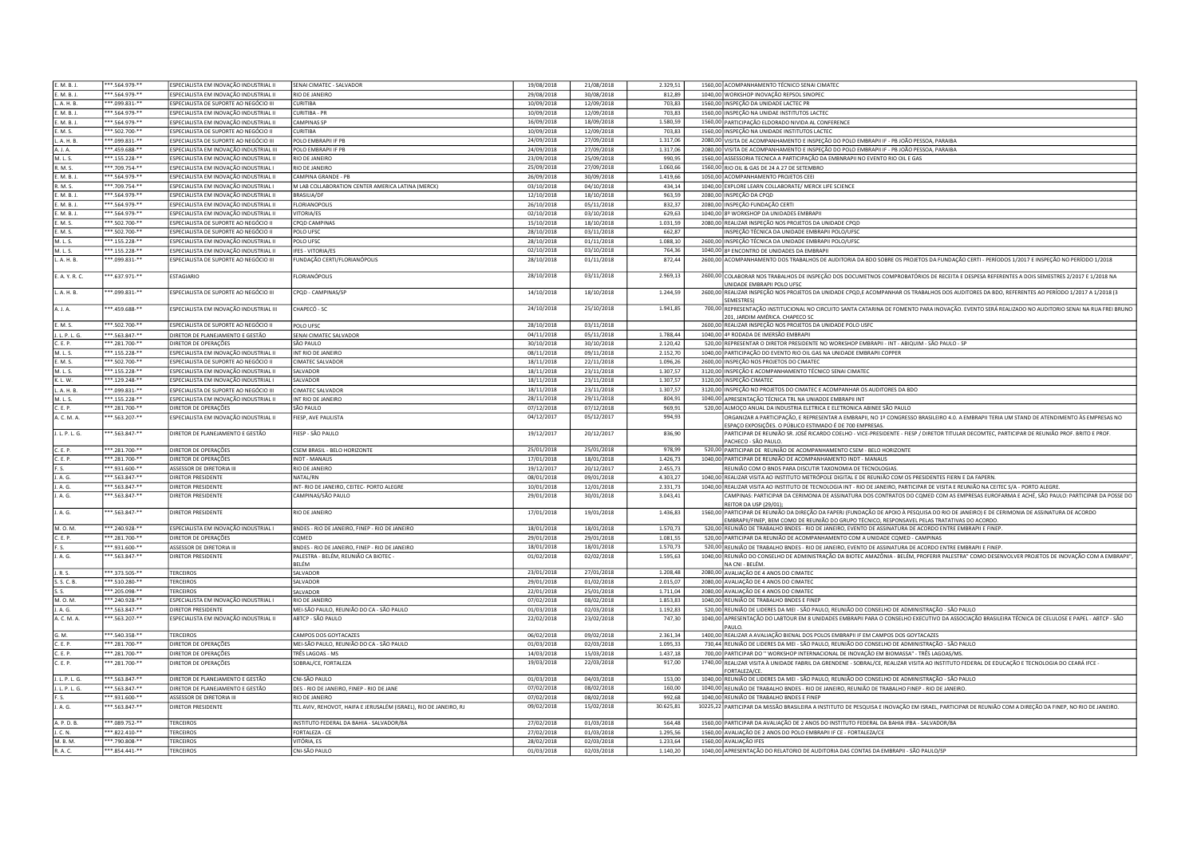| E. M. B. J.          | **.564.979-**                    | ESPECIALISTA EM INOVAÇÃO INDUSTRIAL II  | SENAI CIMATEC - SALVADOR                                          | 19/08/2018               | 21/08/2018               | 2.329,51             | 1560,00 ACOMPANHAMENTO TÉCNICO SENAI CIMATEC                                                                                                            |
|----------------------|----------------------------------|-----------------------------------------|-------------------------------------------------------------------|--------------------------|--------------------------|----------------------|---------------------------------------------------------------------------------------------------------------------------------------------------------|
| E. M. B. J           | **.564.979-**                    | ESPECIALISTA EM INOVAÇÃO INDUSTRIAL II  | RIO DE JANEIRO                                                    | 29/08/2018               | 30/08/2018               | 812,89               | 1040,00 WORKSHOP INOVAÇÃO REPSOL SINOPEC                                                                                                                |
| L. A. H. B.          | **.099.831-**                    | ESPECIALISTA DE SUPORTE AO NEGÓCIO III  | <b>CURITIBA</b>                                                   | 10/09/2018               | 12/09/2018               | 703,83               | 1560,00 INSPEÇÃO DA UNIDADE LACTEC PR                                                                                                                   |
|                      |                                  |                                         |                                                                   |                          |                          |                      |                                                                                                                                                         |
| E. M. B. J.          | **.564.979-**                    | ESPECIALISTA EM INOVAÇÃO INDUSTRIAL II  | CURITIBA - PR                                                     | 10/09/2018               | 12/09/2018               | 703,83               | 1560,00 INSPEÇÃO NA UNIDAE INSTITUTOS LACTEC                                                                                                            |
| F. M. R. I           | ***.564.979-**                   | ESPECIALISTA EM INOVAÇÃO INDUSTRIAL II  | <b>CAMPINAS SP</b>                                                | 16/09/2018               | 18/09/2018               | 1.580,59             | 1560,00 PARTICIPAÇÃO ELDORADO NIVIDA AL CONFERENCE                                                                                                      |
| E. M. S.             | ***.502.700-**                   | ESPECIALISTA DE SUPORTE AO NEGÓCIO II   | <b>CURITIBA</b>                                                   | 10/09/2018               | 12/09/2018               | 703,83               | 1560.00 INSPECÃO NA UNIDADE INSTITUTOS LACTEC                                                                                                           |
| L. A. H. B           | ***.099.831-**                   | ESPECIALISTA DE SUPORTE AO NEGÓCIO III  | POLO EMBRAPII IF PB                                               | 24/09/2018               | 27/09/2018               | 1.317.06             | 2080,00 VISITA DE ACOMPANHAMENTO E INSPEÇÃO DO POLO EMBRAPII IF - PB JOÃO PESSOA, PARAIBA                                                               |
| A. J. A.             | *** 459.688-**                   | ESPECIALISTA EM INOVAÇÃO INDUSTRIAL III | POLO EMBRAPII IF PB                                               | 24/09/2018               | 27/09/2018               | 1.317.06             | 2080,00 VISITA DE ACOMPANHAMENTO E INSPEÇÃO DO POLO EMBRAPII IF - PB JOÃO PESSOA, PARAIBA                                                               |
| M. L. S.             | ***.155.228-**                   | ESPECIALISTA EM INOVACÃO INDUSTRIAL II  | RIO DE JANEIRO                                                    | 23/09/2018               | 25/09/2018               | 990,95               | 1560,00 ASSESSORIA TECNICA A PARTICIPAÇÃO DA EMBNRAPII NO EVENTO RIO OIL E GAS                                                                          |
| R. M. S.             | ***.709.754-**                   | ESPECIALISTA EM INOVAÇÃO INDUSTRIAL I   | <b>RIO DE JANEIRO</b>                                             | 25/09/2018               | 27/09/2018               | 1.060.66             | 1560,00 RIO OIL & GAS DE 24 A 27 DE SETEMBRO                                                                                                            |
|                      |                                  |                                         |                                                                   |                          |                          |                      |                                                                                                                                                         |
| E. M. B. J.          | ***.564.979-**                   | ESPECIALISTA EM INOVAÇÃO INDUSTRIAL II  | CAMPINA GRANDE - PB                                               | 26/09/2018               | 30/09/2018               | 1.419.66             | 1050,00 ACOMPANHAMENTO PROJETOS CEEI                                                                                                                    |
| R. M. S.             | ***.709.754-**                   | ESPECIALISTA EM INOVACÃO INDUSTRIAL I   | M LAB COLLABORATION CENTER AMERICA LATINA (MERCK)                 | 03/10/2018               | 04/10/2018               | 434.14               | 1040,00 EXPLORE LEARN COLLABORATE/ MERCK LIFE SCIENCE                                                                                                   |
| E. M. B. J           | ***.564.979 **                   | ESPECIALISTA EM INOVAÇÃO INDUSTRIAL II  | <b>BRASILIA/DF</b>                                                | 12/10/2018               | 18/10/2018               | 963,59               | 2080.00<br>INSPECÃO DA CPOD                                                                                                                             |
| E. M. B. J           | **.564.979 **                    | ESPECIALISTA EM INOVAÇÃO INDUSTRIAL II  | FLORIANOPOLIS                                                     | 26/10/2018               | 05/11/2018               | 832,37               | 2080.00<br>NSPEÇÃO FUNDAÇÃO CERTI                                                                                                                       |
| E. M. B. J.          | ***.564.979.**                   | ESPECIALISTA EM INOVAÇÃO INDUSTRIAL II  | VITORIA/ES                                                        | 02/10/2018               | 03/10/2018               | 629,63               | 1040.00<br>39 WORKSHOP DA UNIDADES EMBRAPII                                                                                                             |
| E. M. S.             | **.502.700-**                    | ESPECIALISTA DE SUPORTE AO NEGÓCIO II   | CPQD CAMPINAS                                                     | 15/10/2018               | 18/10/2018               | 1.031,59             | 2080.00<br>REALIZAR INSPEÇÃO NOS PROJETOS DA UNIDADE CPQD                                                                                               |
| E. M. S.             | **.502.700-**                    | ESPECIALISTA DE SUPORTE AO NEGÓCIO II   | POLO UFSC                                                         | 28/10/2018               | 03/11/2018               | 662,87               | NSPEÇÃO TÉCNICA DA UNIDADE EMBRAPII POLO/UFSC                                                                                                           |
|                      |                                  |                                         |                                                                   |                          |                          |                      |                                                                                                                                                         |
| M. L. S.             | **.155.228-**                    | ESPECIALISTA EM INOVAÇÃO INDUSTRIAL II  | POLO UFSC                                                         | 28/10/2018               | 01/11/2018               | 1.088,10             | INSPEÇÃO TÉCNICA DA UNIDADE EMBRAPII POLO/UFSC<br>2600.00                                                                                               |
| M. L. S.             | **.155.228-*                     | SPECIALISTA EM INOVAÇÃO INDUSTRIAL II   | <b>FES - VITORIA/ES</b>                                           | 02/10/2018               | 03/10/2018               | 764,36               | 1040.00<br>ENCONTRO DE UNIDADES DA EMBRAPIL                                                                                                             |
| . A. H. B            | *.099.831-*                      | ESPECIALISTA DE SUPORTE AO NEGÓCIO II   | UNDAÇÃO CERTI/FLORIANÓPOLIS                                       | 28/10/2018               | 01/11/2018               | 872,44               | 2600.00<br>ACOMPANHAMENTO DOS TRABALHOS DE AUDITORIA DA BDO SOBRE OS PROJETOS DA FUNDAÇÃO CERTI - PERÍODOS 1/2017 E INSPEÇÃO NO PERÍODO 1/2018          |
|                      |                                  |                                         |                                                                   |                          |                          |                      |                                                                                                                                                         |
| E. A. Y. R. C.       | ***.637.971-**                   | ESTAGIARIO                              | <b>LORIANÓPOLIS</b>                                               | 28/10/2018               | 03/11/2018               | 2.969,13             | 2600,00 COLABORAR NOS TRABALHOS DE INSPEÇÃO DOS DOCUMETNOS COMPROBATÓRIOS DE RECEITA E DESPESA REFERENTES A DOIS SEMESTRES 2/2017 E 1/2018 NA           |
|                      |                                  |                                         |                                                                   |                          |                          |                      | INIDADE EMBRAPII POLO UFSO                                                                                                                              |
| I. A. H. B           | **.099.831-**                    | ESPECIALISTA DE SUPORTE AO NEGÓCIO III  | CPOD - CAMPINAS/SP                                                | 14/10/2018               | 18/10/2018               | 1.244,59             | REALIZAR INSPEÇÃO NOS PROJETOS DA UNIDADE CPQD,E ACOMPANHAR OS TRABALHOS DOS AUDITORES DA BDO, REFERENTES AO PERÍODO 1/2017 A 1/2018 (3<br>2600.00      |
|                      |                                  |                                         |                                                                   |                          |                          |                      | <b>SEMESTRES</b> )                                                                                                                                      |
| A. J. A.             | **.459.688-**                    | ESPECIALISTA EM INOVAÇÃO INDUSTRIAL III | CHAPECÓ - SC                                                      | 24/10/2018               | 25/10/2018               | 1.941,85             | 700,00 REPRESENTAÇÃO INSTITUCIONAL NO CIRCUITO SANTA CATARINA DE FOMENTO PARA INOVAÇÃO. EVENTO SERÁ REALIZADO NO AUDITORIO SENAI NA RUA FREI BRUNO      |
|                      |                                  |                                         |                                                                   |                          |                          |                      | 01. JARDIM AMÉRICA, CHAPECO SC                                                                                                                          |
| E. M. S.             | ***.502.700-**                   | ESPECIALISTA DE SUPORTE AO NEGÓCIO II   | POLO UFSC                                                         | 28/10/2018               | 03/11/2018               |                      | 2600,00 REALIZAR INSPEÇÃO NOS PROJETOS DA UNIDADE POLO USFC                                                                                             |
| J. L. P. L. G.       | **.563.847-**                    | DIRETOR DE PLANEJAMENTO E GESTÃO        | SENAI CIMATEC SALVADOR                                            | 04/11/2018               | 05/11/2018               | 1.788.44             | 1040.00 4ª RODADA DE IMERSÃO EMBRAPII                                                                                                                   |
| C. E. P.             | **.281.700-**                    | DIRETOR DE OPERACÕES                    | SÃO PAULO                                                         | 30/10/2018               | 30/10/2018               | 2.120,42             | 520.00 REPRESENTAR O DIRETOR PRESIDENTE NO WORKSHOP EMBRAPII - INT - ABIQUIM - SÃO PAULO - SP                                                           |
|                      |                                  |                                         |                                                                   |                          |                          |                      |                                                                                                                                                         |
| M. L. S.             | ***.155.228-**                   | ESPECIALISTA EM INOVAÇÃO INDUSTRIAL II  | INT RIO DE IANFIRO                                                | 08/11/2018               | 09/11/2018               | 2.152,70             | 1040,00 PARTICIPAÇÃO DO EVENTO RIO OIL GAS NA UNIDADE EMBRAPII COPPER                                                                                   |
| E. M. S.             | ***.502.700-**                   | ESPECIALISTA DE SUPORTE AO NEGÓCIO II   | <b>CIMATEC SALVADOR</b>                                           | 18/11/2018               | 22/11/2018               | 1.096,26             | INSPEÇÃO NOS PROJETOS DO CIMATEC<br>2600.00                                                                                                             |
| M. L. S.             | ***.155.228-**                   | ESPECIALISTA EM INOVAÇÃO INDUSTRIAL II  | SALVADOR                                                          | 18/11/2018               | 23/11/2018               | 1.307,57             | 3120,00 INSPEÇÃO E ACOMPANHAMENTO TÉCNICO SENAI CIMATEC                                                                                                 |
| K.1. W.              | ***.129.248-**                   | ESPECIALISTA EM INOVAÇÃO INDUSTRIAL I   | <b>SAI VADOR</b>                                                  | 18/11/2018               | 23/11/2018               | 1.307,57             | 3120,00 INSPEÇÃO CIMATEC                                                                                                                                |
| L. A. H. B.          | **.099.831-**                    | ESPECIALISTA DE SUPORTE AO NEGÓCIO III  | CIMATEC SALVADOR                                                  | 18/11/2018               | 23/11/2018               | 1.307.57             | 3120.00<br>NSPEÇÃO NO PROJETOS DO CIMATEC E ACOMPANHAR OS AUDITORES DA BDO                                                                              |
| M. L.S.              | $***.155.228.**$                 | ESPECIALISTA EM INOVAÇÃO INDUSTRIAL II  | INT RIO DE IANFIRO                                                | 28/11/2018               | 29/11/2018               | 804,91               | APRESENTAÇÃO TÉCNICA TRL NA UNIADDE EMBRAPII INT<br>1040.00                                                                                             |
| C.F.P.               | **.281.700-**                    | DIRETOR DE OPERAÇÕES                    | SÃO PAULO                                                         | 07/12/2018               | 07/12/2018               | 969,91               | 520,00 ALMOCO ANUAL DA INDUSTRIA ELETRICA E ELETRONICA ABINEE SÃO PAULO                                                                                 |
|                      |                                  |                                         |                                                                   |                          |                          |                      |                                                                                                                                                         |
| A. C. M. A.          | **.563.207-**                    | ESPECIALISTA EM INOVACÃO INDUSTRIAL II  | FIESP. AVE PAULISTA                                               | 04/12/2017               | 05/12/2017               | 994,93               | DRGANIZAR A PARTICIPAÇÃO, E REPRESENTAR A EMBRAPII, NO 1º CONGRESSO BRASILEIRO 4.0. A EMBRAPII TERIA UM STAND DE ATENDIMENTO ÀS EMPRESAS NO             |
|                      |                                  |                                         |                                                                   |                          |                          |                      | SPAÇO EXPOSIÇÕES. O PÚBLICO ESTIMADO É DE 700 EMPRESAS.                                                                                                 |
| J. L. P. L. G.       | ***.563.847-**                   | DIRETOR DE PLANEJAMENTO E GESTÃO        | FIESP - SÃO PAULO                                                 | 19/12/2017               | 20/12/2017               | 836,90               | PARTICIPAR DE REUNIÃO SR. JOSÉ RICARDO COELHO - VICE-PRESIDENTE - FIESP / DIRETOR TITULAR DECOMTEC, PARTICIPAR DE REUNIÃO PROF. BRITO E PROF.           |
|                      |                                  |                                         |                                                                   |                          |                          |                      | ACHECO - SÃO PAULO                                                                                                                                      |
|                      |                                  |                                         |                                                                   |                          |                          |                      |                                                                                                                                                         |
| C. E. P.             | **.281.700-**                    | DIRETOR DE OPERAÇÕES                    | CSEM BRASIL - BELO HORIZONTE                                      | 25/01/2018               | 25/01/2018               | 978,99               | 520,00 PARTICIPAR DE REUNIÃO DE ACOMPANHAMENTO CSEM - BELO HORIZONTE                                                                                    |
| C. E. P.             | $*$ .281.700-**                  | DIRETOR DE OPERAÇÕES                    | <b>NDT - MANAUS</b>                                               | 17/01/2018               | 18/01/2018               | 1.426,73             | 1040,00 PARTICIPAR DE REUNIÃO DE ACOMPANHAMENTO INDT - MANAUS                                                                                           |
| F. S.                |                                  |                                         |                                                                   |                          | 20/12/2017               |                      |                                                                                                                                                         |
|                      | **.931.600-**                    | ASSESSOR DE DIRETORIA III               | RIO DE JANEIRO                                                    | 19/12/2017               |                          | 2.455,73             | REUNIÃO COM O BNDS PARA DISCUTIR TAXONOMIA DE TECNOLOGIAS.                                                                                              |
| J. A. G.             | ** 563.847-**                    | DIRETOR PRESIDENTE                      | NATAL/RN                                                          | 08/01/2018               | 09/01/2018               | 4.303,27             | 1040,00 REALIZAR VISITA AO INSTITUTO METRÓPOLE DIGITAL E DE REUNIÃO COM OS PRESIDENTES FIERN E DA FAPERN.                                               |
| J. A. G.             | **.563.847-**                    | DIRETOR PRESIDENTE                      | INT-RIO DE JANEIRO, CEITEC- PORTO ALEGRE                          | 10/01/2018               | 12/01/2018               | 2.331,73             | 1040,00 REALIZAR VISITA AO INSTITUTO DE TECNOLOGIA INT - RIO DE JANEIRO, PARTICIPAR DE VISITA E REUNIÃO NA CEITEC S/A - PORTO ALEGRE.                   |
| J. A. G.             | **.563.847-**                    | DIRETOR PRESIDENTE                      | CAMPINAS/SÃO PAULO                                                | 29/01/2018               | 30/01/2018               | 3.043,41             | CAMPINAS: PARTICIPAR DA CERIMONIA DE ASSINATURA DOS CONTRATOS DO COMED COM AS EMPRESAS EUROFARMA E ACHÉ. SÃO PAULO: PARTICIPAR DA POSSE DO              |
|                      |                                  |                                         |                                                                   |                          |                          |                      | REITOR DA USP (29/01)                                                                                                                                   |
| J. A. G.             | **.563.847-**                    | DIRETOR PRESIDENTE                      | RIO DE IANFIRO                                                    | 17/01/2018               | 19/01/2018               | 1.436,83             | 1560,00 PARTICIPAR DE REUNIÃO DA DIREÇÃO DA FAPERI (FUNDAÇÃO DE APOIO À PESQUISA DO RIO DE JANEIRO) E DE CERIMONIA DE ASSINATURA DE ACORDO              |
|                      |                                  |                                         |                                                                   |                          |                          |                      | EMBRAPII/FINEP, BEM COMO DE REUNIÃO DO GRUPO TÉCNICO, RESPONSAVEL PELAS TRATATIVAS DO ACORDO.                                                           |
| M. O. M.             | ***.240.928-**                   | ESPECIALISTA EM INOVAÇÃO INDUSTRIAL I   | BNDES - RIO DE JANEIRO, FINEP - RIO DE JANEIRO                    | 18/01/2018               | 18/01/2018               | 1.570,73             | 520,00 REUNIÃO DE TRABALHO BNDES - RIO DE JANEIRO, EVENTO DE ASSINATURA DE ACORDO ENTRE EMBRAPII E FINEP.                                               |
| C. E. P.             | ***.281.700-**                   | DIRETOR DE OPERAÇÕES                    | COMED                                                             | 29/01/2018               | 29/01/2018               | 1.081,55             | 520,00 PARTICIPAR DA REUNIÃO DE ACOMPANHAMENTO COM A UNIDADE COMED - CAMPINAS                                                                           |
| F. S.                | ***.931.600-**                   | ASSESSOR DE DIRETORIA II                | BNDES - RIO DE JANEIRO, FINEP - RIO DE JANEIRO                    | 18/01/2018               | 18/01/2018               | 1.570,73             | 520,00 REUNIÃO DE TRABALHO BNDES - RIO DE JANEIRO, EVENTO DE ASSINATURA DE ACORDO ENTRE EMBRAPII E FINEP.                                               |
| J. A. G.             | $***.563.847.**$                 | DIRETOR PRESIDENTE                      | PALESTRA - BELÉM. REUNIÃO CA BIOTEC                               | 01/02/2018               | 02/02/2018               | 1.595,63             | 1040,00 REUNIÃO DO CONSELHO DE ADMINISTRAÇÃO DA BIOTEC AMAZÔNIA - BELÉM, PROFERIR PALESTRA" COMO DESENVOLVER PROJETOS DE INOVAÇÃO COM A EMBRAPII"       |
|                      |                                  |                                         | RFI ÉM                                                            |                          |                          |                      | NA CNI - BELÉM.                                                                                                                                         |
| J. R. S.             | *** 373.505-**                   | <b>TERCEIROS</b>                        | SALVADOR                                                          | 23/01/2018               | 27/01/2018               | 1.208,48             | 2080,00 AVALIAÇÃO DE 4 ANOS DO CIMATEC                                                                                                                  |
|                      |                                  |                                         |                                                                   |                          |                          |                      |                                                                                                                                                         |
| S. S. C. B.          | **.510.280-**                    | <b>TERCEIROS</b>                        | SALVADOR                                                          | 29/01/2018               | 01/02/2018               | 2.015.07             | 2080.00 AVALIAÇÃO DE 4 ANOS DO CIMATEC                                                                                                                  |
| S.S.                 | **.205.098-**                    | TERCEIROS                               | SALVADOR                                                          | 22/01/2018               | 25/01/2018               | 1.711,04             | 2080.00 AVAUAÇÃO DE 4 ANOS DO CIMATEC                                                                                                                   |
| M. O. M.             | $***$ .240.928-**                | ESPECIALISTA EM INOVAÇÃO INDUSTRIAL I   | RIO DE JANEIRO                                                    | 07/02/2018               | 08/02/2018               | 1.853,83             | 1040,00 REUNIÃO DE TRABALHO BNDES E FINEP                                                                                                               |
| J. A. G.             | ** 563.847-**                    | DIRETOR PRESIDENTE                      | MEI-SÃO PAULO. REUNIÃO DO CA - SÃO PAULO                          | 01/03/2018               | 02/03/2018               | 1.192,83             | 520.00 REUNIÃO DE LIDERES DA MEI - SÃO PAULO. REUNIÃO DO CONSELHO DE ADMINISTRAÇÃO - SÃO PAULO                                                          |
| A. C. M. A.          | **.563.207-**                    | ESPECIALISTA EM INOVACÃO INDUSTRIAL II  | ABTCP - SÃO PAULO                                                 | 22/02/2018               | 23/02/2018               | 747,30               | 1040.00 APRESENTACÃO DO LABTOUR EM 8 UNIDADES EMBRAPII PARA O CONSELHO EXECUTIVO DA ASSOCIAÇÃO BRASILEIRA TÉCNICA DE CELULOSE E PAPEL - ABTCP - SÃO     |
|                      |                                  |                                         |                                                                   |                          |                          |                      | PAULO.                                                                                                                                                  |
| G. M.                | ***.540.358-**                   | <b>TERCEIROS</b>                        | CAMPOS DOS GOYTACAZES                                             | 06/02/2018               | 09/02/2018               | 2.361,34             | 1400,00 REALIZAR A AVALIAÇÃO BIENAL DOS POLOS EMBRAPII IF EM CAMPOS DOS GOYTACAZES                                                                      |
| C. E. P.             | **.281.700-**                    | DIRETOR DE OPERAÇÕES                    | MEI-SÃO PAULO, REUNIÃO DO CA - SÃO PAULO                          | 01/03/2018               | 02/03/2018               | 1.095.33             | EUNIÃO DE LIDERES DA MEI - SÃO PAULO, REUNIÃO DO CONSELHO DE ADMINISTRAÇÃO - SÃO PAULO<br>730.44                                                        |
| C. E. P              |                                  |                                         |                                                                   | 14/03/2018               | 15/03/2018               |                      | 700.00                                                                                                                                                  |
|                      | **.281.700-**                    | DIRETOR DE OPERAÇÕES                    | TRÊS LAGOAS - MS                                                  |                          |                          | 1.437,18             | ARTICIPAR DO "WORKSHOP INTERNACIONAL DE INOVAÇÃO EM BIOMASSA" - TRÊS LAGOAS/MS.                                                                         |
| C.F.P                | $*$ .281.700-**                  | DIRETOR DE OPERAÇÕES                    | OBRAL/CE, FORTALEZA                                               | 19/03/2018               | 22/03/2018               | 917,00               | 1740.00<br>REALIZAR VISITA À UNIDADE FABRIL DA GRENDENE - SOBRAL/CE, REALIZAR VISITA AO INSTITUTO FEDERAL DE EDUCAÇÃO E TECNOLOGIA DO CEARÁ IFCE -      |
|                      |                                  |                                         |                                                                   |                          |                          |                      | ORTAL FZA/CF                                                                                                                                            |
| J. L. P. L. G.       | ***.563.847-**                   | DIRETOR DE PLANEJAMENTO E GESTÃO        | CNI-SÃO PAULO                                                     | 01/03/2018               | 04/03/2018               | 153,00               | 1040,00 REUNIÃO DE LIDERES DA MEI - SÃO PAULO, REUNIÃO DO CONSELHO DE ADMINISTRAÇÃO - SÃO PAULO                                                         |
| 1.1.9.1.6            | ***.563.847-**                   | DIRETOR DE PLANEJAMENTO E GESTÃO        | DES - RIO DE JANEIRO, FINEP - RIO DE JANE                         | 07/02/2018               | 08/02/2018               | 160,00               | 1040,00 REUNIÃO DE TRABALHO BNDES - RIO DE JANEIRO, REUNIÃO DE TRABALHO FINEP - RIO DE JANEIRO.                                                         |
| E.S.                 | ***.931.600-**                   | ASSESSOR DE DIRETORIA III               | RIO DE IANFIRO                                                    | 07/02/2018               | 08/02/2018               | 992,68               | 1040.00 REUNIÃO DE TRABALHO BNDES E FINEP                                                                                                               |
| J. A. G.             | **.563.847-**                    | DIRETOR PRESIDENTE                      | TEL AVIV, REHOVOT, HAIFA E JERUSALÉM (ISRAEL), RIO DE JANEIRO, RJ | 09/02/2018               | 15/02/2018               | 30.625,81            | 10225,22 PARTICIPAR DA MISSÃO BRASILEIRA A INSTITUTO DE PESQUISA E INOVAÇÃO EM ISRAEL, PARTICIPAR DE REUNIÃO COM A DIREÇÃO DA FINEP, NO RIO DE JANEIRO. |
|                      |                                  |                                         |                                                                   |                          |                          |                      |                                                                                                                                                         |
| A. P. D. B.          | ***.089.752-**                   | <b>TERCEIROS</b>                        | INSTITUTO FEDERAL DA BAHIA - SALVADOR/BA                          | 27/02/2018               | 01/03/2018               | 564,48               | 1560.00 PARTICIPAR DA AVALIAÇÃO DE 2 ANOS DO INSTITUTO FEDERAL DA BAHIA IFBA - SALVADOR/BA                                                              |
| J. C. N.             | ***.822.410-**                   | <b>TERCEIROS</b>                        |                                                                   |                          |                          |                      |                                                                                                                                                         |
|                      |                                  |                                         | FORTALEZA - CE                                                    | 27/02/2018               | 01/03/2018               | 1.295,56             | 1560,00 AVALIAÇÃO DE 2 ANOS DO POLO EMBRAPII IF CE - FORTALEZA/CE                                                                                       |
| M. B. M.<br>R. A. C. | ***.790.808-**<br>***.854.441-** | <b>TERCEIROS</b><br><b>TERCEIROS</b>    | VITÓRIA, ES<br>CNI-SÃO PAULO                                      | 28/02/2018<br>01/03/2018 | 02/03/2018<br>02/03/2018 | 1.233,64<br>1.140.20 | 1560,00 AVALIAÇÃO IFES<br>1040,00 APRESENTAÇÃO DO RELATORIO DE AUDITORIA DAS CONTAS DA EMBRAPII - SÃO PAULO/SP                                          |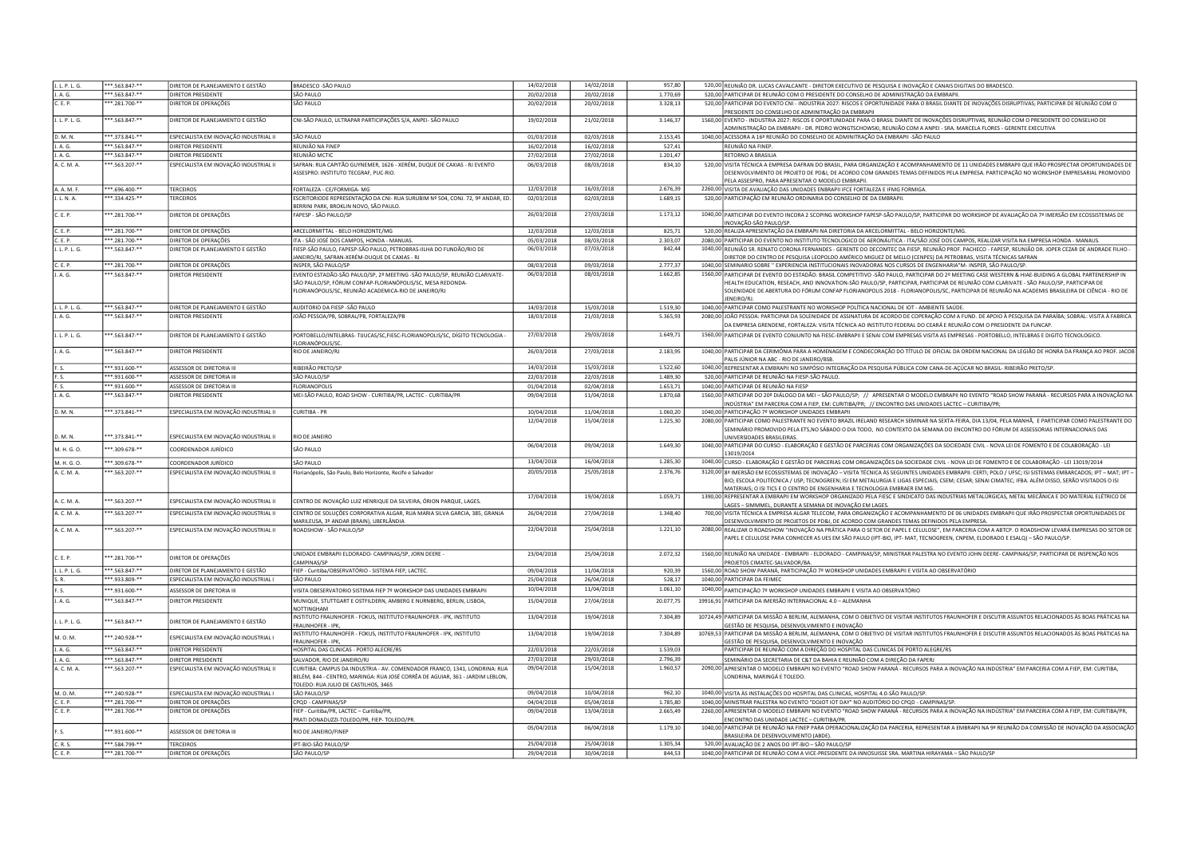| J. A. G.<br>***.563.847-**<br>DIRETOR PRESIDENTE<br>SÃO PAULO<br>20/02/2018<br>20/02/2018<br>1.770,69<br>520,00 PARTICIPAR DE REUNIÃO COM O PRESIDENTE DO CONSELHO DE ADMINISTRAÇÃO DA EMBRAPII<br>C. E. P.<br>**.281.700-**<br>DIRETOR DE OPERAÇÕES<br>SÃO PAULO<br>20/02/2018<br>20/02/2018<br>3.328,13<br>520,00 PARTICIPAR DO EVENTO CNI - INDUSTRIA 2027: RISCOS E OPORTUNIDADE PARA O BRASIL DIANTE DE INOVAÇÕES DISRUPTIVAS; PARTICIPAR DE REUNIÃO COM O<br>PRESIDENTE DO CONSELHO DE ADMINITRAÇÃO DA EMBRAPII<br>J. L. P. L. G.<br>** 563.847-**<br>DIRETOR DE PLANFIAMENTO E GESTÃO<br>CNI-SÃO PAULO, ULTRAPAR PARTICIPAÇÕES S/A, ANPEI- SÃO PAULO<br>19/02/2018<br>21/02/2018<br>1560,00 EVENTO - INDUSTRIA 2027: RISCOS E OPORTUNIDADE PARA O BRASIL DIANTE DE INOVAÇÕES DISRUPTIVAS, REUNIÃO COM O PRESIDENTE DO CONSELHO DE<br>3.146,37<br>ADMINISTRAÇÃO DA EMBRAPII - DR. PEDRO WONGTSCHOWSKI, REUNIÃO COM A ANPEI - SRA, MARCELA FLORES - GERENTE EXECUTIVA<br>D. M. N.<br>***.373.841-**<br>ESPECIALISTA EM INOVAÇÃO INDUSTRIAL II<br>01/03/2018<br>02/03/2018<br>2.153.45<br>1040,00 ACESSORA A 16 <sup>ª</sup> REUNIÃO DO CONSELHO DE ADMINITRAÇÃO DA EMBRAPII -SÃO PAULO<br>SÃO PAULO<br>**.563.847-**<br>REUNIÃO NA FINEP<br>16/02/2018<br>16/02/2018<br>527,41<br>J. A. G.<br>DIRETOR PRESIDENTE<br>REUNIÃO NA FINEP<br>**.563.847-**<br>27/02/2018<br>RETORNO A BRASILIA<br>J. A. G.<br>DIRETOR PRESIDENTE<br>REUNIÃO MCTIC<br>27/02/2018<br>1.201.47<br>A. C. M. A.<br>**.563.207-**<br>SAFRAN: RUA CAPITÃO GUYNEMER, 1626 - XERÉM, DUQUE DE CAXIAS - RJ EVENTO<br>520,00 VISITA TÉCNICA A EMPRESA DAFRAN DO BRASIL, PARA ORGANIZAÇÃO E ACOMPANHAMENTO DE 11 UNIDADES EMBRAPII QUE IRÃO PROSPECTAR OPORTUNIDADES DE<br>ESPECIALISTA EM INOVAÇÃO INDUSTRIAL II<br>06/03/2018<br>08/03/2018<br>834,10<br>ASSESPRO: INSTITUTO TECGRAF, PUC-RIO.<br>DESENVOLVIMENTO DE PROJETO DE PD&I, DE ACORDO COM GRANDES TEMAS DEFINIDOS PELA EMPRESA. PARTICIPAÇÃO NO WORKSHOP EMPRESARIAL PROMOVIDO<br>PELA ASSESPRO, PARA APRESENTAR O MODELO EMBRAPII<br>A. A. M. F.<br>** 696.400-**<br><b>TERCEIROS</b><br>FORTALEZA - CE/FORMIGA- MG<br>12/03/2018<br>16/03/2018<br>2.676.39<br>2260,00 VISITA DE AVALIAÇÃO DAS UNIDADES ENBRAPII IFCE FORTALEZA E IFMG FORMIGA.<br>J. L. N. A.<br>ESCRITORIODE REPRESENTAÇÃO DA CNI- RUA SURUBIM Nº 504, CONJ. 72, 9º ANDAR, ED.<br>02/03/2018<br>02/03/2018<br>1.689,15<br>**.334.425-**<br><b>TERCEIROS</b><br>520,00 PARTICIPAÇÃO EM REUNIÃO ORDINARIA DO CONSELHO DE DA EMBRAPII<br>BERRINI PARK, BROKLIN NOVO, SÃO PAULO.<br>1040,00 PARTICIPAR DO EVENTO INCORA 2 SCOPING WORKSHOP FAPESP-SÃO PAULO/SP, PARTICIPAR DO WORKSHOP DE AVALIAÇÃO DA 7ª IMERSÃO EM ECOSSISTEMAS DE<br>C. E. P.<br>$***.281.700***$<br>DIRETOR DE OPERAÇÕES<br>FAPESP - SÃO PAULO/SP<br>26/03/2018<br>27/03/2018<br>1.173,12<br>INOVAÇÃO-SÃO PAULO/SP.<br>C. E. P.<br>***.281.700-**<br>12/03/2018<br>12/03/2018<br>520,00 REALIZA APRESENTAÇÃO DA EMBRAPII NA DIRETORIA DA ARCELORMITTAL - BELO HORIZONTE/MG.<br><b>DIRETOR DE OPERAÇÕES</b><br>ARCELORMITTAL - BELO HORIZONTE/MG<br>825.71<br>C. E. P.<br>***.281.700-**<br>DIRETOR DE OPERAÇÕES<br>ITA - SÃO JOSÉ DOS CAMPOS, HONDA - MANUAS.<br>05/03/2018<br>08/03/2018<br>2.303,07<br>2080,00 PARTICIPAR DO EVENTO NO INSTITUTO TECNOLOGICO DE AERONÁUTICA - ITA/SÃO JOSÉ DOS CAMPOS, REALIZAR VISITA NA EMPRESA HONDA - MANAUS.<br>J. L. P. L. G.<br>**.563.847-**<br>FIESP-SÃO PAULO, FAPESP-SÃO PAULO, PETROBRAS-IILHA DO FUNDÃO/RIO DE<br>1040,00 REUNIÃO SR. RENATO CORONA FERNANDES - GERENTE DO DECOMTEC DA FIESP, REUNIÃO PROF. PACHECO - FAPESP, REUNIÃO DR. JOPER CEZAR DE ANDRADE FILHO -<br>DIRETOR DE PLANEJAMENTO E GESTÃO<br>06/03/2018<br>07/03/2018<br>842,44<br>IANEIRO/RJ, SAFRAN-XERÉM-DUQUE DE CAXIAS - RJ<br>DIRETOR DO CENTRO DE PESQUISA LEOPOLDO AMÉRICO MIGUEZ DE MELLO (CENPES) DA PETROBRAS, VISITA TÉCNICAS SAFRAN<br>08/03/2018<br>09/03/2018<br>2.777.37<br>**.281.700-**<br>C. E. P.<br>DIRETOR DE OPERAÇÕES<br>INSPER, SÃO PAULO/SP<br>1040,00 SEMINARIO SOBRE " EXPERIENCIA INSTITUCIONAIS INOVADORAS NOS CURSOS DE ENGENHARIA"M- INSPER, SÃO PAULO/SP.<br>J. A. G.<br>**.563.847-**<br>DIRETOR PRESIDENTE<br>EVENTO ESTADÃO-SÃO PAULO/SP, 2º MEETING -SÃO PAULO/SP, REUNIÃO CLARIVATE-<br>06/03/2018<br>08/03/2018<br>1560,00 PARTICIPAR DE EVENTO DO ESTADÃO: BRASIL COMPETITIVO -SÃO PAULO, PARTICIPAR DO 2º MEETING CASE WESTERN & HIAE-BUIDING A GLOBAL PARTENERSHIP IN<br>1.662,85<br>SÃO PAULO/SP. FÓRUM CONFAP-FLORIANÓPOLIS/SC. MESA REDONDA<br>HEALTH EDUCATION, RESEACH, AND INNOVATION-SÃO PAULO/SP, PARTICIPAR, PARTICIPAR DE REUNIÃO COM CLARIVATE - SÃO PAULO/SP, PARTICIPAR DE<br>FLORIANÓPOLIS/SC, REUNIÃO ACADEMICA-RIO DE JANEIRO/RJ<br>SOLENIDADE DE ABERTURA DO FÓRUM CONFAP FLORIANOPOLIS 2018 - FLORIANOPOLIS/SC, PARTICIPAR DE REUNIÃO NA ACADEMIS BRASILEIRA DE CIÊNCIA - RIO DE<br>JENEIRO/RJ<br>***.563.847-**<br>DIRETOR DE PLANEJAMENTO E GESTÃO<br>AUDITORIO DA FIESP -SÃO PAULO<br>14/03/2018<br>1040,00 PARTICIPAR COMO PALESTRANTE NO WORKSHOP POLÍTICA NACIONAL DE IOT - AMBIENTE SAÚDE.<br>J. L. P. L. G<br>15/03/2018<br>1.519,30<br>J. A. G.<br>**.563.847-**<br>DIRETOR PRESIDENTE<br>IOÃO PESSOA/PB, SOBRAL/PB, FORTALEZA/PB<br>18/03/2018<br>21/03/2018<br>5.365,93<br>2080,00 JOÃO PESSOA: PARTICIPAR DA SOLENIDADE DE ASSINATURA DE ACORDO DE COPERAÇÃO COM A FUND. DE APOIO À PESQUISA DA PARAÍBA; SOBRAL: VISITA À FABRICA<br>DA EMPRESA GRENDENE, FORTALEZA: VISITA TÉCNICA AO INSTITUTO FEDERAL DO CEARÁ E REUNIÃO COM O PRESIDENTE DA FUNCAP.<br>J. L. P. L. G.<br>***.563.847-**<br>DIRETOR DE PLANEJAMENTO E GESTÃO<br>PORTOBELLO/INTELBRAS- TIJUCAS/SC, FIESC-FLORIANOPOLIS/SC, DÍGITO TECNOLOGIA<br>27/03/2018<br>29/03/2018<br>1.649,71<br>1560,00 PARTICIPAR DE EVENTO CONJUNTO NA FIESC-EMBRAPII E SENAI COM EMPRESAS VISITA AS EMPRESAS - PORTOBELLO, INTELBRAS E DIGITO TECNOLOGICO.<br><b>ELORIANÓPOLIS/SO</b><br>J. A. G.<br>**.563.847-**<br>DIRETOR PRESIDENTE<br>RIO DE JANEIRO/RJ<br>26/03/2018<br>27/03/2018<br>2.183,95<br>1040,00 PARTICIPAR DA CERIMÔNIA PARA A HOMENAGEM E CONDECORAÇÃO DO TÍTULO DE OFICIAL DA ORDEM NACIONAL DA LEGIÃO DE HONRA DA FRANÇA AO PROF. JACOE<br>PALIS JÚNIOR NA ABC - RIO DE JANEIRO/BSB<br>F. S.<br>*** 931.600-**<br>ASSESSOR DE DIRETORIA III<br>RIBEIRÃO PRETO/SP<br>15/03/2018<br>1.522,60<br>1040,00 REPRESENTAR A EMBRAPII NO SIMPÓSIO INTEGRAÇÃO DA PESQUISA PÚBLICA COM CANA-DE-AÇÚCAR NO BRASIL- RIBEIRÃO PRETO/SP.<br>14/03/2018<br>**.931.600-**<br>SÃO PAULO/SF<br>520,00 PARTICIPAR DE REUNIÃO NA FIESP-SÃO PAULO.<br>F.S.<br>ASSESSOR DE DIRETORIA III<br>22/03/2018<br>22/03/2018<br>1.489.30<br>**.931.600-**<br>ASSESSOR DE DIRETORIA III<br>FLORIANOPOLIS<br>01/04/2018<br>02/04/2018<br>1.653,71<br>1040,00 PARTICIPAR DE REUNIÃO NA FIESP<br>F.S.<br>J. A. G.<br>**.563.847-**<br>MEI-SÃO PAULO, ROAD SHOW - CURITIBA/PR, LACTEC - CURITIBA/PR<br>09/04/2018<br>11/04/2018<br>1.870,68<br>1560,00 PARTICIPAR DO 20º DIÁLOGO DA MEI - SÃO PAULO/SP; // APRESENTAR O MODELO EMBRAPII NO EVENTO "ROAD SHOW PARANÁ - RECURSOS PARA A INOVAÇÃO NA<br>DIRETOR PRESIDENTE<br>INDÚSTRIA" EM PARCERIA COM A FIEP, EM: CURITIBA/PR; // ENCONTRO DAS UNIDADES LACTEC - CURITIBA/PR;<br>D. M. N.<br>***.373.841-**<br>ESPECIALISTA EM INOVAÇÃO INDUSTRIAL II<br>CURITIBA - PR<br>10/04/2018<br>11/04/2018<br>1.060.20<br>1040,00 PARTICIPAÇÃO 7º WORKSHOP UNIDADES EMBRAPII<br>12/04/2018<br>15/04/2018<br>1.225,30<br>2080,00 PARTICIPAR COMO PALESTRANTE NO EVENTO BRAZIL IRELAND RESEARCH SEMINAR NA SEXTA-FEIRA, DIA 13/04, PELA MANHÃ, E PARTICIPAR COMO PALESTRANTE DO<br>SEMINÁRIO PROMOVIDO PELA ETS, NO SÁBADO O DIA TODO, NO CONTEXTO DA SEMANA DO ENCONTRO DO FÓRUM DE ASSESSORIAS INTERNACIONAIS DAS<br>***.373.841-**<br>ESPECIALISTA EM INOVAÇÃO INDUSTRIAL II<br>D. M. N.<br>RIO DE JANEIRO<br><b>JNIVERSIDADES BRASILEIRAS</b><br>1040,00 PARTICIPAR DO CURSO - ELABORAÇÃO E GESTÃO DE PARCERIAS COM ORGANIZAÇÕES DA SOCIEDADE CIVIL - NOVA LEI DE FOMENTO E DE COLABORAÇÃO - LEI<br>06/04/2018<br>09/04/2018<br>1.649,30<br>M. H. G. O.<br>**.309.678-**<br>COORDENADOR JURÍDICO<br>SÃO PAULO<br>13019/2014<br>13/04/2018<br>16/04/2018<br>1.285.30<br>1040,00 CURSO - ELABORAÇÃO E GESTÃO DE PARCERIAS COM ORGANIZAÇÕES DA SOCIEDADE CIVIL - NOVA LEI DE FOMENTO E DE COLABORAÇÃO - LEI 13019/2014<br>M. H. G. O.<br>***.309.678-**<br>COORDENADOR JURÍDICO<br>SÃO PAULO<br>A. C. M. A.<br>**.563.207-**<br>ESPECIALISTA EM INOVAÇÃO INDUSTRIAL II<br>Florianópolis, São Paulo, Belo Horizonte, Recife e Salvador<br>20/05/2018<br>25/05/2018<br>2.376,76<br>3120.00 8ª IMERSÃO EM ECOSSISTEMAS DE INOVAÇÃO - VISITA TÉCNICA ÀS SEGUINTES UNIDADES EMBRAPII: CERTI: POLO / UFSC: ISI SISTEMAS EMBARCADOS: IPT - MAT: IPT -<br>BIO; ESCOLA POLITÉCNICA / USP; TECNOGREEN; ISI EM METALURGIA E LIGAS ESPECIAIS; CSEM; CESAR; SENAI CIMATEC; IFBA. ALÉM DISSO, SERÃO VISITADOS O ISI<br>MATERIAIS; O ISI TICS E O CENTRO DE ENGENHARIA E TECNOLOGIA EMBRAER EM MG.<br>1390,00 REPRESENTAR A EMBRAPII EM WORKSHOP ORGANIZADO PELA FIESC E SINDICATO DAS INDUSTRIAS METALÚRGICAS, METAL MECÂNICA E DO MATERIAL ELÉTRICO DE<br>17/04/2018<br>19/04/2018<br>1.059,71<br>A. C. M. A<br>**.563.207-**<br>CENTRO DE INOVAÇÃO LUIZ HENRIQUE DA SILVEIRA, ÓRION PARQUE, LAGES.<br>ESPECIALISTA EM INOVAÇÃO INDUSTRIAL II<br>LAGES - SIMMMEL, DURANTE A SEMANA DE INOVAÇÃO EM LAGES.<br>A. C. M. A.<br>**.563.207-**<br>ESPECIALISTA EM INOVAÇÃO INDUSTRIAL II<br>CENTRO DE SOLUÇÕES CORPORATIVA ALGAR, RUA MARIA SILVA GARCIA, 385, GRANJA<br>26/04/2018<br>27/04/2018<br>1.348,40<br>700,00 VISITA TÉCNICA A EMPRESA ALGAR TELECOM, PARA ORGANIZAÇÃO E ACOMPANHAMENTO DE 06 UNIDADES EMBRAPII QUE IRÃO PROSPECTAR OPORTUNIDADES DE<br>DESENVOLVIMENTO DE PROJETOS DE PD&I, DE ACORDO COM GRANDES TEMAS DEFINIDOS PELA EMPRESA.<br>MARILEUSA. 3º ANDAR (BRAIN), UBERLÂNDIA<br>22/04/2018<br>25/04/2018<br>A. C. M. A.<br>***.563.207-**<br>ESPECIALISTA EM INOVAÇÃO INDUSTRIAL II<br>ROADSHOW - SÃO PAULO/SP<br>1.221,10<br>2080,00 REALIZAR O ROADSHOW "INOVAÇÃO NA PRÁTICA PARA O SETOR DE PAPEL E CELULOSE", EM PARCERIA COM A ABTCP. O ROADSHOW LEVARÁ EMPRESAS DO SETOR DE<br>PAPEL E CELULOSE PARA CONHECER AS UES EM SÃO PAULO (IPT-BIO, IPT- MAT, TECNOGREEN, CNPEM, ELDORADO E ESALQ) - SÃO PAULO/SP.<br>UNIDADE EMBRAPII ELDORADO- CAMPINAS/SP, JORN DEERE -<br>23/04/2018<br>25/04/2018<br>2.072,32<br>1560,00 REUNIÃO NA UNIDADE - EMBRAPII - ELDORADO - CAMPINAS/SP, MINISTRAR PALESTRA NO EVENTO JOHN DEERE- CAMPINAS/SP, PARTICIPAR DE INSPENÇÃO NOS<br>C, F, P<br>**.281.700-**<br>DIRETOR DE OPERAÇÕES<br>CAMPINAS/SP<br>PROJETOS CIMATEC-SAI VADOR/BA<br>920,39<br>J. L. P. L. G.<br>***.563.847-**<br>DIRETOR DE PLANEJAMENTO E GESTÃO<br>FIEP - Curitiba/OBSERVATÓRIO - SISTEMA FIEP, LACTEC.<br>09/04/2018<br>11/04/2018<br>1560,00 ROAD SHOW PARANÁ, PARTICIPAÇÃO 7º WORKSHOP UNIDADES EMBRAPII E VISITA AO OBSERVATÓRIO<br>***.933.809-**<br>ESPECIALISTA EM INOVAÇÃO INDUSTRIAL I<br>SÃO PAULO<br>25/04/2018<br>26/04/2018<br>528.17<br>1040,00 PARTICIPAR DA FEIMEC<br>S.R.<br>10/04/2018<br>11/04/2018<br>1.061,10<br>1040,00 PARTICIPAÇÃO 7º WORKSHOP UNIDADES EMBRAPII E VISITA AO OBSERVATÓRIO<br>F.S.<br>**.931.600-**<br>ASSESSOR DE DIRETORIA III<br>VISITA OBESERVATORIO SISTEMA FIEP 7º WORKSHOP DAS UNIDADES EMBRAPII<br>J. A. G.<br>**.563.847-**<br>15/04/2018<br>27/04/2018<br>20.077,75<br>19916,91 PARTICIPAR DA IMERSÃO INTERNACIONAL 4.0 - ALEMANHA<br>DIRETOR PRESIDENTE<br>MUNIQUE, STUTTGART E OSTFILDERN, AMBERG E NURNBERG, BERLIN, LISBOA,<br>NOTTINGHAM<br>10724,49 PARTICIPAR DA MISSÃO A BERLIM, ALEMANHA, COM O OBJETIVO DE VISITAR INSTITUTOS FRAUNHOFER E DISCUTIR ASSUNTOS RELACIONADOS ÀS BOAS PRÁTICAS NA<br>INSTITUTO FRAUNHOFER - FOKUS, INSTITUTO FRAUNHOFER - IPK, INSTITUTO<br>13/04/2018<br>19/04/2018<br>7.304,89<br>1.1.9.1.6<br>**.563.847-**<br>DIRETOR DE PLANEJAMENTO E GESTÃO<br>GESTÃO DE PESQUISA, DESENVOLVIMENTO E INOVAÇÃO<br><b>FRAUNHOFER - IPK</b><br>INSTITUTO FRAUNHOFER - FOKUS, INSTITUTO FRAUNHOFER - IPK, INSTITUTO<br>13/04/2018<br>19/04/2018<br>7.304,89<br>10769,53 PARTICIPAR DA MISSÃO A BERLIM, ALEMANHA, COM O OBJETIVO DE VISITAR INSTITUTOS FRAUNHOFER E DISCUTIR ASSUNTOS RELACIONADOS ÀS BOAS PRÁTICAS NA<br>M. O. M.<br>***.240.928-**<br>ESPECIALISTA EM INOVAÇÃO INDUSTRIAL I<br>GESTÃO DE PESQUISA, DESENVOLVIMENTO E INOVAÇÃO<br>FRAUNHOFFR - IPK.<br>22/03/2018<br>22/03/2018<br>J. A. G.<br>** 563.847-**<br>DIRETOR PRESIDENTE<br>HOSPITAL DAS CLINICAS - PORTO ALECRE/RS<br>1.539.03<br>PARTICIPAR DE REUNIÃO COM A DIREÇÃO DO HOSPITAL DAS CLINICAS DE PORTO ALEGRE/RS<br>27/03/2018<br>29/03/2018<br>2.796,39<br>**.563.847-**<br>SALVADOR, RIO DE JANEIRO/RJ<br>SEMINÁRIO DA SECRETARIA DE C&T DA BAHIA E REUNIÃO COM A DIREÇÃO DA FAPERJ<br>J. A. G.<br>DIRETOR PRESIDENTE<br>A. C. M. A.<br>*.563.207-**<br>ESPECIALISTA EM INOVAÇÃO INDUSTRIAL II<br>CURITIBA: CAMPUS DA INDUSTRIA - AV. COMENDADOR FRANCO, 1341, LONDRINA: RUA<br>09/04/2018<br>15/04/2018<br>1.960,57<br>2090,00 APRESENTAR O MODELO EMBRAPII NO EVENTO "ROAD SHOW PARANÁ - RECURSOS PARA A INOVAÇÃO NA INDÚSTRIA" EM PARCERIA COM A FIEP, EM: CURITIBA,<br>BELÉM, 844 - CENTRO, MARINGA: RUA JOSÉ CORRÊA DE AGUIAR, 361 - JARDIM LEBLON<br>ONDRINA, MARINGÁ E TOLEDO.<br>TOLEDO: RUA IULIO DE CASTILHOS, 3465<br>***.240.928-**<br>ESPECIALISTA EM INOVAÇÃO INDUSTRIAL I<br>SÃO PAULO/SE<br>09/04/2018<br>10/04/2018<br>962.10<br>1040,00 VISITA ÀS INSTALAÇÕES DO HOSPITAL DAS CLINICAS, HOSPITAL 4.0-SÃO PAULO/SP.<br>M. O. M.<br>C. E. P.<br>***.281.700-**<br>DIRETOR DE OPERAÇÕES<br>04/04/2018<br>05/04/2018<br>1.785.80<br>1040,00 MINISTRAR PALESTRA NO EVENTO "DOJOT IOT DAY" NO AUDITÓRIO DO CPOD - CAMPINAS/SP.<br>CPOD - CAMPINAS/SP<br>C. E. P.<br>**.281.700-**<br>DIRETOR DE OPERAÇÕES<br>09/04/2018<br>13/04/2018<br>2.665,49<br>2260,00 APRESENTAR O MODELO EMBRAPII NO EVENTO "ROAD SHOW PARANÁ - RECURSOS PARA A INOVAÇÃO NA INDÚSTRIA" EM PARCERIA COM A FIEP, EM: CURITIBA/PR,<br>FIEP - Curitiba/PR, LACTEC - Curitiba/PR,<br>PRATI DONADUZZI-TOLEDO/PR, FIEP- TOLEDO/PR.<br>ENCONTRO DAS UNIDADE LACTEC - CURITIBA/PR<br>05/04/2018<br>06/04/2018<br>1.179,10<br>1040,00 PARTICIPAR DE REUNIÃO NA FINEP PARA OPERACIONALIZAÇÃO DA PARCERIA, REPRESENTAR A EMBRAPII NA 9ª REUNIÃO DA COMISSÃO DE INOVAÇÃO DA ASSOCIAÇÃO<br>**.931.600-**<br>ASSESSOR DE DIRETORIA III<br>RIO DE JANEIRO/FINEP<br>BRASILEIRA DE DESENVOLVIMENTO (ABDE)<br>C. R. S.<br>***.584.799-**<br>25/04/2018<br>25/04/2018<br>1.305.34<br><b>TERCEIROS</b><br>IPT-BIO-SÃO PAULO/SP<br>520,00 AVALIAÇÃO DE 2 ANOS DO IPT-BIO - SÃO PAULO/SP<br>29/04/2018<br>30/04/2018<br>844.53<br>1040,00 PARTICIPAR DE REUNIÃO COM A VICE-PRESIDENTE DA INNOSUISSE SRA. MARTINA HIRAYAMA - SÃO PAULO/SP<br>C.E.P.<br>***.281.700-**<br>DIRETOR DE OPERAÇÕES<br>SÃO PAULO/SP | J. L. P. L. G. | $***.563.847-*$ | DIRETOR DE PLANEJAMENTO E GESTÃO | BRADESCO - SÃO PAULO | 14/02/2018 | 14/02/2018 | 957,80 | 520,00 REUNIÃO DR. LUCAS CAVALCANTE - DIRETOR EXECUTIVO DE PESQUISA E INOVAÇÃO E CANAIS DIGITAIS DO BRADESCO. |
|------------------------------------------------------------------------------------------------------------------------------------------------------------------------------------------------------------------------------------------------------------------------------------------------------------------------------------------------------------------------------------------------------------------------------------------------------------------------------------------------------------------------------------------------------------------------------------------------------------------------------------------------------------------------------------------------------------------------------------------------------------------------------------------------------------------------------------------------------------------------------------------------------------------------------------------------------------------------------------------------------------------------------------------------------------------------------------------------------------------------------------------------------------------------------------------------------------------------------------------------------------------------------------------------------------------------------------------------------------------------------------------------------------------------------------------------------------------------------------------------------------------------------------------------------------------------------------------------------------------------------------------------------------------------------------------------------------------------------------------------------------------------------------------------------------------------------------------------------------------------------------------------------------------------------------------------------------------------------------------------------------------------------------------------------------------------------------------------------------------------------------------------------------------------------------------------------------------------------------------------------------------------------------------------------------------------------------------------------------------------------------------------------------------------------------------------------------------------------------------------------------------------------------------------------------------------------------------------------------------------------------------------------------------------------------------------------------------------------------------------------------------------------------------------------------------------------------------------------------------------------------------------------------------------------------------------------------------------------------------------------------------------------------------------------------------------------------------------------------------------------------------------------------------------------------------------------------------------------------------------------------------------------------------------------------------------------------------------------------------------------------------------------------------------------------------------------------------------------------------------------------------------------------------------------------------------------------------------------------------------------------------------------------------------------------------------------------------------------------------------------------------------------------------------------------------------------------------------------------------------------------------------------------------------------------------------------------------------------------------------------------------------------------------------------------------------------------------------------------------------------------------------------------------------------------------------------------------------------------------------------------------------------------------------------------------------------------------------------------------------------------------------------------------------------------------------------------------------------------------------------------------------------------------------------------------------------------------------------------------------------------------------------------------------------------------------------------------------------------------------------------------------------------------------------------------------------------------------------------------------------------------------------------------------------------------------------------------------------------------------------------------------------------------------------------------------------------------------------------------------------------------------------------------------------------------------------------------------------------------------------------------------------------------------------------------------------------------------------------------------------------------------------------------------------------------------------------------------------------------------------------------------------------------------------------------------------------------------------------------------------------------------------------------------------------------------------------------------------------------------------------------------------------------------------------------------------------------------------------------------------------------------------------------------------------------------------------------------------------------------------------------------------------------------------------------------------------------------------------------------------------------------------------------------------------------------------------------------------------------------------------------------------------------------------------------------------------------------------------------------------------------------------------------------------------------------------------------------------------------------------------------------------------------------------------------------------------------------------------------------------------------------------------------------------------------------------------------------------------------------------------------------------------------------------------------------------------------------------------------------------------------------------------------------------------------------------------------------------------------------------------------------------------------------------------------------------------------------------------------------------------------------------------------------------------------------------------------------------------------------------------------------------------------------------------------------------------------------------------------------------------------------------------------------------------------------------------------------------------------------------------------------------------------------------------------------------------------------------------------------------------------------------------------------------------------------------------------------------------------------------------------------------------------------------------------------------------------------------------------------------------------------------------------------------------------------------------------------------------------------------------------------------------------------------------------------------------------------------------------------------------------------------------------------------------------------------------------------------------------------------------------------------------------------------------------------------------------------------------------------------------------------------------------------------------------------------------------------------------------------------------------------------------------------------------------------------------------------------------------------------------------------------------------------------------------------------------------------------------------------------------------------------------------------------------------------------------------------------------------------------------------------------------------------------------------------------------------------------------------------------------------------------------------------------------------------------------------------------------------------------------------------------------------------------------------------------------------------------------------------------------------------------------------------------------------------------------------------------------------------------------------------------------------------------------------------------------------------------------------------------------------------------------------------------------------------------------------------------------------------------------------------------------------------------------------------------------------------------------------------------------------------------------------------------------------------------------------------------------------------------------------------------------------------------------------------------------------------------------------------------------------------------------------------------------------------------------------------------------------------------------------------------------------------------------------------------------------------------------------------------------------------------------------------------------------------------------------------------------------------------------------------------------------------------------------------------------------------------------------------------------------------------------------------------------------------------------------------------------------------------------------------------------------------------------------------------------------------------------------------------------------------------------------------------------------------------------------------------------------------------------------------------------------------------------------------------------------------------------------------------------------------------------------------------------------------------------------------------------------------------------------------------------------------------------------------------------------------------------------------------------------------------------------------------------------------------------------------------------------------------------------------------------------------------------------------------------------------------------------------------------------------------------------------------------------------------------------------------------------------------------------------------------------------------------------------------------------------------------------------------------------------------------------------------------------------------------------------------------------------------------------------------------------------------------------------------------------------------------------------------------------------------------------------------------------------------------------------------------------------------------------------------------------------------------------------------------------------------------------------------------------------------------------------------------------------------------------------------------------------------------------------------------------------------------------------------------------------------------------------------------------------------------------------------------------------------------------------------------------------------------------------------------------------------------------------------------------------------------------------------------------------------------------------------------------------------------------------------------------------------------------------------------------------------------------------------------------------------------------------------------------------------------------------------------------------------------------------------------------------------------------------------------------------------------------------------------------------------------------------------------------------------------------------------------------------------------------------------------------------------------------------------------------------------------------------------------------------------------------------------------------------------------------------------------------------------------------------------------------------------------------------------------------------------------------------------------------------------------------------------------------------------------------------------------------------------------------------------------------------------------------------------------------------------------------------------------------------------------------------------------------------------------------------------------------------------------------------------------------------------------------------------------------------------------------------------------------------------------------------------------------------------------------------------------------------------------------------------------------------------------------------------------------------------------------------------------------------------------------------------------------------------------------------------------------------------------------------------------------------------------------------------------------------------------------------------------------------------------------------------------------------------------------------------------------------------------------------------------------------------------------------------------------------------------------------------------------------------------------------------------------------------------------------------------------------------------|----------------|-----------------|----------------------------------|----------------------|------------|------------|--------|---------------------------------------------------------------------------------------------------------------|
|                                                                                                                                                                                                                                                                                                                                                                                                                                                                                                                                                                                                                                                                                                                                                                                                                                                                                                                                                                                                                                                                                                                                                                                                                                                                                                                                                                                                                                                                                                                                                                                                                                                                                                                                                                                                                                                                                                                                                                                                                                                                                                                                                                                                                                                                                                                                                                                                                                                                                                                                                                                                                                                                                                                                                                                                                                                                                                                                                                                                                                                                                                                                                                                                                                                                                                                                                                                                                                                                                                                                                                                                                                                                                                                                                                                                                                                                                                                                                                                                                                                                                                                                                                                                                                                                                                                                                                                                                                                                                                                                                                                                                                                                                                                                                                                                                                                                                                                                                                                                                                                                                                                                                                                                                                                                                                                                                                                                                                                                                                                                                                                                                                                                                                                                                                                                                                                                                                                                                                                                                                                                                                                                                                                                                                                                                                                                                                                                                                                                                                                                                                                                                                                                                                                                                                                                                                                                                                                                                                                                                                                                                                                                                                                                                                                                                                                                                                                                                                                                                                                                                                                                                                                                                                                                                                                                                                                                                                                                                                                                                                                                                                                                                                                                                                                                                                                                                                                                                                                                                                                                                                                                                                                                                                                                                                                                                                                                                                                                                                                                                                                                                                                                                                                                                                                                                                                                                                                                                                                                                                                                                                                                                                                                                                                                                                                                                                                                                                                                                                                                                                                                                                                                                                                                                                                                                                                                                                                                                                                                                                                                                                                                                                                                                                                                                                                                                                                                                                                                                                                                                                                                                                                                                                                                                                                                                                                                                                                                                                                                                                                                                                                                                                                                                                                                                                                                                                                                                                                                                                                                                                                                                                                                                                                                                                                                                                                                                                                                                                                                                                                                                                                                                                                                                                                                                                                                                                                                                                                                                                                                                                                                                                                                                                                                                                                                                                                                                                                                                                                                                                                                                                                                                                                                                                                                                                                                                                                                                                                                                                                                                                                                                                                                                                                                                                                                                                                                                                                                                                                                                                                                                                                                                                                                                                                                                                                                                                                                                                                                                                                                                                                                                    |                |                 |                                  |                      |            |            |        |                                                                                                               |
|                                                                                                                                                                                                                                                                                                                                                                                                                                                                                                                                                                                                                                                                                                                                                                                                                                                                                                                                                                                                                                                                                                                                                                                                                                                                                                                                                                                                                                                                                                                                                                                                                                                                                                                                                                                                                                                                                                                                                                                                                                                                                                                                                                                                                                                                                                                                                                                                                                                                                                                                                                                                                                                                                                                                                                                                                                                                                                                                                                                                                                                                                                                                                                                                                                                                                                                                                                                                                                                                                                                                                                                                                                                                                                                                                                                                                                                                                                                                                                                                                                                                                                                                                                                                                                                                                                                                                                                                                                                                                                                                                                                                                                                                                                                                                                                                                                                                                                                                                                                                                                                                                                                                                                                                                                                                                                                                                                                                                                                                                                                                                                                                                                                                                                                                                                                                                                                                                                                                                                                                                                                                                                                                                                                                                                                                                                                                                                                                                                                                                                                                                                                                                                                                                                                                                                                                                                                                                                                                                                                                                                                                                                                                                                                                                                                                                                                                                                                                                                                                                                                                                                                                                                                                                                                                                                                                                                                                                                                                                                                                                                                                                                                                                                                                                                                                                                                                                                                                                                                                                                                                                                                                                                                                                                                                                                                                                                                                                                                                                                                                                                                                                                                                                                                                                                                                                                                                                                                                                                                                                                                                                                                                                                                                                                                                                                                                                                                                                                                                                                                                                                                                                                                                                                                                                                                                                                                                                                                                                                                                                                                                                                                                                                                                                                                                                                                                                                                                                                                                                                                                                                                                                                                                                                                                                                                                                                                                                                                                                                                                                                                                                                                                                                                                                                                                                                                                                                                                                                                                                                                                                                                                                                                                                                                                                                                                                                                                                                                                                                                                                                                                                                                                                                                                                                                                                                                                                                                                                                                                                                                                                                                                                                                                                                                                                                                                                                                                                                                                                                                                                                                                                                                                                                                                                                                                                                                                                                                                                                                                                                                                                                                                                                                                                                                                                                                                                                                                                                                                                                                                                                                                                                                                                                                                                                                                                                                                                                                                                                                                                                                                                                                                                    |                |                 |                                  |                      |            |            |        |                                                                                                               |
|                                                                                                                                                                                                                                                                                                                                                                                                                                                                                                                                                                                                                                                                                                                                                                                                                                                                                                                                                                                                                                                                                                                                                                                                                                                                                                                                                                                                                                                                                                                                                                                                                                                                                                                                                                                                                                                                                                                                                                                                                                                                                                                                                                                                                                                                                                                                                                                                                                                                                                                                                                                                                                                                                                                                                                                                                                                                                                                                                                                                                                                                                                                                                                                                                                                                                                                                                                                                                                                                                                                                                                                                                                                                                                                                                                                                                                                                                                                                                                                                                                                                                                                                                                                                                                                                                                                                                                                                                                                                                                                                                                                                                                                                                                                                                                                                                                                                                                                                                                                                                                                                                                                                                                                                                                                                                                                                                                                                                                                                                                                                                                                                                                                                                                                                                                                                                                                                                                                                                                                                                                                                                                                                                                                                                                                                                                                                                                                                                                                                                                                                                                                                                                                                                                                                                                                                                                                                                                                                                                                                                                                                                                                                                                                                                                                                                                                                                                                                                                                                                                                                                                                                                                                                                                                                                                                                                                                                                                                                                                                                                                                                                                                                                                                                                                                                                                                                                                                                                                                                                                                                                                                                                                                                                                                                                                                                                                                                                                                                                                                                                                                                                                                                                                                                                                                                                                                                                                                                                                                                                                                                                                                                                                                                                                                                                                                                                                                                                                                                                                                                                                                                                                                                                                                                                                                                                                                                                                                                                                                                                                                                                                                                                                                                                                                                                                                                                                                                                                                                                                                                                                                                                                                                                                                                                                                                                                                                                                                                                                                                                                                                                                                                                                                                                                                                                                                                                                                                                                                                                                                                                                                                                                                                                                                                                                                                                                                                                                                                                                                                                                                                                                                                                                                                                                                                                                                                                                                                                                                                                                                                                                                                                                                                                                                                                                                                                                                                                                                                                                                                                                                                                                                                                                                                                                                                                                                                                                                                                                                                                                                                                                                                                                                                                                                                                                                                                                                                                                                                                                                                                                                                                                                                                                                                                                                                                                                                                                                                                                                                                                                                                                                                                    |                |                 |                                  |                      |            |            |        |                                                                                                               |
|                                                                                                                                                                                                                                                                                                                                                                                                                                                                                                                                                                                                                                                                                                                                                                                                                                                                                                                                                                                                                                                                                                                                                                                                                                                                                                                                                                                                                                                                                                                                                                                                                                                                                                                                                                                                                                                                                                                                                                                                                                                                                                                                                                                                                                                                                                                                                                                                                                                                                                                                                                                                                                                                                                                                                                                                                                                                                                                                                                                                                                                                                                                                                                                                                                                                                                                                                                                                                                                                                                                                                                                                                                                                                                                                                                                                                                                                                                                                                                                                                                                                                                                                                                                                                                                                                                                                                                                                                                                                                                                                                                                                                                                                                                                                                                                                                                                                                                                                                                                                                                                                                                                                                                                                                                                                                                                                                                                                                                                                                                                                                                                                                                                                                                                                                                                                                                                                                                                                                                                                                                                                                                                                                                                                                                                                                                                                                                                                                                                                                                                                                                                                                                                                                                                                                                                                                                                                                                                                                                                                                                                                                                                                                                                                                                                                                                                                                                                                                                                                                                                                                                                                                                                                                                                                                                                                                                                                                                                                                                                                                                                                                                                                                                                                                                                                                                                                                                                                                                                                                                                                                                                                                                                                                                                                                                                                                                                                                                                                                                                                                                                                                                                                                                                                                                                                                                                                                                                                                                                                                                                                                                                                                                                                                                                                                                                                                                                                                                                                                                                                                                                                                                                                                                                                                                                                                                                                                                                                                                                                                                                                                                                                                                                                                                                                                                                                                                                                                                                                                                                                                                                                                                                                                                                                                                                                                                                                                                                                                                                                                                                                                                                                                                                                                                                                                                                                                                                                                                                                                                                                                                                                                                                                                                                                                                                                                                                                                                                                                                                                                                                                                                                                                                                                                                                                                                                                                                                                                                                                                                                                                                                                                                                                                                                                                                                                                                                                                                                                                                                                                                                                                                                                                                                                                                                                                                                                                                                                                                                                                                                                                                                                                                                                                                                                                                                                                                                                                                                                                                                                                                                                                                                                                                                                                                                                                                                                                                                                                                                                                                                                                                                                                    |                |                 |                                  |                      |            |            |        |                                                                                                               |
|                                                                                                                                                                                                                                                                                                                                                                                                                                                                                                                                                                                                                                                                                                                                                                                                                                                                                                                                                                                                                                                                                                                                                                                                                                                                                                                                                                                                                                                                                                                                                                                                                                                                                                                                                                                                                                                                                                                                                                                                                                                                                                                                                                                                                                                                                                                                                                                                                                                                                                                                                                                                                                                                                                                                                                                                                                                                                                                                                                                                                                                                                                                                                                                                                                                                                                                                                                                                                                                                                                                                                                                                                                                                                                                                                                                                                                                                                                                                                                                                                                                                                                                                                                                                                                                                                                                                                                                                                                                                                                                                                                                                                                                                                                                                                                                                                                                                                                                                                                                                                                                                                                                                                                                                                                                                                                                                                                                                                                                                                                                                                                                                                                                                                                                                                                                                                                                                                                                                                                                                                                                                                                                                                                                                                                                                                                                                                                                                                                                                                                                                                                                                                                                                                                                                                                                                                                                                                                                                                                                                                                                                                                                                                                                                                                                                                                                                                                                                                                                                                                                                                                                                                                                                                                                                                                                                                                                                                                                                                                                                                                                                                                                                                                                                                                                                                                                                                                                                                                                                                                                                                                                                                                                                                                                                                                                                                                                                                                                                                                                                                                                                                                                                                                                                                                                                                                                                                                                                                                                                                                                                                                                                                                                                                                                                                                                                                                                                                                                                                                                                                                                                                                                                                                                                                                                                                                                                                                                                                                                                                                                                                                                                                                                                                                                                                                                                                                                                                                                                                                                                                                                                                                                                                                                                                                                                                                                                                                                                                                                                                                                                                                                                                                                                                                                                                                                                                                                                                                                                                                                                                                                                                                                                                                                                                                                                                                                                                                                                                                                                                                                                                                                                                                                                                                                                                                                                                                                                                                                                                                                                                                                                                                                                                                                                                                                                                                                                                                                                                                                                                                                                                                                                                                                                                                                                                                                                                                                                                                                                                                                                                                                                                                                                                                                                                                                                                                                                                                                                                                                                                                                                                                                                                                                                                                                                                                                                                                                                                                                                                                                                                                                                                    |                |                 |                                  |                      |            |            |        |                                                                                                               |
|                                                                                                                                                                                                                                                                                                                                                                                                                                                                                                                                                                                                                                                                                                                                                                                                                                                                                                                                                                                                                                                                                                                                                                                                                                                                                                                                                                                                                                                                                                                                                                                                                                                                                                                                                                                                                                                                                                                                                                                                                                                                                                                                                                                                                                                                                                                                                                                                                                                                                                                                                                                                                                                                                                                                                                                                                                                                                                                                                                                                                                                                                                                                                                                                                                                                                                                                                                                                                                                                                                                                                                                                                                                                                                                                                                                                                                                                                                                                                                                                                                                                                                                                                                                                                                                                                                                                                                                                                                                                                                                                                                                                                                                                                                                                                                                                                                                                                                                                                                                                                                                                                                                                                                                                                                                                                                                                                                                                                                                                                                                                                                                                                                                                                                                                                                                                                                                                                                                                                                                                                                                                                                                                                                                                                                                                                                                                                                                                                                                                                                                                                                                                                                                                                                                                                                                                                                                                                                                                                                                                                                                                                                                                                                                                                                                                                                                                                                                                                                                                                                                                                                                                                                                                                                                                                                                                                                                                                                                                                                                                                                                                                                                                                                                                                                                                                                                                                                                                                                                                                                                                                                                                                                                                                                                                                                                                                                                                                                                                                                                                                                                                                                                                                                                                                                                                                                                                                                                                                                                                                                                                                                                                                                                                                                                                                                                                                                                                                                                                                                                                                                                                                                                                                                                                                                                                                                                                                                                                                                                                                                                                                                                                                                                                                                                                                                                                                                                                                                                                                                                                                                                                                                                                                                                                                                                                                                                                                                                                                                                                                                                                                                                                                                                                                                                                                                                                                                                                                                                                                                                                                                                                                                                                                                                                                                                                                                                                                                                                                                                                                                                                                                                                                                                                                                                                                                                                                                                                                                                                                                                                                                                                                                                                                                                                                                                                                                                                                                                                                                                                                                                                                                                                                                                                                                                                                                                                                                                                                                                                                                                                                                                                                                                                                                                                                                                                                                                                                                                                                                                                                                                                                                                                                                                                                                                                                                                                                                                                                                                                                                                                                                                                                    |                |                 |                                  |                      |            |            |        |                                                                                                               |
|                                                                                                                                                                                                                                                                                                                                                                                                                                                                                                                                                                                                                                                                                                                                                                                                                                                                                                                                                                                                                                                                                                                                                                                                                                                                                                                                                                                                                                                                                                                                                                                                                                                                                                                                                                                                                                                                                                                                                                                                                                                                                                                                                                                                                                                                                                                                                                                                                                                                                                                                                                                                                                                                                                                                                                                                                                                                                                                                                                                                                                                                                                                                                                                                                                                                                                                                                                                                                                                                                                                                                                                                                                                                                                                                                                                                                                                                                                                                                                                                                                                                                                                                                                                                                                                                                                                                                                                                                                                                                                                                                                                                                                                                                                                                                                                                                                                                                                                                                                                                                                                                                                                                                                                                                                                                                                                                                                                                                                                                                                                                                                                                                                                                                                                                                                                                                                                                                                                                                                                                                                                                                                                                                                                                                                                                                                                                                                                                                                                                                                                                                                                                                                                                                                                                                                                                                                                                                                                                                                                                                                                                                                                                                                                                                                                                                                                                                                                                                                                                                                                                                                                                                                                                                                                                                                                                                                                                                                                                                                                                                                                                                                                                                                                                                                                                                                                                                                                                                                                                                                                                                                                                                                                                                                                                                                                                                                                                                                                                                                                                                                                                                                                                                                                                                                                                                                                                                                                                                                                                                                                                                                                                                                                                                                                                                                                                                                                                                                                                                                                                                                                                                                                                                                                                                                                                                                                                                                                                                                                                                                                                                                                                                                                                                                                                                                                                                                                                                                                                                                                                                                                                                                                                                                                                                                                                                                                                                                                                                                                                                                                                                                                                                                                                                                                                                                                                                                                                                                                                                                                                                                                                                                                                                                                                                                                                                                                                                                                                                                                                                                                                                                                                                                                                                                                                                                                                                                                                                                                                                                                                                                                                                                                                                                                                                                                                                                                                                                                                                                                                                                                                                                                                                                                                                                                                                                                                                                                                                                                                                                                                                                                                                                                                                                                                                                                                                                                                                                                                                                                                                                                                                                                                                                                                                                                                                                                                                                                                                                                                                                                                                                                                                    |                |                 |                                  |                      |            |            |        |                                                                                                               |
|                                                                                                                                                                                                                                                                                                                                                                                                                                                                                                                                                                                                                                                                                                                                                                                                                                                                                                                                                                                                                                                                                                                                                                                                                                                                                                                                                                                                                                                                                                                                                                                                                                                                                                                                                                                                                                                                                                                                                                                                                                                                                                                                                                                                                                                                                                                                                                                                                                                                                                                                                                                                                                                                                                                                                                                                                                                                                                                                                                                                                                                                                                                                                                                                                                                                                                                                                                                                                                                                                                                                                                                                                                                                                                                                                                                                                                                                                                                                                                                                                                                                                                                                                                                                                                                                                                                                                                                                                                                                                                                                                                                                                                                                                                                                                                                                                                                                                                                                                                                                                                                                                                                                                                                                                                                                                                                                                                                                                                                                                                                                                                                                                                                                                                                                                                                                                                                                                                                                                                                                                                                                                                                                                                                                                                                                                                                                                                                                                                                                                                                                                                                                                                                                                                                                                                                                                                                                                                                                                                                                                                                                                                                                                                                                                                                                                                                                                                                                                                                                                                                                                                                                                                                                                                                                                                                                                                                                                                                                                                                                                                                                                                                                                                                                                                                                                                                                                                                                                                                                                                                                                                                                                                                                                                                                                                                                                                                                                                                                                                                                                                                                                                                                                                                                                                                                                                                                                                                                                                                                                                                                                                                                                                                                                                                                                                                                                                                                                                                                                                                                                                                                                                                                                                                                                                                                                                                                                                                                                                                                                                                                                                                                                                                                                                                                                                                                                                                                                                                                                                                                                                                                                                                                                                                                                                                                                                                                                                                                                                                                                                                                                                                                                                                                                                                                                                                                                                                                                                                                                                                                                                                                                                                                                                                                                                                                                                                                                                                                                                                                                                                                                                                                                                                                                                                                                                                                                                                                                                                                                                                                                                                                                                                                                                                                                                                                                                                                                                                                                                                                                                                                                                                                                                                                                                                                                                                                                                                                                                                                                                                                                                                                                                                                                                                                                                                                                                                                                                                                                                                                                                                                                                                                                                                                                                                                                                                                                                                                                                                                                                                                                                                                                    |                |                 |                                  |                      |            |            |        |                                                                                                               |
|                                                                                                                                                                                                                                                                                                                                                                                                                                                                                                                                                                                                                                                                                                                                                                                                                                                                                                                                                                                                                                                                                                                                                                                                                                                                                                                                                                                                                                                                                                                                                                                                                                                                                                                                                                                                                                                                                                                                                                                                                                                                                                                                                                                                                                                                                                                                                                                                                                                                                                                                                                                                                                                                                                                                                                                                                                                                                                                                                                                                                                                                                                                                                                                                                                                                                                                                                                                                                                                                                                                                                                                                                                                                                                                                                                                                                                                                                                                                                                                                                                                                                                                                                                                                                                                                                                                                                                                                                                                                                                                                                                                                                                                                                                                                                                                                                                                                                                                                                                                                                                                                                                                                                                                                                                                                                                                                                                                                                                                                                                                                                                                                                                                                                                                                                                                                                                                                                                                                                                                                                                                                                                                                                                                                                                                                                                                                                                                                                                                                                                                                                                                                                                                                                                                                                                                                                                                                                                                                                                                                                                                                                                                                                                                                                                                                                                                                                                                                                                                                                                                                                                                                                                                                                                                                                                                                                                                                                                                                                                                                                                                                                                                                                                                                                                                                                                                                                                                                                                                                                                                                                                                                                                                                                                                                                                                                                                                                                                                                                                                                                                                                                                                                                                                                                                                                                                                                                                                                                                                                                                                                                                                                                                                                                                                                                                                                                                                                                                                                                                                                                                                                                                                                                                                                                                                                                                                                                                                                                                                                                                                                                                                                                                                                                                                                                                                                                                                                                                                                                                                                                                                                                                                                                                                                                                                                                                                                                                                                                                                                                                                                                                                                                                                                                                                                                                                                                                                                                                                                                                                                                                                                                                                                                                                                                                                                                                                                                                                                                                                                                                                                                                                                                                                                                                                                                                                                                                                                                                                                                                                                                                                                                                                                                                                                                                                                                                                                                                                                                                                                                                                                                                                                                                                                                                                                                                                                                                                                                                                                                                                                                                                                                                                                                                                                                                                                                                                                                                                                                                                                                                                                                                                                                                                                                                                                                                                                                                                                                                                                                                                                                                                                                    |                |                 |                                  |                      |            |            |        |                                                                                                               |
|                                                                                                                                                                                                                                                                                                                                                                                                                                                                                                                                                                                                                                                                                                                                                                                                                                                                                                                                                                                                                                                                                                                                                                                                                                                                                                                                                                                                                                                                                                                                                                                                                                                                                                                                                                                                                                                                                                                                                                                                                                                                                                                                                                                                                                                                                                                                                                                                                                                                                                                                                                                                                                                                                                                                                                                                                                                                                                                                                                                                                                                                                                                                                                                                                                                                                                                                                                                                                                                                                                                                                                                                                                                                                                                                                                                                                                                                                                                                                                                                                                                                                                                                                                                                                                                                                                                                                                                                                                                                                                                                                                                                                                                                                                                                                                                                                                                                                                                                                                                                                                                                                                                                                                                                                                                                                                                                                                                                                                                                                                                                                                                                                                                                                                                                                                                                                                                                                                                                                                                                                                                                                                                                                                                                                                                                                                                                                                                                                                                                                                                                                                                                                                                                                                                                                                                                                                                                                                                                                                                                                                                                                                                                                                                                                                                                                                                                                                                                                                                                                                                                                                                                                                                                                                                                                                                                                                                                                                                                                                                                                                                                                                                                                                                                                                                                                                                                                                                                                                                                                                                                                                                                                                                                                                                                                                                                                                                                                                                                                                                                                                                                                                                                                                                                                                                                                                                                                                                                                                                                                                                                                                                                                                                                                                                                                                                                                                                                                                                                                                                                                                                                                                                                                                                                                                                                                                                                                                                                                                                                                                                                                                                                                                                                                                                                                                                                                                                                                                                                                                                                                                                                                                                                                                                                                                                                                                                                                                                                                                                                                                                                                                                                                                                                                                                                                                                                                                                                                                                                                                                                                                                                                                                                                                                                                                                                                                                                                                                                                                                                                                                                                                                                                                                                                                                                                                                                                                                                                                                                                                                                                                                                                                                                                                                                                                                                                                                                                                                                                                                                                                                                                                                                                                                                                                                                                                                                                                                                                                                                                                                                                                                                                                                                                                                                                                                                                                                                                                                                                                                                                                                                                                                                                                                                                                                                                                                                                                                                                                                                                                                                                                                                                    |                |                 |                                  |                      |            |            |        |                                                                                                               |
|                                                                                                                                                                                                                                                                                                                                                                                                                                                                                                                                                                                                                                                                                                                                                                                                                                                                                                                                                                                                                                                                                                                                                                                                                                                                                                                                                                                                                                                                                                                                                                                                                                                                                                                                                                                                                                                                                                                                                                                                                                                                                                                                                                                                                                                                                                                                                                                                                                                                                                                                                                                                                                                                                                                                                                                                                                                                                                                                                                                                                                                                                                                                                                                                                                                                                                                                                                                                                                                                                                                                                                                                                                                                                                                                                                                                                                                                                                                                                                                                                                                                                                                                                                                                                                                                                                                                                                                                                                                                                                                                                                                                                                                                                                                                                                                                                                                                                                                                                                                                                                                                                                                                                                                                                                                                                                                                                                                                                                                                                                                                                                                                                                                                                                                                                                                                                                                                                                                                                                                                                                                                                                                                                                                                                                                                                                                                                                                                                                                                                                                                                                                                                                                                                                                                                                                                                                                                                                                                                                                                                                                                                                                                                                                                                                                                                                                                                                                                                                                                                                                                                                                                                                                                                                                                                                                                                                                                                                                                                                                                                                                                                                                                                                                                                                                                                                                                                                                                                                                                                                                                                                                                                                                                                                                                                                                                                                                                                                                                                                                                                                                                                                                                                                                                                                                                                                                                                                                                                                                                                                                                                                                                                                                                                                                                                                                                                                                                                                                                                                                                                                                                                                                                                                                                                                                                                                                                                                                                                                                                                                                                                                                                                                                                                                                                                                                                                                                                                                                                                                                                                                                                                                                                                                                                                                                                                                                                                                                                                                                                                                                                                                                                                                                                                                                                                                                                                                                                                                                                                                                                                                                                                                                                                                                                                                                                                                                                                                                                                                                                                                                                                                                                                                                                                                                                                                                                                                                                                                                                                                                                                                                                                                                                                                                                                                                                                                                                                                                                                                                                                                                                                                                                                                                                                                                                                                                                                                                                                                                                                                                                                                                                                                                                                                                                                                                                                                                                                                                                                                                                                                                                                                                                                                                                                                                                                                                                                                                                                                                                                                                                                                                                                    |                |                 |                                  |                      |            |            |        |                                                                                                               |
|                                                                                                                                                                                                                                                                                                                                                                                                                                                                                                                                                                                                                                                                                                                                                                                                                                                                                                                                                                                                                                                                                                                                                                                                                                                                                                                                                                                                                                                                                                                                                                                                                                                                                                                                                                                                                                                                                                                                                                                                                                                                                                                                                                                                                                                                                                                                                                                                                                                                                                                                                                                                                                                                                                                                                                                                                                                                                                                                                                                                                                                                                                                                                                                                                                                                                                                                                                                                                                                                                                                                                                                                                                                                                                                                                                                                                                                                                                                                                                                                                                                                                                                                                                                                                                                                                                                                                                                                                                                                                                                                                                                                                                                                                                                                                                                                                                                                                                                                                                                                                                                                                                                                                                                                                                                                                                                                                                                                                                                                                                                                                                                                                                                                                                                                                                                                                                                                                                                                                                                                                                                                                                                                                                                                                                                                                                                                                                                                                                                                                                                                                                                                                                                                                                                                                                                                                                                                                                                                                                                                                                                                                                                                                                                                                                                                                                                                                                                                                                                                                                                                                                                                                                                                                                                                                                                                                                                                                                                                                                                                                                                                                                                                                                                                                                                                                                                                                                                                                                                                                                                                                                                                                                                                                                                                                                                                                                                                                                                                                                                                                                                                                                                                                                                                                                                                                                                                                                                                                                                                                                                                                                                                                                                                                                                                                                                                                                                                                                                                                                                                                                                                                                                                                                                                                                                                                                                                                                                                                                                                                                                                                                                                                                                                                                                                                                                                                                                                                                                                                                                                                                                                                                                                                                                                                                                                                                                                                                                                                                                                                                                                                                                                                                                                                                                                                                                                                                                                                                                                                                                                                                                                                                                                                                                                                                                                                                                                                                                                                                                                                                                                                                                                                                                                                                                                                                                                                                                                                                                                                                                                                                                                                                                                                                                                                                                                                                                                                                                                                                                                                                                                                                                                                                                                                                                                                                                                                                                                                                                                                                                                                                                                                                                                                                                                                                                                                                                                                                                                                                                                                                                                                                                                                                                                                                                                                                                                                                                                                                                                                                                                                                                                                    |                |                 |                                  |                      |            |            |        |                                                                                                               |
|                                                                                                                                                                                                                                                                                                                                                                                                                                                                                                                                                                                                                                                                                                                                                                                                                                                                                                                                                                                                                                                                                                                                                                                                                                                                                                                                                                                                                                                                                                                                                                                                                                                                                                                                                                                                                                                                                                                                                                                                                                                                                                                                                                                                                                                                                                                                                                                                                                                                                                                                                                                                                                                                                                                                                                                                                                                                                                                                                                                                                                                                                                                                                                                                                                                                                                                                                                                                                                                                                                                                                                                                                                                                                                                                                                                                                                                                                                                                                                                                                                                                                                                                                                                                                                                                                                                                                                                                                                                                                                                                                                                                                                                                                                                                                                                                                                                                                                                                                                                                                                                                                                                                                                                                                                                                                                                                                                                                                                                                                                                                                                                                                                                                                                                                                                                                                                                                                                                                                                                                                                                                                                                                                                                                                                                                                                                                                                                                                                                                                                                                                                                                                                                                                                                                                                                                                                                                                                                                                                                                                                                                                                                                                                                                                                                                                                                                                                                                                                                                                                                                                                                                                                                                                                                                                                                                                                                                                                                                                                                                                                                                                                                                                                                                                                                                                                                                                                                                                                                                                                                                                                                                                                                                                                                                                                                                                                                                                                                                                                                                                                                                                                                                                                                                                                                                                                                                                                                                                                                                                                                                                                                                                                                                                                                                                                                                                                                                                                                                                                                                                                                                                                                                                                                                                                                                                                                                                                                                                                                                                                                                                                                                                                                                                                                                                                                                                                                                                                                                                                                                                                                                                                                                                                                                                                                                                                                                                                                                                                                                                                                                                                                                                                                                                                                                                                                                                                                                                                                                                                                                                                                                                                                                                                                                                                                                                                                                                                                                                                                                                                                                                                                                                                                                                                                                                                                                                                                                                                                                                                                                                                                                                                                                                                                                                                                                                                                                                                                                                                                                                                                                                                                                                                                                                                                                                                                                                                                                                                                                                                                                                                                                                                                                                                                                                                                                                                                                                                                                                                                                                                                                                                                                                                                                                                                                                                                                                                                                                                                                                                                                                                                                                    |                |                 |                                  |                      |            |            |        |                                                                                                               |
|                                                                                                                                                                                                                                                                                                                                                                                                                                                                                                                                                                                                                                                                                                                                                                                                                                                                                                                                                                                                                                                                                                                                                                                                                                                                                                                                                                                                                                                                                                                                                                                                                                                                                                                                                                                                                                                                                                                                                                                                                                                                                                                                                                                                                                                                                                                                                                                                                                                                                                                                                                                                                                                                                                                                                                                                                                                                                                                                                                                                                                                                                                                                                                                                                                                                                                                                                                                                                                                                                                                                                                                                                                                                                                                                                                                                                                                                                                                                                                                                                                                                                                                                                                                                                                                                                                                                                                                                                                                                                                                                                                                                                                                                                                                                                                                                                                                                                                                                                                                                                                                                                                                                                                                                                                                                                                                                                                                                                                                                                                                                                                                                                                                                                                                                                                                                                                                                                                                                                                                                                                                                                                                                                                                                                                                                                                                                                                                                                                                                                                                                                                                                                                                                                                                                                                                                                                                                                                                                                                                                                                                                                                                                                                                                                                                                                                                                                                                                                                                                                                                                                                                                                                                                                                                                                                                                                                                                                                                                                                                                                                                                                                                                                                                                                                                                                                                                                                                                                                                                                                                                                                                                                                                                                                                                                                                                                                                                                                                                                                                                                                                                                                                                                                                                                                                                                                                                                                                                                                                                                                                                                                                                                                                                                                                                                                                                                                                                                                                                                                                                                                                                                                                                                                                                                                                                                                                                                                                                                                                                                                                                                                                                                                                                                                                                                                                                                                                                                                                                                                                                                                                                                                                                                                                                                                                                                                                                                                                                                                                                                                                                                                                                                                                                                                                                                                                                                                                                                                                                                                                                                                                                                                                                                                                                                                                                                                                                                                                                                                                                                                                                                                                                                                                                                                                                                                                                                                                                                                                                                                                                                                                                                                                                                                                                                                                                                                                                                                                                                                                                                                                                                                                                                                                                                                                                                                                                                                                                                                                                                                                                                                                                                                                                                                                                                                                                                                                                                                                                                                                                                                                                                                                                                                                                                                                                                                                                                                                                                                                                                                                                                                                                                    |                |                 |                                  |                      |            |            |        |                                                                                                               |
|                                                                                                                                                                                                                                                                                                                                                                                                                                                                                                                                                                                                                                                                                                                                                                                                                                                                                                                                                                                                                                                                                                                                                                                                                                                                                                                                                                                                                                                                                                                                                                                                                                                                                                                                                                                                                                                                                                                                                                                                                                                                                                                                                                                                                                                                                                                                                                                                                                                                                                                                                                                                                                                                                                                                                                                                                                                                                                                                                                                                                                                                                                                                                                                                                                                                                                                                                                                                                                                                                                                                                                                                                                                                                                                                                                                                                                                                                                                                                                                                                                                                                                                                                                                                                                                                                                                                                                                                                                                                                                                                                                                                                                                                                                                                                                                                                                                                                                                                                                                                                                                                                                                                                                                                                                                                                                                                                                                                                                                                                                                                                                                                                                                                                                                                                                                                                                                                                                                                                                                                                                                                                                                                                                                                                                                                                                                                                                                                                                                                                                                                                                                                                                                                                                                                                                                                                                                                                                                                                                                                                                                                                                                                                                                                                                                                                                                                                                                                                                                                                                                                                                                                                                                                                                                                                                                                                                                                                                                                                                                                                                                                                                                                                                                                                                                                                                                                                                                                                                                                                                                                                                                                                                                                                                                                                                                                                                                                                                                                                                                                                                                                                                                                                                                                                                                                                                                                                                                                                                                                                                                                                                                                                                                                                                                                                                                                                                                                                                                                                                                                                                                                                                                                                                                                                                                                                                                                                                                                                                                                                                                                                                                                                                                                                                                                                                                                                                                                                                                                                                                                                                                                                                                                                                                                                                                                                                                                                                                                                                                                                                                                                                                                                                                                                                                                                                                                                                                                                                                                                                                                                                                                                                                                                                                                                                                                                                                                                                                                                                                                                                                                                                                                                                                                                                                                                                                                                                                                                                                                                                                                                                                                                                                                                                                                                                                                                                                                                                                                                                                                                                                                                                                                                                                                                                                                                                                                                                                                                                                                                                                                                                                                                                                                                                                                                                                                                                                                                                                                                                                                                                                                                                                                                                                                                                                                                                                                                                                                                                                                                                                                                                                                                    |                |                 |                                  |                      |            |            |        |                                                                                                               |
|                                                                                                                                                                                                                                                                                                                                                                                                                                                                                                                                                                                                                                                                                                                                                                                                                                                                                                                                                                                                                                                                                                                                                                                                                                                                                                                                                                                                                                                                                                                                                                                                                                                                                                                                                                                                                                                                                                                                                                                                                                                                                                                                                                                                                                                                                                                                                                                                                                                                                                                                                                                                                                                                                                                                                                                                                                                                                                                                                                                                                                                                                                                                                                                                                                                                                                                                                                                                                                                                                                                                                                                                                                                                                                                                                                                                                                                                                                                                                                                                                                                                                                                                                                                                                                                                                                                                                                                                                                                                                                                                                                                                                                                                                                                                                                                                                                                                                                                                                                                                                                                                                                                                                                                                                                                                                                                                                                                                                                                                                                                                                                                                                                                                                                                                                                                                                                                                                                                                                                                                                                                                                                                                                                                                                                                                                                                                                                                                                                                                                                                                                                                                                                                                                                                                                                                                                                                                                                                                                                                                                                                                                                                                                                                                                                                                                                                                                                                                                                                                                                                                                                                                                                                                                                                                                                                                                                                                                                                                                                                                                                                                                                                                                                                                                                                                                                                                                                                                                                                                                                                                                                                                                                                                                                                                                                                                                                                                                                                                                                                                                                                                                                                                                                                                                                                                                                                                                                                                                                                                                                                                                                                                                                                                                                                                                                                                                                                                                                                                                                                                                                                                                                                                                                                                                                                                                                                                                                                                                                                                                                                                                                                                                                                                                                                                                                                                                                                                                                                                                                                                                                                                                                                                                                                                                                                                                                                                                                                                                                                                                                                                                                                                                                                                                                                                                                                                                                                                                                                                                                                                                                                                                                                                                                                                                                                                                                                                                                                                                                                                                                                                                                                                                                                                                                                                                                                                                                                                                                                                                                                                                                                                                                                                                                                                                                                                                                                                                                                                                                                                                                                                                                                                                                                                                                                                                                                                                                                                                                                                                                                                                                                                                                                                                                                                                                                                                                                                                                                                                                                                                                                                                                                                                                                                                                                                                                                                                                                                                                                                                                                                                                                                                    |                |                 |                                  |                      |            |            |        |                                                                                                               |
|                                                                                                                                                                                                                                                                                                                                                                                                                                                                                                                                                                                                                                                                                                                                                                                                                                                                                                                                                                                                                                                                                                                                                                                                                                                                                                                                                                                                                                                                                                                                                                                                                                                                                                                                                                                                                                                                                                                                                                                                                                                                                                                                                                                                                                                                                                                                                                                                                                                                                                                                                                                                                                                                                                                                                                                                                                                                                                                                                                                                                                                                                                                                                                                                                                                                                                                                                                                                                                                                                                                                                                                                                                                                                                                                                                                                                                                                                                                                                                                                                                                                                                                                                                                                                                                                                                                                                                                                                                                                                                                                                                                                                                                                                                                                                                                                                                                                                                                                                                                                                                                                                                                                                                                                                                                                                                                                                                                                                                                                                                                                                                                                                                                                                                                                                                                                                                                                                                                                                                                                                                                                                                                                                                                                                                                                                                                                                                                                                                                                                                                                                                                                                                                                                                                                                                                                                                                                                                                                                                                                                                                                                                                                                                                                                                                                                                                                                                                                                                                                                                                                                                                                                                                                                                                                                                                                                                                                                                                                                                                                                                                                                                                                                                                                                                                                                                                                                                                                                                                                                                                                                                                                                                                                                                                                                                                                                                                                                                                                                                                                                                                                                                                                                                                                                                                                                                                                                                                                                                                                                                                                                                                                                                                                                                                                                                                                                                                                                                                                                                                                                                                                                                                                                                                                                                                                                                                                                                                                                                                                                                                                                                                                                                                                                                                                                                                                                                                                                                                                                                                                                                                                                                                                                                                                                                                                                                                                                                                                                                                                                                                                                                                                                                                                                                                                                                                                                                                                                                                                                                                                                                                                                                                                                                                                                                                                                                                                                                                                                                                                                                                                                                                                                                                                                                                                                                                                                                                                                                                                                                                                                                                                                                                                                                                                                                                                                                                                                                                                                                                                                                                                                                                                                                                                                                                                                                                                                                                                                                                                                                                                                                                                                                                                                                                                                                                                                                                                                                                                                                                                                                                                                                                                                                                                                                                                                                                                                                                                                                                                                                                                                                                                                    |                |                 |                                  |                      |            |            |        |                                                                                                               |
|                                                                                                                                                                                                                                                                                                                                                                                                                                                                                                                                                                                                                                                                                                                                                                                                                                                                                                                                                                                                                                                                                                                                                                                                                                                                                                                                                                                                                                                                                                                                                                                                                                                                                                                                                                                                                                                                                                                                                                                                                                                                                                                                                                                                                                                                                                                                                                                                                                                                                                                                                                                                                                                                                                                                                                                                                                                                                                                                                                                                                                                                                                                                                                                                                                                                                                                                                                                                                                                                                                                                                                                                                                                                                                                                                                                                                                                                                                                                                                                                                                                                                                                                                                                                                                                                                                                                                                                                                                                                                                                                                                                                                                                                                                                                                                                                                                                                                                                                                                                                                                                                                                                                                                                                                                                                                                                                                                                                                                                                                                                                                                                                                                                                                                                                                                                                                                                                                                                                                                                                                                                                                                                                                                                                                                                                                                                                                                                                                                                                                                                                                                                                                                                                                                                                                                                                                                                                                                                                                                                                                                                                                                                                                                                                                                                                                                                                                                                                                                                                                                                                                                                                                                                                                                                                                                                                                                                                                                                                                                                                                                                                                                                                                                                                                                                                                                                                                                                                                                                                                                                                                                                                                                                                                                                                                                                                                                                                                                                                                                                                                                                                                                                                                                                                                                                                                                                                                                                                                                                                                                                                                                                                                                                                                                                                                                                                                                                                                                                                                                                                                                                                                                                                                                                                                                                                                                                                                                                                                                                                                                                                                                                                                                                                                                                                                                                                                                                                                                                                                                                                                                                                                                                                                                                                                                                                                                                                                                                                                                                                                                                                                                                                                                                                                                                                                                                                                                                                                                                                                                                                                                                                                                                                                                                                                                                                                                                                                                                                                                                                                                                                                                                                                                                                                                                                                                                                                                                                                                                                                                                                                                                                                                                                                                                                                                                                                                                                                                                                                                                                                                                                                                                                                                                                                                                                                                                                                                                                                                                                                                                                                                                                                                                                                                                                                                                                                                                                                                                                                                                                                                                                                                                                                                                                                                                                                                                                                                                                                                                                                                                                                                                                                    |                |                 |                                  |                      |            |            |        |                                                                                                               |
|                                                                                                                                                                                                                                                                                                                                                                                                                                                                                                                                                                                                                                                                                                                                                                                                                                                                                                                                                                                                                                                                                                                                                                                                                                                                                                                                                                                                                                                                                                                                                                                                                                                                                                                                                                                                                                                                                                                                                                                                                                                                                                                                                                                                                                                                                                                                                                                                                                                                                                                                                                                                                                                                                                                                                                                                                                                                                                                                                                                                                                                                                                                                                                                                                                                                                                                                                                                                                                                                                                                                                                                                                                                                                                                                                                                                                                                                                                                                                                                                                                                                                                                                                                                                                                                                                                                                                                                                                                                                                                                                                                                                                                                                                                                                                                                                                                                                                                                                                                                                                                                                                                                                                                                                                                                                                                                                                                                                                                                                                                                                                                                                                                                                                                                                                                                                                                                                                                                                                                                                                                                                                                                                                                                                                                                                                                                                                                                                                                                                                                                                                                                                                                                                                                                                                                                                                                                                                                                                                                                                                                                                                                                                                                                                                                                                                                                                                                                                                                                                                                                                                                                                                                                                                                                                                                                                                                                                                                                                                                                                                                                                                                                                                                                                                                                                                                                                                                                                                                                                                                                                                                                                                                                                                                                                                                                                                                                                                                                                                                                                                                                                                                                                                                                                                                                                                                                                                                                                                                                                                                                                                                                                                                                                                                                                                                                                                                                                                                                                                                                                                                                                                                                                                                                                                                                                                                                                                                                                                                                                                                                                                                                                                                                                                                                                                                                                                                                                                                                                                                                                                                                                                                                                                                                                                                                                                                                                                                                                                                                                                                                                                                                                                                                                                                                                                                                                                                                                                                                                                                                                                                                                                                                                                                                                                                                                                                                                                                                                                                                                                                                                                                                                                                                                                                                                                                                                                                                                                                                                                                                                                                                                                                                                                                                                                                                                                                                                                                                                                                                                                                                                                                                                                                                                                                                                                                                                                                                                                                                                                                                                                                                                                                                                                                                                                                                                                                                                                                                                                                                                                                                                                                                                                                                                                                                                                                                                                                                                                                                                                                                                                                                                                    |                |                 |                                  |                      |            |            |        |                                                                                                               |
|                                                                                                                                                                                                                                                                                                                                                                                                                                                                                                                                                                                                                                                                                                                                                                                                                                                                                                                                                                                                                                                                                                                                                                                                                                                                                                                                                                                                                                                                                                                                                                                                                                                                                                                                                                                                                                                                                                                                                                                                                                                                                                                                                                                                                                                                                                                                                                                                                                                                                                                                                                                                                                                                                                                                                                                                                                                                                                                                                                                                                                                                                                                                                                                                                                                                                                                                                                                                                                                                                                                                                                                                                                                                                                                                                                                                                                                                                                                                                                                                                                                                                                                                                                                                                                                                                                                                                                                                                                                                                                                                                                                                                                                                                                                                                                                                                                                                                                                                                                                                                                                                                                                                                                                                                                                                                                                                                                                                                                                                                                                                                                                                                                                                                                                                                                                                                                                                                                                                                                                                                                                                                                                                                                                                                                                                                                                                                                                                                                                                                                                                                                                                                                                                                                                                                                                                                                                                                                                                                                                                                                                                                                                                                                                                                                                                                                                                                                                                                                                                                                                                                                                                                                                                                                                                                                                                                                                                                                                                                                                                                                                                                                                                                                                                                                                                                                                                                                                                                                                                                                                                                                                                                                                                                                                                                                                                                                                                                                                                                                                                                                                                                                                                                                                                                                                                                                                                                                                                                                                                                                                                                                                                                                                                                                                                                                                                                                                                                                                                                                                                                                                                                                                                                                                                                                                                                                                                                                                                                                                                                                                                                                                                                                                                                                                                                                                                                                                                                                                                                                                                                                                                                                                                                                                                                                                                                                                                                                                                                                                                                                                                                                                                                                                                                                                                                                                                                                                                                                                                                                                                                                                                                                                                                                                                                                                                                                                                                                                                                                                                                                                                                                                                                                                                                                                                                                                                                                                                                                                                                                                                                                                                                                                                                                                                                                                                                                                                                                                                                                                                                                                                                                                                                                                                                                                                                                                                                                                                                                                                                                                                                                                                                                                                                                                                                                                                                                                                                                                                                                                                                                                                                                                                                                                                                                                                                                                                                                                                                                                                                                                                                                                                                    |                |                 |                                  |                      |            |            |        |                                                                                                               |
|                                                                                                                                                                                                                                                                                                                                                                                                                                                                                                                                                                                                                                                                                                                                                                                                                                                                                                                                                                                                                                                                                                                                                                                                                                                                                                                                                                                                                                                                                                                                                                                                                                                                                                                                                                                                                                                                                                                                                                                                                                                                                                                                                                                                                                                                                                                                                                                                                                                                                                                                                                                                                                                                                                                                                                                                                                                                                                                                                                                                                                                                                                                                                                                                                                                                                                                                                                                                                                                                                                                                                                                                                                                                                                                                                                                                                                                                                                                                                                                                                                                                                                                                                                                                                                                                                                                                                                                                                                                                                                                                                                                                                                                                                                                                                                                                                                                                                                                                                                                                                                                                                                                                                                                                                                                                                                                                                                                                                                                                                                                                                                                                                                                                                                                                                                                                                                                                                                                                                                                                                                                                                                                                                                                                                                                                                                                                                                                                                                                                                                                                                                                                                                                                                                                                                                                                                                                                                                                                                                                                                                                                                                                                                                                                                                                                                                                                                                                                                                                                                                                                                                                                                                                                                                                                                                                                                                                                                                                                                                                                                                                                                                                                                                                                                                                                                                                                                                                                                                                                                                                                                                                                                                                                                                                                                                                                                                                                                                                                                                                                                                                                                                                                                                                                                                                                                                                                                                                                                                                                                                                                                                                                                                                                                                                                                                                                                                                                                                                                                                                                                                                                                                                                                                                                                                                                                                                                                                                                                                                                                                                                                                                                                                                                                                                                                                                                                                                                                                                                                                                                                                                                                                                                                                                                                                                                                                                                                                                                                                                                                                                                                                                                                                                                                                                                                                                                                                                                                                                                                                                                                                                                                                                                                                                                                                                                                                                                                                                                                                                                                                                                                                                                                                                                                                                                                                                                                                                                                                                                                                                                                                                                                                                                                                                                                                                                                                                                                                                                                                                                                                                                                                                                                                                                                                                                                                                                                                                                                                                                                                                                                                                                                                                                                                                                                                                                                                                                                                                                                                                                                                                                                                                                                                                                                                                                                                                                                                                                                                                                                                                                                                                                                    |                |                 |                                  |                      |            |            |        |                                                                                                               |
|                                                                                                                                                                                                                                                                                                                                                                                                                                                                                                                                                                                                                                                                                                                                                                                                                                                                                                                                                                                                                                                                                                                                                                                                                                                                                                                                                                                                                                                                                                                                                                                                                                                                                                                                                                                                                                                                                                                                                                                                                                                                                                                                                                                                                                                                                                                                                                                                                                                                                                                                                                                                                                                                                                                                                                                                                                                                                                                                                                                                                                                                                                                                                                                                                                                                                                                                                                                                                                                                                                                                                                                                                                                                                                                                                                                                                                                                                                                                                                                                                                                                                                                                                                                                                                                                                                                                                                                                                                                                                                                                                                                                                                                                                                                                                                                                                                                                                                                                                                                                                                                                                                                                                                                                                                                                                                                                                                                                                                                                                                                                                                                                                                                                                                                                                                                                                                                                                                                                                                                                                                                                                                                                                                                                                                                                                                                                                                                                                                                                                                                                                                                                                                                                                                                                                                                                                                                                                                                                                                                                                                                                                                                                                                                                                                                                                                                                                                                                                                                                                                                                                                                                                                                                                                                                                                                                                                                                                                                                                                                                                                                                                                                                                                                                                                                                                                                                                                                                                                                                                                                                                                                                                                                                                                                                                                                                                                                                                                                                                                                                                                                                                                                                                                                                                                                                                                                                                                                                                                                                                                                                                                                                                                                                                                                                                                                                                                                                                                                                                                                                                                                                                                                                                                                                                                                                                                                                                                                                                                                                                                                                                                                                                                                                                                                                                                                                                                                                                                                                                                                                                                                                                                                                                                                                                                                                                                                                                                                                                                                                                                                                                                                                                                                                                                                                                                                                                                                                                                                                                                                                                                                                                                                                                                                                                                                                                                                                                                                                                                                                                                                                                                                                                                                                                                                                                                                                                                                                                                                                                                                                                                                                                                                                                                                                                                                                                                                                                                                                                                                                                                                                                                                                                                                                                                                                                                                                                                                                                                                                                                                                                                                                                                                                                                                                                                                                                                                                                                                                                                                                                                                                                                                                                                                                                                                                                                                                                                                                                                                                                                                                                                                                                    |                |                 |                                  |                      |            |            |        |                                                                                                               |
|                                                                                                                                                                                                                                                                                                                                                                                                                                                                                                                                                                                                                                                                                                                                                                                                                                                                                                                                                                                                                                                                                                                                                                                                                                                                                                                                                                                                                                                                                                                                                                                                                                                                                                                                                                                                                                                                                                                                                                                                                                                                                                                                                                                                                                                                                                                                                                                                                                                                                                                                                                                                                                                                                                                                                                                                                                                                                                                                                                                                                                                                                                                                                                                                                                                                                                                                                                                                                                                                                                                                                                                                                                                                                                                                                                                                                                                                                                                                                                                                                                                                                                                                                                                                                                                                                                                                                                                                                                                                                                                                                                                                                                                                                                                                                                                                                                                                                                                                                                                                                                                                                                                                                                                                                                                                                                                                                                                                                                                                                                                                                                                                                                                                                                                                                                                                                                                                                                                                                                                                                                                                                                                                                                                                                                                                                                                                                                                                                                                                                                                                                                                                                                                                                                                                                                                                                                                                                                                                                                                                                                                                                                                                                                                                                                                                                                                                                                                                                                                                                                                                                                                                                                                                                                                                                                                                                                                                                                                                                                                                                                                                                                                                                                                                                                                                                                                                                                                                                                                                                                                                                                                                                                                                                                                                                                                                                                                                                                                                                                                                                                                                                                                                                                                                                                                                                                                                                                                                                                                                                                                                                                                                                                                                                                                                                                                                                                                                                                                                                                                                                                                                                                                                                                                                                                                                                                                                                                                                                                                                                                                                                                                                                                                                                                                                                                                                                                                                                                                                                                                                                                                                                                                                                                                                                                                                                                                                                                                                                                                                                                                                                                                                                                                                                                                                                                                                                                                                                                                                                                                                                                                                                                                                                                                                                                                                                                                                                                                                                                                                                                                                                                                                                                                                                                                                                                                                                                                                                                                                                                                                                                                                                                                                                                                                                                                                                                                                                                                                                                                                                                                                                                                                                                                                                                                                                                                                                                                                                                                                                                                                                                                                                                                                                                                                                                                                                                                                                                                                                                                                                                                                                                                                                                                                                                                                                                                                                                                                                                                                                                                                                                                                                    |                |                 |                                  |                      |            |            |        |                                                                                                               |
|                                                                                                                                                                                                                                                                                                                                                                                                                                                                                                                                                                                                                                                                                                                                                                                                                                                                                                                                                                                                                                                                                                                                                                                                                                                                                                                                                                                                                                                                                                                                                                                                                                                                                                                                                                                                                                                                                                                                                                                                                                                                                                                                                                                                                                                                                                                                                                                                                                                                                                                                                                                                                                                                                                                                                                                                                                                                                                                                                                                                                                                                                                                                                                                                                                                                                                                                                                                                                                                                                                                                                                                                                                                                                                                                                                                                                                                                                                                                                                                                                                                                                                                                                                                                                                                                                                                                                                                                                                                                                                                                                                                                                                                                                                                                                                                                                                                                                                                                                                                                                                                                                                                                                                                                                                                                                                                                                                                                                                                                                                                                                                                                                                                                                                                                                                                                                                                                                                                                                                                                                                                                                                                                                                                                                                                                                                                                                                                                                                                                                                                                                                                                                                                                                                                                                                                                                                                                                                                                                                                                                                                                                                                                                                                                                                                                                                                                                                                                                                                                                                                                                                                                                                                                                                                                                                                                                                                                                                                                                                                                                                                                                                                                                                                                                                                                                                                                                                                                                                                                                                                                                                                                                                                                                                                                                                                                                                                                                                                                                                                                                                                                                                                                                                                                                                                                                                                                                                                                                                                                                                                                                                                                                                                                                                                                                                                                                                                                                                                                                                                                                                                                                                                                                                                                                                                                                                                                                                                                                                                                                                                                                                                                                                                                                                                                                                                                                                                                                                                                                                                                                                                                                                                                                                                                                                                                                                                                                                                                                                                                                                                                                                                                                                                                                                                                                                                                                                                                                                                                                                                                                                                                                                                                                                                                                                                                                                                                                                                                                                                                                                                                                                                                                                                                                                                                                                                                                                                                                                                                                                                                                                                                                                                                                                                                                                                                                                                                                                                                                                                                                                                                                                                                                                                                                                                                                                                                                                                                                                                                                                                                                                                                                                                                                                                                                                                                                                                                                                                                                                                                                                                                                                                                                                                                                                                                                                                                                                                                                                                                                                                                                                                                                    |                |                 |                                  |                      |            |            |        |                                                                                                               |
|                                                                                                                                                                                                                                                                                                                                                                                                                                                                                                                                                                                                                                                                                                                                                                                                                                                                                                                                                                                                                                                                                                                                                                                                                                                                                                                                                                                                                                                                                                                                                                                                                                                                                                                                                                                                                                                                                                                                                                                                                                                                                                                                                                                                                                                                                                                                                                                                                                                                                                                                                                                                                                                                                                                                                                                                                                                                                                                                                                                                                                                                                                                                                                                                                                                                                                                                                                                                                                                                                                                                                                                                                                                                                                                                                                                                                                                                                                                                                                                                                                                                                                                                                                                                                                                                                                                                                                                                                                                                                                                                                                                                                                                                                                                                                                                                                                                                                                                                                                                                                                                                                                                                                                                                                                                                                                                                                                                                                                                                                                                                                                                                                                                                                                                                                                                                                                                                                                                                                                                                                                                                                                                                                                                                                                                                                                                                                                                                                                                                                                                                                                                                                                                                                                                                                                                                                                                                                                                                                                                                                                                                                                                                                                                                                                                                                                                                                                                                                                                                                                                                                                                                                                                                                                                                                                                                                                                                                                                                                                                                                                                                                                                                                                                                                                                                                                                                                                                                                                                                                                                                                                                                                                                                                                                                                                                                                                                                                                                                                                                                                                                                                                                                                                                                                                                                                                                                                                                                                                                                                                                                                                                                                                                                                                                                                                                                                                                                                                                                                                                                                                                                                                                                                                                                                                                                                                                                                                                                                                                                                                                                                                                                                                                                                                                                                                                                                                                                                                                                                                                                                                                                                                                                                                                                                                                                                                                                                                                                                                                                                                                                                                                                                                                                                                                                                                                                                                                                                                                                                                                                                                                                                                                                                                                                                                                                                                                                                                                                                                                                                                                                                                                                                                                                                                                                                                                                                                                                                                                                                                                                                                                                                                                                                                                                                                                                                                                                                                                                                                                                                                                                                                                                                                                                                                                                                                                                                                                                                                                                                                                                                                                                                                                                                                                                                                                                                                                                                                                                                                                                                                                                                                                                                                                                                                                                                                                                                                                                                                                                                                                                                                                                                    |                |                 |                                  |                      |            |            |        |                                                                                                               |
|                                                                                                                                                                                                                                                                                                                                                                                                                                                                                                                                                                                                                                                                                                                                                                                                                                                                                                                                                                                                                                                                                                                                                                                                                                                                                                                                                                                                                                                                                                                                                                                                                                                                                                                                                                                                                                                                                                                                                                                                                                                                                                                                                                                                                                                                                                                                                                                                                                                                                                                                                                                                                                                                                                                                                                                                                                                                                                                                                                                                                                                                                                                                                                                                                                                                                                                                                                                                                                                                                                                                                                                                                                                                                                                                                                                                                                                                                                                                                                                                                                                                                                                                                                                                                                                                                                                                                                                                                                                                                                                                                                                                                                                                                                                                                                                                                                                                                                                                                                                                                                                                                                                                                                                                                                                                                                                                                                                                                                                                                                                                                                                                                                                                                                                                                                                                                                                                                                                                                                                                                                                                                                                                                                                                                                                                                                                                                                                                                                                                                                                                                                                                                                                                                                                                                                                                                                                                                                                                                                                                                                                                                                                                                                                                                                                                                                                                                                                                                                                                                                                                                                                                                                                                                                                                                                                                                                                                                                                                                                                                                                                                                                                                                                                                                                                                                                                                                                                                                                                                                                                                                                                                                                                                                                                                                                                                                                                                                                                                                                                                                                                                                                                                                                                                                                                                                                                                                                                                                                                                                                                                                                                                                                                                                                                                                                                                                                                                                                                                                                                                                                                                                                                                                                                                                                                                                                                                                                                                                                                                                                                                                                                                                                                                                                                                                                                                                                                                                                                                                                                                                                                                                                                                                                                                                                                                                                                                                                                                                                                                                                                                                                                                                                                                                                                                                                                                                                                                                                                                                                                                                                                                                                                                                                                                                                                                                                                                                                                                                                                                                                                                                                                                                                                                                                                                                                                                                                                                                                                                                                                                                                                                                                                                                                                                                                                                                                                                                                                                                                                                                                                                                                                                                                                                                                                                                                                                                                                                                                                                                                                                                                                                                                                                                                                                                                                                                                                                                                                                                                                                                                                                                                                                                                                                                                                                                                                                                                                                                                                                                                                                                                                                                    |                |                 |                                  |                      |            |            |        |                                                                                                               |
|                                                                                                                                                                                                                                                                                                                                                                                                                                                                                                                                                                                                                                                                                                                                                                                                                                                                                                                                                                                                                                                                                                                                                                                                                                                                                                                                                                                                                                                                                                                                                                                                                                                                                                                                                                                                                                                                                                                                                                                                                                                                                                                                                                                                                                                                                                                                                                                                                                                                                                                                                                                                                                                                                                                                                                                                                                                                                                                                                                                                                                                                                                                                                                                                                                                                                                                                                                                                                                                                                                                                                                                                                                                                                                                                                                                                                                                                                                                                                                                                                                                                                                                                                                                                                                                                                                                                                                                                                                                                                                                                                                                                                                                                                                                                                                                                                                                                                                                                                                                                                                                                                                                                                                                                                                                                                                                                                                                                                                                                                                                                                                                                                                                                                                                                                                                                                                                                                                                                                                                                                                                                                                                                                                                                                                                                                                                                                                                                                                                                                                                                                                                                                                                                                                                                                                                                                                                                                                                                                                                                                                                                                                                                                                                                                                                                                                                                                                                                                                                                                                                                                                                                                                                                                                                                                                                                                                                                                                                                                                                                                                                                                                                                                                                                                                                                                                                                                                                                                                                                                                                                                                                                                                                                                                                                                                                                                                                                                                                                                                                                                                                                                                                                                                                                                                                                                                                                                                                                                                                                                                                                                                                                                                                                                                                                                                                                                                                                                                                                                                                                                                                                                                                                                                                                                                                                                                                                                                                                                                                                                                                                                                                                                                                                                                                                                                                                                                                                                                                                                                                                                                                                                                                                                                                                                                                                                                                                                                                                                                                                                                                                                                                                                                                                                                                                                                                                                                                                                                                                                                                                                                                                                                                                                                                                                                                                                                                                                                                                                                                                                                                                                                                                                                                                                                                                                                                                                                                                                                                                                                                                                                                                                                                                                                                                                                                                                                                                                                                                                                                                                                                                                                                                                                                                                                                                                                                                                                                                                                                                                                                                                                                                                                                                                                                                                                                                                                                                                                                                                                                                                                                                                                                                                                                                                                                                                                                                                                                                                                                                                                                                                                                                                    |                |                 |                                  |                      |            |            |        |                                                                                                               |
|                                                                                                                                                                                                                                                                                                                                                                                                                                                                                                                                                                                                                                                                                                                                                                                                                                                                                                                                                                                                                                                                                                                                                                                                                                                                                                                                                                                                                                                                                                                                                                                                                                                                                                                                                                                                                                                                                                                                                                                                                                                                                                                                                                                                                                                                                                                                                                                                                                                                                                                                                                                                                                                                                                                                                                                                                                                                                                                                                                                                                                                                                                                                                                                                                                                                                                                                                                                                                                                                                                                                                                                                                                                                                                                                                                                                                                                                                                                                                                                                                                                                                                                                                                                                                                                                                                                                                                                                                                                                                                                                                                                                                                                                                                                                                                                                                                                                                                                                                                                                                                                                                                                                                                                                                                                                                                                                                                                                                                                                                                                                                                                                                                                                                                                                                                                                                                                                                                                                                                                                                                                                                                                                                                                                                                                                                                                                                                                                                                                                                                                                                                                                                                                                                                                                                                                                                                                                                                                                                                                                                                                                                                                                                                                                                                                                                                                                                                                                                                                                                                                                                                                                                                                                                                                                                                                                                                                                                                                                                                                                                                                                                                                                                                                                                                                                                                                                                                                                                                                                                                                                                                                                                                                                                                                                                                                                                                                                                                                                                                                                                                                                                                                                                                                                                                                                                                                                                                                                                                                                                                                                                                                                                                                                                                                                                                                                                                                                                                                                                                                                                                                                                                                                                                                                                                                                                                                                                                                                                                                                                                                                                                                                                                                                                                                                                                                                                                                                                                                                                                                                                                                                                                                                                                                                                                                                                                                                                                                                                                                                                                                                                                                                                                                                                                                                                                                                                                                                                                                                                                                                                                                                                                                                                                                                                                                                                                                                                                                                                                                                                                                                                                                                                                                                                                                                                                                                                                                                                                                                                                                                                                                                                                                                                                                                                                                                                                                                                                                                                                                                                                                                                                                                                                                                                                                                                                                                                                                                                                                                                                                                                                                                                                                                                                                                                                                                                                                                                                                                                                                                                                                                                                                                                                                                                                                                                                                                                                                                                                                                                                                                                                                                                    |                |                 |                                  |                      |            |            |        |                                                                                                               |
|                                                                                                                                                                                                                                                                                                                                                                                                                                                                                                                                                                                                                                                                                                                                                                                                                                                                                                                                                                                                                                                                                                                                                                                                                                                                                                                                                                                                                                                                                                                                                                                                                                                                                                                                                                                                                                                                                                                                                                                                                                                                                                                                                                                                                                                                                                                                                                                                                                                                                                                                                                                                                                                                                                                                                                                                                                                                                                                                                                                                                                                                                                                                                                                                                                                                                                                                                                                                                                                                                                                                                                                                                                                                                                                                                                                                                                                                                                                                                                                                                                                                                                                                                                                                                                                                                                                                                                                                                                                                                                                                                                                                                                                                                                                                                                                                                                                                                                                                                                                                                                                                                                                                                                                                                                                                                                                                                                                                                                                                                                                                                                                                                                                                                                                                                                                                                                                                                                                                                                                                                                                                                                                                                                                                                                                                                                                                                                                                                                                                                                                                                                                                                                                                                                                                                                                                                                                                                                                                                                                                                                                                                                                                                                                                                                                                                                                                                                                                                                                                                                                                                                                                                                                                                                                                                                                                                                                                                                                                                                                                                                                                                                                                                                                                                                                                                                                                                                                                                                                                                                                                                                                                                                                                                                                                                                                                                                                                                                                                                                                                                                                                                                                                                                                                                                                                                                                                                                                                                                                                                                                                                                                                                                                                                                                                                                                                                                                                                                                                                                                                                                                                                                                                                                                                                                                                                                                                                                                                                                                                                                                                                                                                                                                                                                                                                                                                                                                                                                                                                                                                                                                                                                                                                                                                                                                                                                                                                                                                                                                                                                                                                                                                                                                                                                                                                                                                                                                                                                                                                                                                                                                                                                                                                                                                                                                                                                                                                                                                                                                                                                                                                                                                                                                                                                                                                                                                                                                                                                                                                                                                                                                                                                                                                                                                                                                                                                                                                                                                                                                                                                                                                                                                                                                                                                                                                                                                                                                                                                                                                                                                                                                                                                                                                                                                                                                                                                                                                                                                                                                                                                                                                                                                                                                                                                                                                                                                                                                                                                                                                                                                                                                                                    |                |                 |                                  |                      |            |            |        |                                                                                                               |
|                                                                                                                                                                                                                                                                                                                                                                                                                                                                                                                                                                                                                                                                                                                                                                                                                                                                                                                                                                                                                                                                                                                                                                                                                                                                                                                                                                                                                                                                                                                                                                                                                                                                                                                                                                                                                                                                                                                                                                                                                                                                                                                                                                                                                                                                                                                                                                                                                                                                                                                                                                                                                                                                                                                                                                                                                                                                                                                                                                                                                                                                                                                                                                                                                                                                                                                                                                                                                                                                                                                                                                                                                                                                                                                                                                                                                                                                                                                                                                                                                                                                                                                                                                                                                                                                                                                                                                                                                                                                                                                                                                                                                                                                                                                                                                                                                                                                                                                                                                                                                                                                                                                                                                                                                                                                                                                                                                                                                                                                                                                                                                                                                                                                                                                                                                                                                                                                                                                                                                                                                                                                                                                                                                                                                                                                                                                                                                                                                                                                                                                                                                                                                                                                                                                                                                                                                                                                                                                                                                                                                                                                                                                                                                                                                                                                                                                                                                                                                                                                                                                                                                                                                                                                                                                                                                                                                                                                                                                                                                                                                                                                                                                                                                                                                                                                                                                                                                                                                                                                                                                                                                                                                                                                                                                                                                                                                                                                                                                                                                                                                                                                                                                                                                                                                                                                                                                                                                                                                                                                                                                                                                                                                                                                                                                                                                                                                                                                                                                                                                                                                                                                                                                                                                                                                                                                                                                                                                                                                                                                                                                                                                                                                                                                                                                                                                                                                                                                                                                                                                                                                                                                                                                                                                                                                                                                                                                                                                                                                                                                                                                                                                                                                                                                                                                                                                                                                                                                                                                                                                                                                                                                                                                                                                                                                                                                                                                                                                                                                                                                                                                                                                                                                                                                                                                                                                                                                                                                                                                                                                                                                                                                                                                                                                                                                                                                                                                                                                                                                                                                                                                                                                                                                                                                                                                                                                                                                                                                                                                                                                                                                                                                                                                                                                                                                                                                                                                                                                                                                                                                                                                                                                                                                                                                                                                                                                                                                                                                                                                                                                                                                                                                                    |                |                 |                                  |                      |            |            |        |                                                                                                               |
|                                                                                                                                                                                                                                                                                                                                                                                                                                                                                                                                                                                                                                                                                                                                                                                                                                                                                                                                                                                                                                                                                                                                                                                                                                                                                                                                                                                                                                                                                                                                                                                                                                                                                                                                                                                                                                                                                                                                                                                                                                                                                                                                                                                                                                                                                                                                                                                                                                                                                                                                                                                                                                                                                                                                                                                                                                                                                                                                                                                                                                                                                                                                                                                                                                                                                                                                                                                                                                                                                                                                                                                                                                                                                                                                                                                                                                                                                                                                                                                                                                                                                                                                                                                                                                                                                                                                                                                                                                                                                                                                                                                                                                                                                                                                                                                                                                                                                                                                                                                                                                                                                                                                                                                                                                                                                                                                                                                                                                                                                                                                                                                                                                                                                                                                                                                                                                                                                                                                                                                                                                                                                                                                                                                                                                                                                                                                                                                                                                                                                                                                                                                                                                                                                                                                                                                                                                                                                                                                                                                                                                                                                                                                                                                                                                                                                                                                                                                                                                                                                                                                                                                                                                                                                                                                                                                                                                                                                                                                                                                                                                                                                                                                                                                                                                                                                                                                                                                                                                                                                                                                                                                                                                                                                                                                                                                                                                                                                                                                                                                                                                                                                                                                                                                                                                                                                                                                                                                                                                                                                                                                                                                                                                                                                                                                                                                                                                                                                                                                                                                                                                                                                                                                                                                                                                                                                                                                                                                                                                                                                                                                                                                                                                                                                                                                                                                                                                                                                                                                                                                                                                                                                                                                                                                                                                                                                                                                                                                                                                                                                                                                                                                                                                                                                                                                                                                                                                                                                                                                                                                                                                                                                                                                                                                                                                                                                                                                                                                                                                                                                                                                                                                                                                                                                                                                                                                                                                                                                                                                                                                                                                                                                                                                                                                                                                                                                                                                                                                                                                                                                                                                                                                                                                                                                                                                                                                                                                                                                                                                                                                                                                                                                                                                                                                                                                                                                                                                                                                                                                                                                                                                                                                                                                                                                                                                                                                                                                                                                                                                                                                                                                                                                    |                |                 |                                  |                      |            |            |        |                                                                                                               |
|                                                                                                                                                                                                                                                                                                                                                                                                                                                                                                                                                                                                                                                                                                                                                                                                                                                                                                                                                                                                                                                                                                                                                                                                                                                                                                                                                                                                                                                                                                                                                                                                                                                                                                                                                                                                                                                                                                                                                                                                                                                                                                                                                                                                                                                                                                                                                                                                                                                                                                                                                                                                                                                                                                                                                                                                                                                                                                                                                                                                                                                                                                                                                                                                                                                                                                                                                                                                                                                                                                                                                                                                                                                                                                                                                                                                                                                                                                                                                                                                                                                                                                                                                                                                                                                                                                                                                                                                                                                                                                                                                                                                                                                                                                                                                                                                                                                                                                                                                                                                                                                                                                                                                                                                                                                                                                                                                                                                                                                                                                                                                                                                                                                                                                                                                                                                                                                                                                                                                                                                                                                                                                                                                                                                                                                                                                                                                                                                                                                                                                                                                                                                                                                                                                                                                                                                                                                                                                                                                                                                                                                                                                                                                                                                                                                                                                                                                                                                                                                                                                                                                                                                                                                                                                                                                                                                                                                                                                                                                                                                                                                                                                                                                                                                                                                                                                                                                                                                                                                                                                                                                                                                                                                                                                                                                                                                                                                                                                                                                                                                                                                                                                                                                                                                                                                                                                                                                                                                                                                                                                                                                                                                                                                                                                                                                                                                                                                                                                                                                                                                                                                                                                                                                                                                                                                                                                                                                                                                                                                                                                                                                                                                                                                                                                                                                                                                                                                                                                                                                                                                                                                                                                                                                                                                                                                                                                                                                                                                                                                                                                                                                                                                                                                                                                                                                                                                                                                                                                                                                                                                                                                                                                                                                                                                                                                                                                                                                                                                                                                                                                                                                                                                                                                                                                                                                                                                                                                                                                                                                                                                                                                                                                                                                                                                                                                                                                                                                                                                                                                                                                                                                                                                                                                                                                                                                                                                                                                                                                                                                                                                                                                                                                                                                                                                                                                                                                                                                                                                                                                                                                                                                                                                                                                                                                                                                                                                                                                                                                                                                                                                                                                                                    |                |                 |                                  |                      |            |            |        |                                                                                                               |
|                                                                                                                                                                                                                                                                                                                                                                                                                                                                                                                                                                                                                                                                                                                                                                                                                                                                                                                                                                                                                                                                                                                                                                                                                                                                                                                                                                                                                                                                                                                                                                                                                                                                                                                                                                                                                                                                                                                                                                                                                                                                                                                                                                                                                                                                                                                                                                                                                                                                                                                                                                                                                                                                                                                                                                                                                                                                                                                                                                                                                                                                                                                                                                                                                                                                                                                                                                                                                                                                                                                                                                                                                                                                                                                                                                                                                                                                                                                                                                                                                                                                                                                                                                                                                                                                                                                                                                                                                                                                                                                                                                                                                                                                                                                                                                                                                                                                                                                                                                                                                                                                                                                                                                                                                                                                                                                                                                                                                                                                                                                                                                                                                                                                                                                                                                                                                                                                                                                                                                                                                                                                                                                                                                                                                                                                                                                                                                                                                                                                                                                                                                                                                                                                                                                                                                                                                                                                                                                                                                                                                                                                                                                                                                                                                                                                                                                                                                                                                                                                                                                                                                                                                                                                                                                                                                                                                                                                                                                                                                                                                                                                                                                                                                                                                                                                                                                                                                                                                                                                                                                                                                                                                                                                                                                                                                                                                                                                                                                                                                                                                                                                                                                                                                                                                                                                                                                                                                                                                                                                                                                                                                                                                                                                                                                                                                                                                                                                                                                                                                                                                                                                                                                                                                                                                                                                                                                                                                                                                                                                                                                                                                                                                                                                                                                                                                                                                                                                                                                                                                                                                                                                                                                                                                                                                                                                                                                                                                                                                                                                                                                                                                                                                                                                                                                                                                                                                                                                                                                                                                                                                                                                                                                                                                                                                                                                                                                                                                                                                                                                                                                                                                                                                                                                                                                                                                                                                                                                                                                                                                                                                                                                                                                                                                                                                                                                                                                                                                                                                                                                                                                                                                                                                                                                                                                                                                                                                                                                                                                                                                                                                                                                                                                                                                                                                                                                                                                                                                                                                                                                                                                                                                                                                                                                                                                                                                                                                                                                                                                                                                                                                                                                                    |                |                 |                                  |                      |            |            |        |                                                                                                               |
|                                                                                                                                                                                                                                                                                                                                                                                                                                                                                                                                                                                                                                                                                                                                                                                                                                                                                                                                                                                                                                                                                                                                                                                                                                                                                                                                                                                                                                                                                                                                                                                                                                                                                                                                                                                                                                                                                                                                                                                                                                                                                                                                                                                                                                                                                                                                                                                                                                                                                                                                                                                                                                                                                                                                                                                                                                                                                                                                                                                                                                                                                                                                                                                                                                                                                                                                                                                                                                                                                                                                                                                                                                                                                                                                                                                                                                                                                                                                                                                                                                                                                                                                                                                                                                                                                                                                                                                                                                                                                                                                                                                                                                                                                                                                                                                                                                                                                                                                                                                                                                                                                                                                                                                                                                                                                                                                                                                                                                                                                                                                                                                                                                                                                                                                                                                                                                                                                                                                                                                                                                                                                                                                                                                                                                                                                                                                                                                                                                                                                                                                                                                                                                                                                                                                                                                                                                                                                                                                                                                                                                                                                                                                                                                                                                                                                                                                                                                                                                                                                                                                                                                                                                                                                                                                                                                                                                                                                                                                                                                                                                                                                                                                                                                                                                                                                                                                                                                                                                                                                                                                                                                                                                                                                                                                                                                                                                                                                                                                                                                                                                                                                                                                                                                                                                                                                                                                                                                                                                                                                                                                                                                                                                                                                                                                                                                                                                                                                                                                                                                                                                                                                                                                                                                                                                                                                                                                                                                                                                                                                                                                                                                                                                                                                                                                                                                                                                                                                                                                                                                                                                                                                                                                                                                                                                                                                                                                                                                                                                                                                                                                                                                                                                                                                                                                                                                                                                                                                                                                                                                                                                                                                                                                                                                                                                                                                                                                                                                                                                                                                                                                                                                                                                                                                                                                                                                                                                                                                                                                                                                                                                                                                                                                                                                                                                                                                                                                                                                                                                                                                                                                                                                                                                                                                                                                                                                                                                                                                                                                                                                                                                                                                                                                                                                                                                                                                                                                                                                                                                                                                                                                                                                                                                                                                                                                                                                                                                                                                                                                                                                                                                                                                    |                |                 |                                  |                      |            |            |        |                                                                                                               |
|                                                                                                                                                                                                                                                                                                                                                                                                                                                                                                                                                                                                                                                                                                                                                                                                                                                                                                                                                                                                                                                                                                                                                                                                                                                                                                                                                                                                                                                                                                                                                                                                                                                                                                                                                                                                                                                                                                                                                                                                                                                                                                                                                                                                                                                                                                                                                                                                                                                                                                                                                                                                                                                                                                                                                                                                                                                                                                                                                                                                                                                                                                                                                                                                                                                                                                                                                                                                                                                                                                                                                                                                                                                                                                                                                                                                                                                                                                                                                                                                                                                                                                                                                                                                                                                                                                                                                                                                                                                                                                                                                                                                                                                                                                                                                                                                                                                                                                                                                                                                                                                                                                                                                                                                                                                                                                                                                                                                                                                                                                                                                                                                                                                                                                                                                                                                                                                                                                                                                                                                                                                                                                                                                                                                                                                                                                                                                                                                                                                                                                                                                                                                                                                                                                                                                                                                                                                                                                                                                                                                                                                                                                                                                                                                                                                                                                                                                                                                                                                                                                                                                                                                                                                                                                                                                                                                                                                                                                                                                                                                                                                                                                                                                                                                                                                                                                                                                                                                                                                                                                                                                                                                                                                                                                                                                                                                                                                                                                                                                                                                                                                                                                                                                                                                                                                                                                                                                                                                                                                                                                                                                                                                                                                                                                                                                                                                                                                                                                                                                                                                                                                                                                                                                                                                                                                                                                                                                                                                                                                                                                                                                                                                                                                                                                                                                                                                                                                                                                                                                                                                                                                                                                                                                                                                                                                                                                                                                                                                                                                                                                                                                                                                                                                                                                                                                                                                                                                                                                                                                                                                                                                                                                                                                                                                                                                                                                                                                                                                                                                                                                                                                                                                                                                                                                                                                                                                                                                                                                                                                                                                                                                                                                                                                                                                                                                                                                                                                                                                                                                                                                                                                                                                                                                                                                                                                                                                                                                                                                                                                                                                                                                                                                                                                                                                                                                                                                                                                                                                                                                                                                                                                                                                                                                                                                                                                                                                                                                                                                                                                                                                                                                                                    |                |                 |                                  |                      |            |            |        |                                                                                                               |
|                                                                                                                                                                                                                                                                                                                                                                                                                                                                                                                                                                                                                                                                                                                                                                                                                                                                                                                                                                                                                                                                                                                                                                                                                                                                                                                                                                                                                                                                                                                                                                                                                                                                                                                                                                                                                                                                                                                                                                                                                                                                                                                                                                                                                                                                                                                                                                                                                                                                                                                                                                                                                                                                                                                                                                                                                                                                                                                                                                                                                                                                                                                                                                                                                                                                                                                                                                                                                                                                                                                                                                                                                                                                                                                                                                                                                                                                                                                                                                                                                                                                                                                                                                                                                                                                                                                                                                                                                                                                                                                                                                                                                                                                                                                                                                                                                                                                                                                                                                                                                                                                                                                                                                                                                                                                                                                                                                                                                                                                                                                                                                                                                                                                                                                                                                                                                                                                                                                                                                                                                                                                                                                                                                                                                                                                                                                                                                                                                                                                                                                                                                                                                                                                                                                                                                                                                                                                                                                                                                                                                                                                                                                                                                                                                                                                                                                                                                                                                                                                                                                                                                                                                                                                                                                                                                                                                                                                                                                                                                                                                                                                                                                                                                                                                                                                                                                                                                                                                                                                                                                                                                                                                                                                                                                                                                                                                                                                                                                                                                                                                                                                                                                                                                                                                                                                                                                                                                                                                                                                                                                                                                                                                                                                                                                                                                                                                                                                                                                                                                                                                                                                                                                                                                                                                                                                                                                                                                                                                                                                                                                                                                                                                                                                                                                                                                                                                                                                                                                                                                                                                                                                                                                                                                                                                                                                                                                                                                                                                                                                                                                                                                                                                                                                                                                                                                                                                                                                                                                                                                                                                                                                                                                                                                                                                                                                                                                                                                                                                                                                                                                                                                                                                                                                                                                                                                                                                                                                                                                                                                                                                                                                                                                                                                                                                                                                                                                                                                                                                                                                                                                                                                                                                                                                                                                                                                                                                                                                                                                                                                                                                                                                                                                                                                                                                                                                                                                                                                                                                                                                                                                                                                                                                                                                                                                                                                                                                                                                                                                                                                                                                                                                                    |                |                 |                                  |                      |            |            |        |                                                                                                               |
|                                                                                                                                                                                                                                                                                                                                                                                                                                                                                                                                                                                                                                                                                                                                                                                                                                                                                                                                                                                                                                                                                                                                                                                                                                                                                                                                                                                                                                                                                                                                                                                                                                                                                                                                                                                                                                                                                                                                                                                                                                                                                                                                                                                                                                                                                                                                                                                                                                                                                                                                                                                                                                                                                                                                                                                                                                                                                                                                                                                                                                                                                                                                                                                                                                                                                                                                                                                                                                                                                                                                                                                                                                                                                                                                                                                                                                                                                                                                                                                                                                                                                                                                                                                                                                                                                                                                                                                                                                                                                                                                                                                                                                                                                                                                                                                                                                                                                                                                                                                                                                                                                                                                                                                                                                                                                                                                                                                                                                                                                                                                                                                                                                                                                                                                                                                                                                                                                                                                                                                                                                                                                                                                                                                                                                                                                                                                                                                                                                                                                                                                                                                                                                                                                                                                                                                                                                                                                                                                                                                                                                                                                                                                                                                                                                                                                                                                                                                                                                                                                                                                                                                                                                                                                                                                                                                                                                                                                                                                                                                                                                                                                                                                                                                                                                                                                                                                                                                                                                                                                                                                                                                                                                                                                                                                                                                                                                                                                                                                                                                                                                                                                                                                                                                                                                                                                                                                                                                                                                                                                                                                                                                                                                                                                                                                                                                                                                                                                                                                                                                                                                                                                                                                                                                                                                                                                                                                                                                                                                                                                                                                                                                                                                                                                                                                                                                                                                                                                                                                                                                                                                                                                                                                                                                                                                                                                                                                                                                                                                                                                                                                                                                                                                                                                                                                                                                                                                                                                                                                                                                                                                                                                                                                                                                                                                                                                                                                                                                                                                                                                                                                                                                                                                                                                                                                                                                                                                                                                                                                                                                                                                                                                                                                                                                                                                                                                                                                                                                                                                                                                                                                                                                                                                                                                                                                                                                                                                                                                                                                                                                                                                                                                                                                                                                                                                                                                                                                                                                                                                                                                                                                                                                                                                                                                                                                                                                                                                                                                                                                                                                                                                                                                    |                |                 |                                  |                      |            |            |        |                                                                                                               |
|                                                                                                                                                                                                                                                                                                                                                                                                                                                                                                                                                                                                                                                                                                                                                                                                                                                                                                                                                                                                                                                                                                                                                                                                                                                                                                                                                                                                                                                                                                                                                                                                                                                                                                                                                                                                                                                                                                                                                                                                                                                                                                                                                                                                                                                                                                                                                                                                                                                                                                                                                                                                                                                                                                                                                                                                                                                                                                                                                                                                                                                                                                                                                                                                                                                                                                                                                                                                                                                                                                                                                                                                                                                                                                                                                                                                                                                                                                                                                                                                                                                                                                                                                                                                                                                                                                                                                                                                                                                                                                                                                                                                                                                                                                                                                                                                                                                                                                                                                                                                                                                                                                                                                                                                                                                                                                                                                                                                                                                                                                                                                                                                                                                                                                                                                                                                                                                                                                                                                                                                                                                                                                                                                                                                                                                                                                                                                                                                                                                                                                                                                                                                                                                                                                                                                                                                                                                                                                                                                                                                                                                                                                                                                                                                                                                                                                                                                                                                                                                                                                                                                                                                                                                                                                                                                                                                                                                                                                                                                                                                                                                                                                                                                                                                                                                                                                                                                                                                                                                                                                                                                                                                                                                                                                                                                                                                                                                                                                                                                                                                                                                                                                                                                                                                                                                                                                                                                                                                                                                                                                                                                                                                                                                                                                                                                                                                                                                                                                                                                                                                                                                                                                                                                                                                                                                                                                                                                                                                                                                                                                                                                                                                                                                                                                                                                                                                                                                                                                                                                                                                                                                                                                                                                                                                                                                                                                                                                                                                                                                                                                                                                                                                                                                                                                                                                                                                                                                                                                                                                                                                                                                                                                                                                                                                                                                                                                                                                                                                                                                                                                                                                                                                                                                                                                                                                                                                                                                                                                                                                                                                                                                                                                                                                                                                                                                                                                                                                                                                                                                                                                                                                                                                                                                                                                                                                                                                                                                                                                                                                                                                                                                                                                                                                                                                                                                                                                                                                                                                                                                                                                                                                                                                                                                                                                                                                                                                                                                                                                                                                                                                                                                                                    |                |                 |                                  |                      |            |            |        |                                                                                                               |
|                                                                                                                                                                                                                                                                                                                                                                                                                                                                                                                                                                                                                                                                                                                                                                                                                                                                                                                                                                                                                                                                                                                                                                                                                                                                                                                                                                                                                                                                                                                                                                                                                                                                                                                                                                                                                                                                                                                                                                                                                                                                                                                                                                                                                                                                                                                                                                                                                                                                                                                                                                                                                                                                                                                                                                                                                                                                                                                                                                                                                                                                                                                                                                                                                                                                                                                                                                                                                                                                                                                                                                                                                                                                                                                                                                                                                                                                                                                                                                                                                                                                                                                                                                                                                                                                                                                                                                                                                                                                                                                                                                                                                                                                                                                                                                                                                                                                                                                                                                                                                                                                                                                                                                                                                                                                                                                                                                                                                                                                                                                                                                                                                                                                                                                                                                                                                                                                                                                                                                                                                                                                                                                                                                                                                                                                                                                                                                                                                                                                                                                                                                                                                                                                                                                                                                                                                                                                                                                                                                                                                                                                                                                                                                                                                                                                                                                                                                                                                                                                                                                                                                                                                                                                                                                                                                                                                                                                                                                                                                                                                                                                                                                                                                                                                                                                                                                                                                                                                                                                                                                                                                                                                                                                                                                                                                                                                                                                                                                                                                                                                                                                                                                                                                                                                                                                                                                                                                                                                                                                                                                                                                                                                                                                                                                                                                                                                                                                                                                                                                                                                                                                                                                                                                                                                                                                                                                                                                                                                                                                                                                                                                                                                                                                                                                                                                                                                                                                                                                                                                                                                                                                                                                                                                                                                                                                                                                                                                                                                                                                                                                                                                                                                                                                                                                                                                                                                                                                                                                                                                                                                                                                                                                                                                                                                                                                                                                                                                                                                                                                                                                                                                                                                                                                                                                                                                                                                                                                                                                                                                                                                                                                                                                                                                                                                                                                                                                                                                                                                                                                                                                                                                                                                                                                                                                                                                                                                                                                                                                                                                                                                                                                                                                                                                                                                                                                                                                                                                                                                                                                                                                                                                                                                                                                                                                                                                                                                                                                                                                                                                                                                                                                                    |                |                 |                                  |                      |            |            |        |                                                                                                               |
|                                                                                                                                                                                                                                                                                                                                                                                                                                                                                                                                                                                                                                                                                                                                                                                                                                                                                                                                                                                                                                                                                                                                                                                                                                                                                                                                                                                                                                                                                                                                                                                                                                                                                                                                                                                                                                                                                                                                                                                                                                                                                                                                                                                                                                                                                                                                                                                                                                                                                                                                                                                                                                                                                                                                                                                                                                                                                                                                                                                                                                                                                                                                                                                                                                                                                                                                                                                                                                                                                                                                                                                                                                                                                                                                                                                                                                                                                                                                                                                                                                                                                                                                                                                                                                                                                                                                                                                                                                                                                                                                                                                                                                                                                                                                                                                                                                                                                                                                                                                                                                                                                                                                                                                                                                                                                                                                                                                                                                                                                                                                                                                                                                                                                                                                                                                                                                                                                                                                                                                                                                                                                                                                                                                                                                                                                                                                                                                                                                                                                                                                                                                                                                                                                                                                                                                                                                                                                                                                                                                                                                                                                                                                                                                                                                                                                                                                                                                                                                                                                                                                                                                                                                                                                                                                                                                                                                                                                                                                                                                                                                                                                                                                                                                                                                                                                                                                                                                                                                                                                                                                                                                                                                                                                                                                                                                                                                                                                                                                                                                                                                                                                                                                                                                                                                                                                                                                                                                                                                                                                                                                                                                                                                                                                                                                                                                                                                                                                                                                                                                                                                                                                                                                                                                                                                                                                                                                                                                                                                                                                                                                                                                                                                                                                                                                                                                                                                                                                                                                                                                                                                                                                                                                                                                                                                                                                                                                                                                                                                                                                                                                                                                                                                                                                                                                                                                                                                                                                                                                                                                                                                                                                                                                                                                                                                                                                                                                                                                                                                                                                                                                                                                                                                                                                                                                                                                                                                                                                                                                                                                                                                                                                                                                                                                                                                                                                                                                                                                                                                                                                                                                                                                                                                                                                                                                                                                                                                                                                                                                                                                                                                                                                                                                                                                                                                                                                                                                                                                                                                                                                                                                                                                                                                                                                                                                                                                                                                                                                                                                                                                                                                                                                    |                |                 |                                  |                      |            |            |        |                                                                                                               |
|                                                                                                                                                                                                                                                                                                                                                                                                                                                                                                                                                                                                                                                                                                                                                                                                                                                                                                                                                                                                                                                                                                                                                                                                                                                                                                                                                                                                                                                                                                                                                                                                                                                                                                                                                                                                                                                                                                                                                                                                                                                                                                                                                                                                                                                                                                                                                                                                                                                                                                                                                                                                                                                                                                                                                                                                                                                                                                                                                                                                                                                                                                                                                                                                                                                                                                                                                                                                                                                                                                                                                                                                                                                                                                                                                                                                                                                                                                                                                                                                                                                                                                                                                                                                                                                                                                                                                                                                                                                                                                                                                                                                                                                                                                                                                                                                                                                                                                                                                                                                                                                                                                                                                                                                                                                                                                                                                                                                                                                                                                                                                                                                                                                                                                                                                                                                                                                                                                                                                                                                                                                                                                                                                                                                                                                                                                                                                                                                                                                                                                                                                                                                                                                                                                                                                                                                                                                                                                                                                                                                                                                                                                                                                                                                                                                                                                                                                                                                                                                                                                                                                                                                                                                                                                                                                                                                                                                                                                                                                                                                                                                                                                                                                                                                                                                                                                                                                                                                                                                                                                                                                                                                                                                                                                                                                                                                                                                                                                                                                                                                                                                                                                                                                                                                                                                                                                                                                                                                                                                                                                                                                                                                                                                                                                                                                                                                                                                                                                                                                                                                                                                                                                                                                                                                                                                                                                                                                                                                                                                                                                                                                                                                                                                                                                                                                                                                                                                                                                                                                                                                                                                                                                                                                                                                                                                                                                                                                                                                                                                                                                                                                                                                                                                                                                                                                                                                                                                                                                                                                                                                                                                                                                                                                                                                                                                                                                                                                                                                                                                                                                                                                                                                                                                                                                                                                                                                                                                                                                                                                                                                                                                                                                                                                                                                                                                                                                                                                                                                                                                                                                                                                                                                                                                                                                                                                                                                                                                                                                                                                                                                                                                                                                                                                                                                                                                                                                                                                                                                                                                                                                                                                                                                                                                                                                                                                                                                                                                                                                                                                                                                                                                                                    |                |                 |                                  |                      |            |            |        |                                                                                                               |
|                                                                                                                                                                                                                                                                                                                                                                                                                                                                                                                                                                                                                                                                                                                                                                                                                                                                                                                                                                                                                                                                                                                                                                                                                                                                                                                                                                                                                                                                                                                                                                                                                                                                                                                                                                                                                                                                                                                                                                                                                                                                                                                                                                                                                                                                                                                                                                                                                                                                                                                                                                                                                                                                                                                                                                                                                                                                                                                                                                                                                                                                                                                                                                                                                                                                                                                                                                                                                                                                                                                                                                                                                                                                                                                                                                                                                                                                                                                                                                                                                                                                                                                                                                                                                                                                                                                                                                                                                                                                                                                                                                                                                                                                                                                                                                                                                                                                                                                                                                                                                                                                                                                                                                                                                                                                                                                                                                                                                                                                                                                                                                                                                                                                                                                                                                                                                                                                                                                                                                                                                                                                                                                                                                                                                                                                                                                                                                                                                                                                                                                                                                                                                                                                                                                                                                                                                                                                                                                                                                                                                                                                                                                                                                                                                                                                                                                                                                                                                                                                                                                                                                                                                                                                                                                                                                                                                                                                                                                                                                                                                                                                                                                                                                                                                                                                                                                                                                                                                                                                                                                                                                                                                                                                                                                                                                                                                                                                                                                                                                                                                                                                                                                                                                                                                                                                                                                                                                                                                                                                                                                                                                                                                                                                                                                                                                                                                                                                                                                                                                                                                                                                                                                                                                                                                                                                                                                                                                                                                                                                                                                                                                                                                                                                                                                                                                                                                                                                                                                                                                                                                                                                                                                                                                                                                                                                                                                                                                                                                                                                                                                                                                                                                                                                                                                                                                                                                                                                                                                                                                                                                                                                                                                                                                                                                                                                                                                                                                                                                                                                                                                                                                                                                                                                                                                                                                                                                                                                                                                                                                                                                                                                                                                                                                                                                                                                                                                                                                                                                                                                                                                                                                                                                                                                                                                                                                                                                                                                                                                                                                                                                                                                                                                                                                                                                                                                                                                                                                                                                                                                                                                                                                                                                                                                                                                                                                                                                                                                                                                                                                                                                                                                                    |                |                 |                                  |                      |            |            |        |                                                                                                               |
|                                                                                                                                                                                                                                                                                                                                                                                                                                                                                                                                                                                                                                                                                                                                                                                                                                                                                                                                                                                                                                                                                                                                                                                                                                                                                                                                                                                                                                                                                                                                                                                                                                                                                                                                                                                                                                                                                                                                                                                                                                                                                                                                                                                                                                                                                                                                                                                                                                                                                                                                                                                                                                                                                                                                                                                                                                                                                                                                                                                                                                                                                                                                                                                                                                                                                                                                                                                                                                                                                                                                                                                                                                                                                                                                                                                                                                                                                                                                                                                                                                                                                                                                                                                                                                                                                                                                                                                                                                                                                                                                                                                                                                                                                                                                                                                                                                                                                                                                                                                                                                                                                                                                                                                                                                                                                                                                                                                                                                                                                                                                                                                                                                                                                                                                                                                                                                                                                                                                                                                                                                                                                                                                                                                                                                                                                                                                                                                                                                                                                                                                                                                                                                                                                                                                                                                                                                                                                                                                                                                                                                                                                                                                                                                                                                                                                                                                                                                                                                                                                                                                                                                                                                                                                                                                                                                                                                                                                                                                                                                                                                                                                                                                                                                                                                                                                                                                                                                                                                                                                                                                                                                                                                                                                                                                                                                                                                                                                                                                                                                                                                                                                                                                                                                                                                                                                                                                                                                                                                                                                                                                                                                                                                                                                                                                                                                                                                                                                                                                                                                                                                                                                                                                                                                                                                                                                                                                                                                                                                                                                                                                                                                                                                                                                                                                                                                                                                                                                                                                                                                                                                                                                                                                                                                                                                                                                                                                                                                                                                                                                                                                                                                                                                                                                                                                                                                                                                                                                                                                                                                                                                                                                                                                                                                                                                                                                                                                                                                                                                                                                                                                                                                                                                                                                                                                                                                                                                                                                                                                                                                                                                                                                                                                                                                                                                                                                                                                                                                                                                                                                                                                                                                                                                                                                                                                                                                                                                                                                                                                                                                                                                                                                                                                                                                                                                                                                                                                                                                                                                                                                                                                                                                                                                                                                                                                                                                                                                                                                                                                                                                                                                                                                    |                |                 |                                  |                      |            |            |        |                                                                                                               |
|                                                                                                                                                                                                                                                                                                                                                                                                                                                                                                                                                                                                                                                                                                                                                                                                                                                                                                                                                                                                                                                                                                                                                                                                                                                                                                                                                                                                                                                                                                                                                                                                                                                                                                                                                                                                                                                                                                                                                                                                                                                                                                                                                                                                                                                                                                                                                                                                                                                                                                                                                                                                                                                                                                                                                                                                                                                                                                                                                                                                                                                                                                                                                                                                                                                                                                                                                                                                                                                                                                                                                                                                                                                                                                                                                                                                                                                                                                                                                                                                                                                                                                                                                                                                                                                                                                                                                                                                                                                                                                                                                                                                                                                                                                                                                                                                                                                                                                                                                                                                                                                                                                                                                                                                                                                                                                                                                                                                                                                                                                                                                                                                                                                                                                                                                                                                                                                                                                                                                                                                                                                                                                                                                                                                                                                                                                                                                                                                                                                                                                                                                                                                                                                                                                                                                                                                                                                                                                                                                                                                                                                                                                                                                                                                                                                                                                                                                                                                                                                                                                                                                                                                                                                                                                                                                                                                                                                                                                                                                                                                                                                                                                                                                                                                                                                                                                                                                                                                                                                                                                                                                                                                                                                                                                                                                                                                                                                                                                                                                                                                                                                                                                                                                                                                                                                                                                                                                                                                                                                                                                                                                                                                                                                                                                                                                                                                                                                                                                                                                                                                                                                                                                                                                                                                                                                                                                                                                                                                                                                                                                                                                                                                                                                                                                                                                                                                                                                                                                                                                                                                                                                                                                                                                                                                                                                                                                                                                                                                                                                                                                                                                                                                                                                                                                                                                                                                                                                                                                                                                                                                                                                                                                                                                                                                                                                                                                                                                                                                                                                                                                                                                                                                                                                                                                                                                                                                                                                                                                                                                                                                                                                                                                                                                                                                                                                                                                                                                                                                                                                                                                                                                                                                                                                                                                                                                                                                                                                                                                                                                                                                                                                                                                                                                                                                                                                                                                                                                                                                                                                                                                                                                                                                                                                                                                                                                                                                                                                                                                                                                                                                                                                                                    |                |                 |                                  |                      |            |            |        |                                                                                                               |
|                                                                                                                                                                                                                                                                                                                                                                                                                                                                                                                                                                                                                                                                                                                                                                                                                                                                                                                                                                                                                                                                                                                                                                                                                                                                                                                                                                                                                                                                                                                                                                                                                                                                                                                                                                                                                                                                                                                                                                                                                                                                                                                                                                                                                                                                                                                                                                                                                                                                                                                                                                                                                                                                                                                                                                                                                                                                                                                                                                                                                                                                                                                                                                                                                                                                                                                                                                                                                                                                                                                                                                                                                                                                                                                                                                                                                                                                                                                                                                                                                                                                                                                                                                                                                                                                                                                                                                                                                                                                                                                                                                                                                                                                                                                                                                                                                                                                                                                                                                                                                                                                                                                                                                                                                                                                                                                                                                                                                                                                                                                                                                                                                                                                                                                                                                                                                                                                                                                                                                                                                                                                                                                                                                                                                                                                                                                                                                                                                                                                                                                                                                                                                                                                                                                                                                                                                                                                                                                                                                                                                                                                                                                                                                                                                                                                                                                                                                                                                                                                                                                                                                                                                                                                                                                                                                                                                                                                                                                                                                                                                                                                                                                                                                                                                                                                                                                                                                                                                                                                                                                                                                                                                                                                                                                                                                                                                                                                                                                                                                                                                                                                                                                                                                                                                                                                                                                                                                                                                                                                                                                                                                                                                                                                                                                                                                                                                                                                                                                                                                                                                                                                                                                                                                                                                                                                                                                                                                                                                                                                                                                                                                                                                                                                                                                                                                                                                                                                                                                                                                                                                                                                                                                                                                                                                                                                                                                                                                                                                                                                                                                                                                                                                                                                                                                                                                                                                                                                                                                                                                                                                                                                                                                                                                                                                                                                                                                                                                                                                                                                                                                                                                                                                                                                                                                                                                                                                                                                                                                                                                                                                                                                                                                                                                                                                                                                                                                                                                                                                                                                                                                                                                                                                                                                                                                                                                                                                                                                                                                                                                                                                                                                                                                                                                                                                                                                                                                                                                                                                                                                                                                                                                                                                                                                                                                                                                                                                                                                                                                                                                                                                                                                                    |                |                 |                                  |                      |            |            |        |                                                                                                               |
|                                                                                                                                                                                                                                                                                                                                                                                                                                                                                                                                                                                                                                                                                                                                                                                                                                                                                                                                                                                                                                                                                                                                                                                                                                                                                                                                                                                                                                                                                                                                                                                                                                                                                                                                                                                                                                                                                                                                                                                                                                                                                                                                                                                                                                                                                                                                                                                                                                                                                                                                                                                                                                                                                                                                                                                                                                                                                                                                                                                                                                                                                                                                                                                                                                                                                                                                                                                                                                                                                                                                                                                                                                                                                                                                                                                                                                                                                                                                                                                                                                                                                                                                                                                                                                                                                                                                                                                                                                                                                                                                                                                                                                                                                                                                                                                                                                                                                                                                                                                                                                                                                                                                                                                                                                                                                                                                                                                                                                                                                                                                                                                                                                                                                                                                                                                                                                                                                                                                                                                                                                                                                                                                                                                                                                                                                                                                                                                                                                                                                                                                                                                                                                                                                                                                                                                                                                                                                                                                                                                                                                                                                                                                                                                                                                                                                                                                                                                                                                                                                                                                                                                                                                                                                                                                                                                                                                                                                                                                                                                                                                                                                                                                                                                                                                                                                                                                                                                                                                                                                                                                                                                                                                                                                                                                                                                                                                                                                                                                                                                                                                                                                                                                                                                                                                                                                                                                                                                                                                                                                                                                                                                                                                                                                                                                                                                                                                                                                                                                                                                                                                                                                                                                                                                                                                                                                                                                                                                                                                                                                                                                                                                                                                                                                                                                                                                                                                                                                                                                                                                                                                                                                                                                                                                                                                                                                                                                                                                                                                                                                                                                                                                                                                                                                                                                                                                                                                                                                                                                                                                                                                                                                                                                                                                                                                                                                                                                                                                                                                                                                                                                                                                                                                                                                                                                                                                                                                                                                                                                                                                                                                                                                                                                                                                                                                                                                                                                                                                                                                                                                                                                                                                                                                                                                                                                                                                                                                                                                                                                                                                                                                                                                                                                                                                                                                                                                                                                                                                                                                                                                                                                                                                                                                                                                                                                                                                                                                                                                                                                                                                                                                                                                    |                |                 |                                  |                      |            |            |        |                                                                                                               |
|                                                                                                                                                                                                                                                                                                                                                                                                                                                                                                                                                                                                                                                                                                                                                                                                                                                                                                                                                                                                                                                                                                                                                                                                                                                                                                                                                                                                                                                                                                                                                                                                                                                                                                                                                                                                                                                                                                                                                                                                                                                                                                                                                                                                                                                                                                                                                                                                                                                                                                                                                                                                                                                                                                                                                                                                                                                                                                                                                                                                                                                                                                                                                                                                                                                                                                                                                                                                                                                                                                                                                                                                                                                                                                                                                                                                                                                                                                                                                                                                                                                                                                                                                                                                                                                                                                                                                                                                                                                                                                                                                                                                                                                                                                                                                                                                                                                                                                                                                                                                                                                                                                                                                                                                                                                                                                                                                                                                                                                                                                                                                                                                                                                                                                                                                                                                                                                                                                                                                                                                                                                                                                                                                                                                                                                                                                                                                                                                                                                                                                                                                                                                                                                                                                                                                                                                                                                                                                                                                                                                                                                                                                                                                                                                                                                                                                                                                                                                                                                                                                                                                                                                                                                                                                                                                                                                                                                                                                                                                                                                                                                                                                                                                                                                                                                                                                                                                                                                                                                                                                                                                                                                                                                                                                                                                                                                                                                                                                                                                                                                                                                                                                                                                                                                                                                                                                                                                                                                                                                                                                                                                                                                                                                                                                                                                                                                                                                                                                                                                                                                                                                                                                                                                                                                                                                                                                                                                                                                                                                                                                                                                                                                                                                                                                                                                                                                                                                                                                                                                                                                                                                                                                                                                                                                                                                                                                                                                                                                                                                                                                                                                                                                                                                                                                                                                                                                                                                                                                                                                                                                                                                                                                                                                                                                                                                                                                                                                                                                                                                                                                                                                                                                                                                                                                                                                                                                                                                                                                                                                                                                                                                                                                                                                                                                                                                                                                                                                                                                                                                                                                                                                                                                                                                                                                                                                                                                                                                                                                                                                                                                                                                                                                                                                                                                                                                                                                                                                                                                                                                                                                                                                                                                                                                                                                                                                                                                                                                                                                                                                                                                                                                                                    |                |                 |                                  |                      |            |            |        |                                                                                                               |
|                                                                                                                                                                                                                                                                                                                                                                                                                                                                                                                                                                                                                                                                                                                                                                                                                                                                                                                                                                                                                                                                                                                                                                                                                                                                                                                                                                                                                                                                                                                                                                                                                                                                                                                                                                                                                                                                                                                                                                                                                                                                                                                                                                                                                                                                                                                                                                                                                                                                                                                                                                                                                                                                                                                                                                                                                                                                                                                                                                                                                                                                                                                                                                                                                                                                                                                                                                                                                                                                                                                                                                                                                                                                                                                                                                                                                                                                                                                                                                                                                                                                                                                                                                                                                                                                                                                                                                                                                                                                                                                                                                                                                                                                                                                                                                                                                                                                                                                                                                                                                                                                                                                                                                                                                                                                                                                                                                                                                                                                                                                                                                                                                                                                                                                                                                                                                                                                                                                                                                                                                                                                                                                                                                                                                                                                                                                                                                                                                                                                                                                                                                                                                                                                                                                                                                                                                                                                                                                                                                                                                                                                                                                                                                                                                                                                                                                                                                                                                                                                                                                                                                                                                                                                                                                                                                                                                                                                                                                                                                                                                                                                                                                                                                                                                                                                                                                                                                                                                                                                                                                                                                                                                                                                                                                                                                                                                                                                                                                                                                                                                                                                                                                                                                                                                                                                                                                                                                                                                                                                                                                                                                                                                                                                                                                                                                                                                                                                                                                                                                                                                                                                                                                                                                                                                                                                                                                                                                                                                                                                                                                                                                                                                                                                                                                                                                                                                                                                                                                                                                                                                                                                                                                                                                                                                                                                                                                                                                                                                                                                                                                                                                                                                                                                                                                                                                                                                                                                                                                                                                                                                                                                                                                                                                                                                                                                                                                                                                                                                                                                                                                                                                                                                                                                                                                                                                                                                                                                                                                                                                                                                                                                                                                                                                                                                                                                                                                                                                                                                                                                                                                                                                                                                                                                                                                                                                                                                                                                                                                                                                                                                                                                                                                                                                                                                                                                                                                                                                                                                                                                                                                                                                                                                                                                                                                                                                                                                                                                                                                                                                                                                                                                                    |                |                 |                                  |                      |            |            |        |                                                                                                               |
|                                                                                                                                                                                                                                                                                                                                                                                                                                                                                                                                                                                                                                                                                                                                                                                                                                                                                                                                                                                                                                                                                                                                                                                                                                                                                                                                                                                                                                                                                                                                                                                                                                                                                                                                                                                                                                                                                                                                                                                                                                                                                                                                                                                                                                                                                                                                                                                                                                                                                                                                                                                                                                                                                                                                                                                                                                                                                                                                                                                                                                                                                                                                                                                                                                                                                                                                                                                                                                                                                                                                                                                                                                                                                                                                                                                                                                                                                                                                                                                                                                                                                                                                                                                                                                                                                                                                                                                                                                                                                                                                                                                                                                                                                                                                                                                                                                                                                                                                                                                                                                                                                                                                                                                                                                                                                                                                                                                                                                                                                                                                                                                                                                                                                                                                                                                                                                                                                                                                                                                                                                                                                                                                                                                                                                                                                                                                                                                                                                                                                                                                                                                                                                                                                                                                                                                                                                                                                                                                                                                                                                                                                                                                                                                                                                                                                                                                                                                                                                                                                                                                                                                                                                                                                                                                                                                                                                                                                                                                                                                                                                                                                                                                                                                                                                                                                                                                                                                                                                                                                                                                                                                                                                                                                                                                                                                                                                                                                                                                                                                                                                                                                                                                                                                                                                                                                                                                                                                                                                                                                                                                                                                                                                                                                                                                                                                                                                                                                                                                                                                                                                                                                                                                                                                                                                                                                                                                                                                                                                                                                                                                                                                                                                                                                                                                                                                                                                                                                                                                                                                                                                                                                                                                                                                                                                                                                                                                                                                                                                                                                                                                                                                                                                                                                                                                                                                                                                                                                                                                                                                                                                                                                                                                                                                                                                                                                                                                                                                                                                                                                                                                                                                                                                                                                                                                                                                                                                                                                                                                                                                                                                                                                                                                                                                                                                                                                                                                                                                                                                                                                                                                                                                                                                                                                                                                                                                                                                                                                                                                                                                                                                                                                                                                                                                                                                                                                                                                                                                                                                                                                                                                                                                                                                                                                                                                                                                                                                                                                                                                                                                                                                                                                    |                |                 |                                  |                      |            |            |        |                                                                                                               |
|                                                                                                                                                                                                                                                                                                                                                                                                                                                                                                                                                                                                                                                                                                                                                                                                                                                                                                                                                                                                                                                                                                                                                                                                                                                                                                                                                                                                                                                                                                                                                                                                                                                                                                                                                                                                                                                                                                                                                                                                                                                                                                                                                                                                                                                                                                                                                                                                                                                                                                                                                                                                                                                                                                                                                                                                                                                                                                                                                                                                                                                                                                                                                                                                                                                                                                                                                                                                                                                                                                                                                                                                                                                                                                                                                                                                                                                                                                                                                                                                                                                                                                                                                                                                                                                                                                                                                                                                                                                                                                                                                                                                                                                                                                                                                                                                                                                                                                                                                                                                                                                                                                                                                                                                                                                                                                                                                                                                                                                                                                                                                                                                                                                                                                                                                                                                                                                                                                                                                                                                                                                                                                                                                                                                                                                                                                                                                                                                                                                                                                                                                                                                                                                                                                                                                                                                                                                                                                                                                                                                                                                                                                                                                                                                                                                                                                                                                                                                                                                                                                                                                                                                                                                                                                                                                                                                                                                                                                                                                                                                                                                                                                                                                                                                                                                                                                                                                                                                                                                                                                                                                                                                                                                                                                                                                                                                                                                                                                                                                                                                                                                                                                                                                                                                                                                                                                                                                                                                                                                                                                                                                                                                                                                                                                                                                                                                                                                                                                                                                                                                                                                                                                                                                                                                                                                                                                                                                                                                                                                                                                                                                                                                                                                                                                                                                                                                                                                                                                                                                                                                                                                                                                                                                                                                                                                                                                                                                                                                                                                                                                                                                                                                                                                                                                                                                                                                                                                                                                                                                                                                                                                                                                                                                                                                                                                                                                                                                                                                                                                                                                                                                                                                                                                                                                                                                                                                                                                                                                                                                                                                                                                                                                                                                                                                                                                                                                                                                                                                                                                                                                                                                                                                                                                                                                                                                                                                                                                                                                                                                                                                                                                                                                                                                                                                                                                                                                                                                                                                                                                                                                                                                                                                                                                                                                                                                                                                                                                                                                                                                                                                                                                                                    |                |                 |                                  |                      |            |            |        |                                                                                                               |
|                                                                                                                                                                                                                                                                                                                                                                                                                                                                                                                                                                                                                                                                                                                                                                                                                                                                                                                                                                                                                                                                                                                                                                                                                                                                                                                                                                                                                                                                                                                                                                                                                                                                                                                                                                                                                                                                                                                                                                                                                                                                                                                                                                                                                                                                                                                                                                                                                                                                                                                                                                                                                                                                                                                                                                                                                                                                                                                                                                                                                                                                                                                                                                                                                                                                                                                                                                                                                                                                                                                                                                                                                                                                                                                                                                                                                                                                                                                                                                                                                                                                                                                                                                                                                                                                                                                                                                                                                                                                                                                                                                                                                                                                                                                                                                                                                                                                                                                                                                                                                                                                                                                                                                                                                                                                                                                                                                                                                                                                                                                                                                                                                                                                                                                                                                                                                                                                                                                                                                                                                                                                                                                                                                                                                                                                                                                                                                                                                                                                                                                                                                                                                                                                                                                                                                                                                                                                                                                                                                                                                                                                                                                                                                                                                                                                                                                                                                                                                                                                                                                                                                                                                                                                                                                                                                                                                                                                                                                                                                                                                                                                                                                                                                                                                                                                                                                                                                                                                                                                                                                                                                                                                                                                                                                                                                                                                                                                                                                                                                                                                                                                                                                                                                                                                                                                                                                                                                                                                                                                                                                                                                                                                                                                                                                                                                                                                                                                                                                                                                                                                                                                                                                                                                                                                                                                                                                                                                                                                                                                                                                                                                                                                                                                                                                                                                                                                                                                                                                                                                                                                                                                                                                                                                                                                                                                                                                                                                                                                                                                                                                                                                                                                                                                                                                                                                                                                                                                                                                                                                                                                                                                                                                                                                                                                                                                                                                                                                                                                                                                                                                                                                                                                                                                                                                                                                                                                                                                                                                                                                                                                                                                                                                                                                                                                                                                                                                                                                                                                                                                                                                                                                                                                                                                                                                                                                                                                                                                                                                                                                                                                                                                                                                                                                                                                                                                                                                                                                                                                                                                                                                                                                                                                                                                                                                                                                                                                                                                                                                                                                                                                                                                                    |                |                 |                                  |                      |            |            |        |                                                                                                               |
|                                                                                                                                                                                                                                                                                                                                                                                                                                                                                                                                                                                                                                                                                                                                                                                                                                                                                                                                                                                                                                                                                                                                                                                                                                                                                                                                                                                                                                                                                                                                                                                                                                                                                                                                                                                                                                                                                                                                                                                                                                                                                                                                                                                                                                                                                                                                                                                                                                                                                                                                                                                                                                                                                                                                                                                                                                                                                                                                                                                                                                                                                                                                                                                                                                                                                                                                                                                                                                                                                                                                                                                                                                                                                                                                                                                                                                                                                                                                                                                                                                                                                                                                                                                                                                                                                                                                                                                                                                                                                                                                                                                                                                                                                                                                                                                                                                                                                                                                                                                                                                                                                                                                                                                                                                                                                                                                                                                                                                                                                                                                                                                                                                                                                                                                                                                                                                                                                                                                                                                                                                                                                                                                                                                                                                                                                                                                                                                                                                                                                                                                                                                                                                                                                                                                                                                                                                                                                                                                                                                                                                                                                                                                                                                                                                                                                                                                                                                                                                                                                                                                                                                                                                                                                                                                                                                                                                                                                                                                                                                                                                                                                                                                                                                                                                                                                                                                                                                                                                                                                                                                                                                                                                                                                                                                                                                                                                                                                                                                                                                                                                                                                                                                                                                                                                                                                                                                                                                                                                                                                                                                                                                                                                                                                                                                                                                                                                                                                                                                                                                                                                                                                                                                                                                                                                                                                                                                                                                                                                                                                                                                                                                                                                                                                                                                                                                                                                                                                                                                                                                                                                                                                                                                                                                                                                                                                                                                                                                                                                                                                                                                                                                                                                                                                                                                                                                                                                                                                                                                                                                                                                                                                                                                                                                                                                                                                                                                                                                                                                                                                                                                                                                                                                                                                                                                                                                                                                                                                                                                                                                                                                                                                                                                                                                                                                                                                                                                                                                                                                                                                                                                                                                                                                                                                                                                                                                                                                                                                                                                                                                                                                                                                                                                                                                                                                                                                                                                                                                                                                                                                                                                                                                                                                                                                                                                                                                                                                                                                                                                                                                                                                                                                    |                |                 |                                  |                      |            |            |        |                                                                                                               |
|                                                                                                                                                                                                                                                                                                                                                                                                                                                                                                                                                                                                                                                                                                                                                                                                                                                                                                                                                                                                                                                                                                                                                                                                                                                                                                                                                                                                                                                                                                                                                                                                                                                                                                                                                                                                                                                                                                                                                                                                                                                                                                                                                                                                                                                                                                                                                                                                                                                                                                                                                                                                                                                                                                                                                                                                                                                                                                                                                                                                                                                                                                                                                                                                                                                                                                                                                                                                                                                                                                                                                                                                                                                                                                                                                                                                                                                                                                                                                                                                                                                                                                                                                                                                                                                                                                                                                                                                                                                                                                                                                                                                                                                                                                                                                                                                                                                                                                                                                                                                                                                                                                                                                                                                                                                                                                                                                                                                                                                                                                                                                                                                                                                                                                                                                                                                                                                                                                                                                                                                                                                                                                                                                                                                                                                                                                                                                                                                                                                                                                                                                                                                                                                                                                                                                                                                                                                                                                                                                                                                                                                                                                                                                                                                                                                                                                                                                                                                                                                                                                                                                                                                                                                                                                                                                                                                                                                                                                                                                                                                                                                                                                                                                                                                                                                                                                                                                                                                                                                                                                                                                                                                                                                                                                                                                                                                                                                                                                                                                                                                                                                                                                                                                                                                                                                                                                                                                                                                                                                                                                                                                                                                                                                                                                                                                                                                                                                                                                                                                                                                                                                                                                                                                                                                                                                                                                                                                                                                                                                                                                                                                                                                                                                                                                                                                                                                                                                                                                                                                                                                                                                                                                                                                                                                                                                                                                                                                                                                                                                                                                                                                                                                                                                                                                                                                                                                                                                                                                                                                                                                                                                                                                                                                                                                                                                                                                                                                                                                                                                                                                                                                                                                                                                                                                                                                                                                                                                                                                                                                                                                                                                                                                                                                                                                                                                                                                                                                                                                                                                                                                                                                                                                                                                                                                                                                                                                                                                                                                                                                                                                                                                                                                                                                                                                                                                                                                                                                                                                                                                                                                                                                                                                                                                                                                                                                                                                                                                                                                                                                                                                                                                                                    |                |                 |                                  |                      |            |            |        |                                                                                                               |
|                                                                                                                                                                                                                                                                                                                                                                                                                                                                                                                                                                                                                                                                                                                                                                                                                                                                                                                                                                                                                                                                                                                                                                                                                                                                                                                                                                                                                                                                                                                                                                                                                                                                                                                                                                                                                                                                                                                                                                                                                                                                                                                                                                                                                                                                                                                                                                                                                                                                                                                                                                                                                                                                                                                                                                                                                                                                                                                                                                                                                                                                                                                                                                                                                                                                                                                                                                                                                                                                                                                                                                                                                                                                                                                                                                                                                                                                                                                                                                                                                                                                                                                                                                                                                                                                                                                                                                                                                                                                                                                                                                                                                                                                                                                                                                                                                                                                                                                                                                                                                                                                                                                                                                                                                                                                                                                                                                                                                                                                                                                                                                                                                                                                                                                                                                                                                                                                                                                                                                                                                                                                                                                                                                                                                                                                                                                                                                                                                                                                                                                                                                                                                                                                                                                                                                                                                                                                                                                                                                                                                                                                                                                                                                                                                                                                                                                                                                                                                                                                                                                                                                                                                                                                                                                                                                                                                                                                                                                                                                                                                                                                                                                                                                                                                                                                                                                                                                                                                                                                                                                                                                                                                                                                                                                                                                                                                                                                                                                                                                                                                                                                                                                                                                                                                                                                                                                                                                                                                                                                                                                                                                                                                                                                                                                                                                                                                                                                                                                                                                                                                                                                                                                                                                                                                                                                                                                                                                                                                                                                                                                                                                                                                                                                                                                                                                                                                                                                                                                                                                                                                                                                                                                                                                                                                                                                                                                                                                                                                                                                                                                                                                                                                                                                                                                                                                                                                                                                                                                                                                                                                                                                                                                                                                                                                                                                                                                                                                                                                                                                                                                                                                                                                                                                                                                                                                                                                                                                                                                                                                                                                                                                                                                                                                                                                                                                                                                                                                                                                                                                                                                                                                                                                                                                                                                                                                                                                                                                                                                                                                                                                                                                                                                                                                                                                                                                                                                                                                                                                                                                                                                                                                                                                                                                                                                                                                                                                                                                                                                                                                                                                                                                                    |                |                 |                                  |                      |            |            |        |                                                                                                               |
|                                                                                                                                                                                                                                                                                                                                                                                                                                                                                                                                                                                                                                                                                                                                                                                                                                                                                                                                                                                                                                                                                                                                                                                                                                                                                                                                                                                                                                                                                                                                                                                                                                                                                                                                                                                                                                                                                                                                                                                                                                                                                                                                                                                                                                                                                                                                                                                                                                                                                                                                                                                                                                                                                                                                                                                                                                                                                                                                                                                                                                                                                                                                                                                                                                                                                                                                                                                                                                                                                                                                                                                                                                                                                                                                                                                                                                                                                                                                                                                                                                                                                                                                                                                                                                                                                                                                                                                                                                                                                                                                                                                                                                                                                                                                                                                                                                                                                                                                                                                                                                                                                                                                                                                                                                                                                                                                                                                                                                                                                                                                                                                                                                                                                                                                                                                                                                                                                                                                                                                                                                                                                                                                                                                                                                                                                                                                                                                                                                                                                                                                                                                                                                                                                                                                                                                                                                                                                                                                                                                                                                                                                                                                                                                                                                                                                                                                                                                                                                                                                                                                                                                                                                                                                                                                                                                                                                                                                                                                                                                                                                                                                                                                                                                                                                                                                                                                                                                                                                                                                                                                                                                                                                                                                                                                                                                                                                                                                                                                                                                                                                                                                                                                                                                                                                                                                                                                                                                                                                                                                                                                                                                                                                                                                                                                                                                                                                                                                                                                                                                                                                                                                                                                                                                                                                                                                                                                                                                                                                                                                                                                                                                                                                                                                                                                                                                                                                                                                                                                                                                                                                                                                                                                                                                                                                                                                                                                                                                                                                                                                                                                                                                                                                                                                                                                                                                                                                                                                                                                                                                                                                                                                                                                                                                                                                                                                                                                                                                                                                                                                                                                                                                                                                                                                                                                                                                                                                                                                                                                                                                                                                                                                                                                                                                                                                                                                                                                                                                                                                                                                                                                                                                                                                                                                                                                                                                                                                                                                                                                                                                                                                                                                                                                                                                                                                                                                                                                                                                                                                                                                                                                                                                                                                                                                                                                                                                                                                                                                                                                                                                                                                                                                    |                |                 |                                  |                      |            |            |        |                                                                                                               |
|                                                                                                                                                                                                                                                                                                                                                                                                                                                                                                                                                                                                                                                                                                                                                                                                                                                                                                                                                                                                                                                                                                                                                                                                                                                                                                                                                                                                                                                                                                                                                                                                                                                                                                                                                                                                                                                                                                                                                                                                                                                                                                                                                                                                                                                                                                                                                                                                                                                                                                                                                                                                                                                                                                                                                                                                                                                                                                                                                                                                                                                                                                                                                                                                                                                                                                                                                                                                                                                                                                                                                                                                                                                                                                                                                                                                                                                                                                                                                                                                                                                                                                                                                                                                                                                                                                                                                                                                                                                                                                                                                                                                                                                                                                                                                                                                                                                                                                                                                                                                                                                                                                                                                                                                                                                                                                                                                                                                                                                                                                                                                                                                                                                                                                                                                                                                                                                                                                                                                                                                                                                                                                                                                                                                                                                                                                                                                                                                                                                                                                                                                                                                                                                                                                                                                                                                                                                                                                                                                                                                                                                                                                                                                                                                                                                                                                                                                                                                                                                                                                                                                                                                                                                                                                                                                                                                                                                                                                                                                                                                                                                                                                                                                                                                                                                                                                                                                                                                                                                                                                                                                                                                                                                                                                                                                                                                                                                                                                                                                                                                                                                                                                                                                                                                                                                                                                                                                                                                                                                                                                                                                                                                                                                                                                                                                                                                                                                                                                                                                                                                                                                                                                                                                                                                                                                                                                                                                                                                                                                                                                                                                                                                                                                                                                                                                                                                                                                                                                                                                                                                                                                                                                                                                                                                                                                                                                                                                                                                                                                                                                                                                                                                                                                                                                                                                                                                                                                                                                                                                                                                                                                                                                                                                                                                                                                                                                                                                                                                                                                                                                                                                                                                                                                                                                                                                                                                                                                                                                                                                                                                                                                                                                                                                                                                                                                                                                                                                                                                                                                                                                                                                                                                                                                                                                                                                                                                                                                                                                                                                                                                                                                                                                                                                                                                                                                                                                                                                                                                                                                                                                                                                                                                                                                                                                                                                                                                                                                                                                                                                                                                                                                                                    |                |                 |                                  |                      |            |            |        |                                                                                                               |
|                                                                                                                                                                                                                                                                                                                                                                                                                                                                                                                                                                                                                                                                                                                                                                                                                                                                                                                                                                                                                                                                                                                                                                                                                                                                                                                                                                                                                                                                                                                                                                                                                                                                                                                                                                                                                                                                                                                                                                                                                                                                                                                                                                                                                                                                                                                                                                                                                                                                                                                                                                                                                                                                                                                                                                                                                                                                                                                                                                                                                                                                                                                                                                                                                                                                                                                                                                                                                                                                                                                                                                                                                                                                                                                                                                                                                                                                                                                                                                                                                                                                                                                                                                                                                                                                                                                                                                                                                                                                                                                                                                                                                                                                                                                                                                                                                                                                                                                                                                                                                                                                                                                                                                                                                                                                                                                                                                                                                                                                                                                                                                                                                                                                                                                                                                                                                                                                                                                                                                                                                                                                                                                                                                                                                                                                                                                                                                                                                                                                                                                                                                                                                                                                                                                                                                                                                                                                                                                                                                                                                                                                                                                                                                                                                                                                                                                                                                                                                                                                                                                                                                                                                                                                                                                                                                                                                                                                                                                                                                                                                                                                                                                                                                                                                                                                                                                                                                                                                                                                                                                                                                                                                                                                                                                                                                                                                                                                                                                                                                                                                                                                                                                                                                                                                                                                                                                                                                                                                                                                                                                                                                                                                                                                                                                                                                                                                                                                                                                                                                                                                                                                                                                                                                                                                                                                                                                                                                                                                                                                                                                                                                                                                                                                                                                                                                                                                                                                                                                                                                                                                                                                                                                                                                                                                                                                                                                                                                                                                                                                                                                                                                                                                                                                                                                                                                                                                                                                                                                                                                                                                                                                                                                                                                                                                                                                                                                                                                                                                                                                                                                                                                                                                                                                                                                                                                                                                                                                                                                                                                                                                                                                                                                                                                                                                                                                                                                                                                                                                                                                                                                                                                                                                                                                                                                                                                                                                                                                                                                                                                                                                                                                                                                                                                                                                                                                                                                                                                                                                                                                                                                                                                                                                                                                                                                                                                                                                                                                                                                                                                                                                                                                                    |                |                 |                                  |                      |            |            |        |                                                                                                               |
|                                                                                                                                                                                                                                                                                                                                                                                                                                                                                                                                                                                                                                                                                                                                                                                                                                                                                                                                                                                                                                                                                                                                                                                                                                                                                                                                                                                                                                                                                                                                                                                                                                                                                                                                                                                                                                                                                                                                                                                                                                                                                                                                                                                                                                                                                                                                                                                                                                                                                                                                                                                                                                                                                                                                                                                                                                                                                                                                                                                                                                                                                                                                                                                                                                                                                                                                                                                                                                                                                                                                                                                                                                                                                                                                                                                                                                                                                                                                                                                                                                                                                                                                                                                                                                                                                                                                                                                                                                                                                                                                                                                                                                                                                                                                                                                                                                                                                                                                                                                                                                                                                                                                                                                                                                                                                                                                                                                                                                                                                                                                                                                                                                                                                                                                                                                                                                                                                                                                                                                                                                                                                                                                                                                                                                                                                                                                                                                                                                                                                                                                                                                                                                                                                                                                                                                                                                                                                                                                                                                                                                                                                                                                                                                                                                                                                                                                                                                                                                                                                                                                                                                                                                                                                                                                                                                                                                                                                                                                                                                                                                                                                                                                                                                                                                                                                                                                                                                                                                                                                                                                                                                                                                                                                                                                                                                                                                                                                                                                                                                                                                                                                                                                                                                                                                                                                                                                                                                                                                                                                                                                                                                                                                                                                                                                                                                                                                                                                                                                                                                                                                                                                                                                                                                                                                                                                                                                                                                                                                                                                                                                                                                                                                                                                                                                                                                                                                                                                                                                                                                                                                                                                                                                                                                                                                                                                                                                                                                                                                                                                                                                                                                                                                                                                                                                                                                                                                                                                                                                                                                                                                                                                                                                                                                                                                                                                                                                                                                                                                                                                                                                                                                                                                                                                                                                                                                                                                                                                                                                                                                                                                                                                                                                                                                                                                                                                                                                                                                                                                                                                                                                                                                                                                                                                                                                                                                                                                                                                                                                                                                                                                                                                                                                                                                                                                                                                                                                                                                                                                                                                                                                                                                                                                                                                                                                                                                                                                                                                                                                                                                                                                                                                    |                |                 |                                  |                      |            |            |        |                                                                                                               |
|                                                                                                                                                                                                                                                                                                                                                                                                                                                                                                                                                                                                                                                                                                                                                                                                                                                                                                                                                                                                                                                                                                                                                                                                                                                                                                                                                                                                                                                                                                                                                                                                                                                                                                                                                                                                                                                                                                                                                                                                                                                                                                                                                                                                                                                                                                                                                                                                                                                                                                                                                                                                                                                                                                                                                                                                                                                                                                                                                                                                                                                                                                                                                                                                                                                                                                                                                                                                                                                                                                                                                                                                                                                                                                                                                                                                                                                                                                                                                                                                                                                                                                                                                                                                                                                                                                                                                                                                                                                                                                                                                                                                                                                                                                                                                                                                                                                                                                                                                                                                                                                                                                                                                                                                                                                                                                                                                                                                                                                                                                                                                                                                                                                                                                                                                                                                                                                                                                                                                                                                                                                                                                                                                                                                                                                                                                                                                                                                                                                                                                                                                                                                                                                                                                                                                                                                                                                                                                                                                                                                                                                                                                                                                                                                                                                                                                                                                                                                                                                                                                                                                                                                                                                                                                                                                                                                                                                                                                                                                                                                                                                                                                                                                                                                                                                                                                                                                                                                                                                                                                                                                                                                                                                                                                                                                                                                                                                                                                                                                                                                                                                                                                                                                                                                                                                                                                                                                                                                                                                                                                                                                                                                                                                                                                                                                                                                                                                                                                                                                                                                                                                                                                                                                                                                                                                                                                                                                                                                                                                                                                                                                                                                                                                                                                                                                                                                                                                                                                                                                                                                                                                                                                                                                                                                                                                                                                                                                                                                                                                                                                                                                                                                                                                                                                                                                                                                                                                                                                                                                                                                                                                                                                                                                                                                                                                                                                                                                                                                                                                                                                                                                                                                                                                                                                                                                                                                                                                                                                                                                                                                                                                                                                                                                                                                                                                                                                                                                                                                                                                                                                                                                                                                                                                                                                                                                                                                                                                                                                                                                                                                                                                                                                                                                                                                                                                                                                                                                                                                                                                                                                                                                                                                                                                                                                                                                                                                                                                                                                                                                                                                                                                                                    |                |                 |                                  |                      |            |            |        |                                                                                                               |
|                                                                                                                                                                                                                                                                                                                                                                                                                                                                                                                                                                                                                                                                                                                                                                                                                                                                                                                                                                                                                                                                                                                                                                                                                                                                                                                                                                                                                                                                                                                                                                                                                                                                                                                                                                                                                                                                                                                                                                                                                                                                                                                                                                                                                                                                                                                                                                                                                                                                                                                                                                                                                                                                                                                                                                                                                                                                                                                                                                                                                                                                                                                                                                                                                                                                                                                                                                                                                                                                                                                                                                                                                                                                                                                                                                                                                                                                                                                                                                                                                                                                                                                                                                                                                                                                                                                                                                                                                                                                                                                                                                                                                                                                                                                                                                                                                                                                                                                                                                                                                                                                                                                                                                                                                                                                                                                                                                                                                                                                                                                                                                                                                                                                                                                                                                                                                                                                                                                                                                                                                                                                                                                                                                                                                                                                                                                                                                                                                                                                                                                                                                                                                                                                                                                                                                                                                                                                                                                                                                                                                                                                                                                                                                                                                                                                                                                                                                                                                                                                                                                                                                                                                                                                                                                                                                                                                                                                                                                                                                                                                                                                                                                                                                                                                                                                                                                                                                                                                                                                                                                                                                                                                                                                                                                                                                                                                                                                                                                                                                                                                                                                                                                                                                                                                                                                                                                                                                                                                                                                                                                                                                                                                                                                                                                                                                                                                                                                                                                                                                                                                                                                                                                                                                                                                                                                                                                                                                                                                                                                                                                                                                                                                                                                                                                                                                                                                                                                                                                                                                                                                                                                                                                                                                                                                                                                                                                                                                                                                                                                                                                                                                                                                                                                                                                                                                                                                                                                                                                                                                                                                                                                                                                                                                                                                                                                                                                                                                                                                                                                                                                                                                                                                                                                                                                                                                                                                                                                                                                                                                                                                                                                                                                                                                                                                                                                                                                                                                                                                                                                                                                                                                                                                                                                                                                                                                                                                                                                                                                                                                                                                                                                                                                                                                                                                                                                                                                                                                                                                                                                                                                                                                                                                                                                                                                                                                                                                                                                                                                                                                                                                                                                                    |                |                 |                                  |                      |            |            |        |                                                                                                               |
|                                                                                                                                                                                                                                                                                                                                                                                                                                                                                                                                                                                                                                                                                                                                                                                                                                                                                                                                                                                                                                                                                                                                                                                                                                                                                                                                                                                                                                                                                                                                                                                                                                                                                                                                                                                                                                                                                                                                                                                                                                                                                                                                                                                                                                                                                                                                                                                                                                                                                                                                                                                                                                                                                                                                                                                                                                                                                                                                                                                                                                                                                                                                                                                                                                                                                                                                                                                                                                                                                                                                                                                                                                                                                                                                                                                                                                                                                                                                                                                                                                                                                                                                                                                                                                                                                                                                                                                                                                                                                                                                                                                                                                                                                                                                                                                                                                                                                                                                                                                                                                                                                                                                                                                                                                                                                                                                                                                                                                                                                                                                                                                                                                                                                                                                                                                                                                                                                                                                                                                                                                                                                                                                                                                                                                                                                                                                                                                                                                                                                                                                                                                                                                                                                                                                                                                                                                                                                                                                                                                                                                                                                                                                                                                                                                                                                                                                                                                                                                                                                                                                                                                                                                                                                                                                                                                                                                                                                                                                                                                                                                                                                                                                                                                                                                                                                                                                                                                                                                                                                                                                                                                                                                                                                                                                                                                                                                                                                                                                                                                                                                                                                                                                                                                                                                                                                                                                                                                                                                                                                                                                                                                                                                                                                                                                                                                                                                                                                                                                                                                                                                                                                                                                                                                                                                                                                                                                                                                                                                                                                                                                                                                                                                                                                                                                                                                                                                                                                                                                                                                                                                                                                                                                                                                                                                                                                                                                                                                                                                                                                                                                                                                                                                                                                                                                                                                                                                                                                                                                                                                                                                                                                                                                                                                                                                                                                                                                                                                                                                                                                                                                                                                                                                                                                                                                                                                                                                                                                                                                                                                                                                                                                                                                                                                                                                                                                                                                                                                                                                                                                                                                                                                                                                                                                                                                                                                                                                                                                                                                                                                                                                                                                                                                                                                                                                                                                                                                                                                                                                                                                                                                                                                                                                                                                                                                                                                                                                                                                                                                                                                                                                                                                    |                |                 |                                  |                      |            |            |        |                                                                                                               |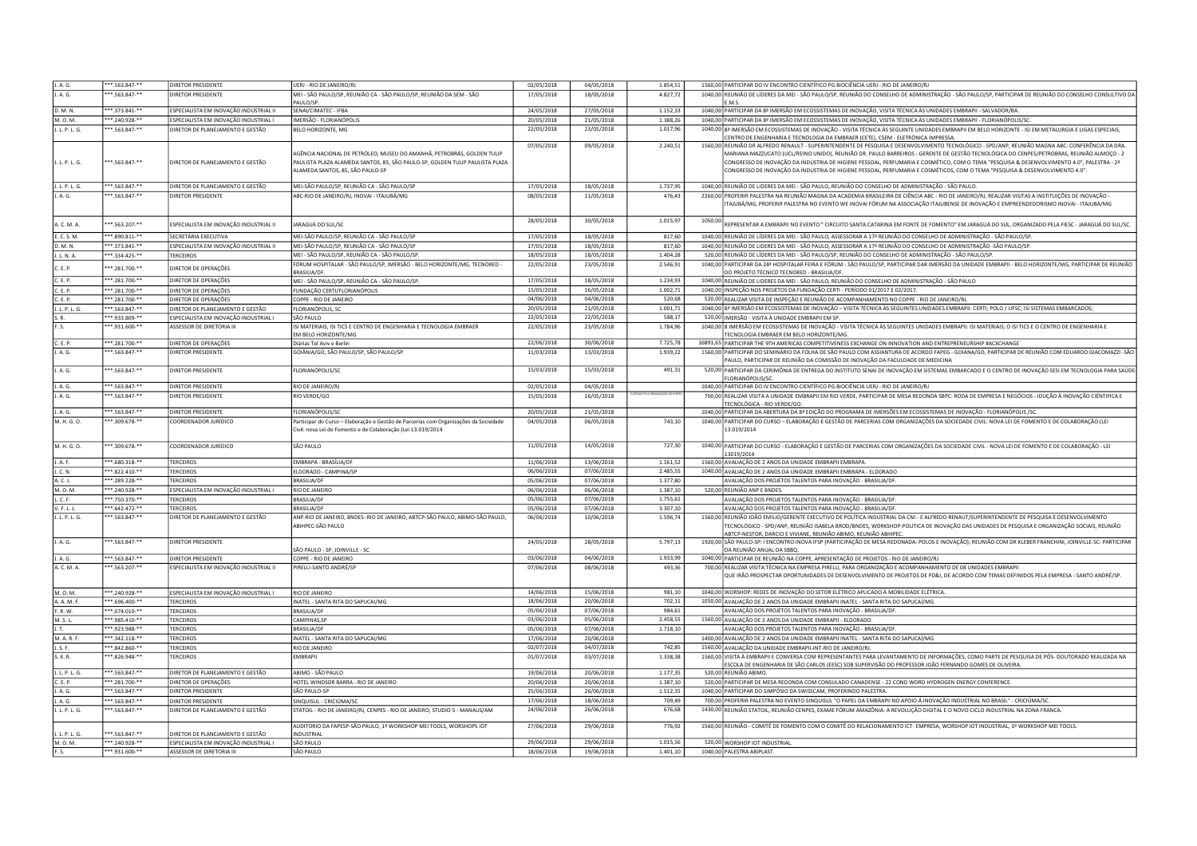| J. A. G.          | **.563.847-**                   | DIRETOR PRESIDENTE                                                 | UERJ - RIO DE JANEIRO/RJ                                                             | 02/05/2018 | 04/05/2018 | 1.854.51 |         | 1560,00 PARTICIPAR DO IV ENCONTRO CIENTÍFICO PG BIOCIÊNCIA UERJ - RIO DE JANEIRO/RJ                                                                                                                                                                                                          |
|-------------------|---------------------------------|--------------------------------------------------------------------|--------------------------------------------------------------------------------------|------------|------------|----------|---------|----------------------------------------------------------------------------------------------------------------------------------------------------------------------------------------------------------------------------------------------------------------------------------------------|
| J. A. G.          | **.563.847-**                   | DIRETOR PRESIDENTE                                                 | MEI - SÃO PAULO/SP, REUNIÃO CA - SÃO PAULO/SP, REUNIÃO DA SEM - SÃO                  | 17/05/2018 | 18/05/2018 | 4.827,72 |         | 1040,00 REUNIÃO DE LÍDERES DA MEI - SÃO PAULO/SP, REUNIÃO DO CONSELHO DE ADMINISTRAÇÃO - SÃO PAULO/SP, PARTICIPAR DE REUNIÃO DO CONSELHO CONSULTIVO DA                                                                                                                                       |
|                   |                                 |                                                                    | AULO/SP                                                                              |            |            |          |         | <b>FMS</b>                                                                                                                                                                                                                                                                                   |
| D. M. N.          | **.373.841-**                   | ESPECIALISTA EM INOVAÇÃO INDUSTRIAL II                             | SENAI/CIMATEC - IFBA                                                                 | 24/05/2018 | 27/05/2018 | 1.152.33 |         | 1040,00 PARTICIPAR DA 8ª IMERSÃO EM ECOSSISTEMAS DE INOVAÇÃO, VISITA TÉCNICA ÀS UNIDADES EMBRAPII - SALVADOR/BA.                                                                                                                                                                             |
| M. O. M.          | *.240.928-*                     | SPECIALISTA EM INOVAÇÃO INDUSTRIAL I                               | IMERSÃO - FLORIANÓPOLIS                                                              | 20/05/2018 | 21/05/2018 | 1.388.26 |         | 1040,00 PARTICIPAR DA 8ª IMERSÃO EM ECOSSISTEMAS DE INOVAÇÃO, VISITA TÉCNICA ÀS UNIDADES EMBRAPII - FLORIANÓPOLIS/SC.                                                                                                                                                                        |
| J. L. P. L. G.    | $*.563.847.**$                  | DIRETOR DE PLANEJAMENTO E GESTÃO                                   | BELO HORIZONTE, MG                                                                   | 22/05/2018 | 23/05/2018 | 1.017,96 |         | 1040,00 8ª IMERSÃO EM ECOSSISTEMAS DE INOVAÇÃO - VISITA TÉCNICA ÀS SEGUINTE UNIDADES EMBRAPII EM BELO HORIZONTE - ISI EM METALURGIA E LIGAS ESPECIAIS,                                                                                                                                       |
|                   |                                 |                                                                    |                                                                                      |            |            |          |         | CENTRO DE ENGENHARIA E TECNOLOGIA DA EMBRAER (CETE), CSEM - ELETRÒNICA IMPRESSA.                                                                                                                                                                                                             |
|                   |                                 |                                                                    | AGÊNCIA NACIONAL DE PETRÓLEO, MUSEU DO AMANHÃ, PETROBRÁS, GOLDEN TULIP               | 07/05/2018 | 09/05/2018 | 2.240,51 |         | 1560,00 REUNIÃO DR ALFREDO RENAULT - SUPERINTENDENTE DE PESQUISA E DESENVOLVIMENTO TECNOLÓGICO - SPD/ANP, REUNIÃO MAGNA ABC: CONFERÊNCIA DA DRA.<br>MARIANA MAZZUCATO (UCL/REINO UNIDO), REUNIÃO DR. PAULO BARREIROS - GERENTE DE GESTÃO TECNOLÓGICA DO CENPES/PETROBRAS, REUNIÃO ALMOÇO - 2 |
| . L. P. L. G.     | **.563.847-**                   | DIRETOR DE PLANEJAMENTO E GESTÃO                                   | PAULISTA PLAZA ALAMEDA SANTOS, 85, SÃO PAULO-SP, GOLDEN TULIP PAULISTA PLAZA         |            |            |          |         | CONGRESSO DE INOVAÇÃO DA INDUSTRIA DE HIGIENE PESSOAL, PERFUMARIA E COSMÉTICO, COM O TEMA "PESQUISA & DESENVOLVIMENTO 4.0", PALESTRA - 2º                                                                                                                                                    |
|                   |                                 |                                                                    | ALAMEDA SANTOS. 85. SÃO PAULO-SP                                                     |            |            |          |         | CONGRESSO DE INOVAÇÃO DA INDUSTRIA DE HIGIENE PESSOAL, PERFUMARIA E COSMÉTICOS, COM O TEMA "PESQUISA & DESENVOLVIMENTO 4.0".                                                                                                                                                                 |
|                   |                                 |                                                                    |                                                                                      |            |            |          |         |                                                                                                                                                                                                                                                                                              |
| L L P. L G.       | *** 563.847-**                  | DIRETOR DE PLANEJAMENTO E GESTÃO                                   | MEI-SÃO PAULO/SP, REUNIÃO CA - SÃO PAULO/SP                                          | 17/05/2018 | 18/05/2018 | 1.737,95 |         | 1040,00 REUNIÃO DE LIDERES DA MEI - SÃO PAULO, REUNIÃO DO CONSELHO DE ADMINISTRAÇÃO - SÃO PAULO.                                                                                                                                                                                             |
| J. A. G.          | **.563.847-**                   | <b>DIRETOR PRESIDENTE</b>                                          | ABC-RIO DE JANEIRO/RJ, INOVAI - ITAJUBÁ/MG                                           | 08/05/2018 | 11/05/2018 | 476,43   |         | 2260,00 PROFERIR PALESTRA NA REUNIÃO MAGNA DA ACADEMIA BRASILEIRA DE CIÊNCIA ABC - RIO DE JANEIRO/RJ, REALIZAR VISITAS A INSTITUIÇÕES DE INOVAÇÃO -                                                                                                                                          |
|                   |                                 |                                                                    |                                                                                      |            |            |          |         | ITAJUBÁ/MG, PROFERIR PALESTRA NO EVENTO WE INOVAI FÓRUM NA ASSOCIAÇÃO ITAJUBENSE DE INOVAÇÃO E EMPREENDEDORISMO INOVAI - ITAJUBÁ/MG                                                                                                                                                          |
|                   |                                 |                                                                    |                                                                                      |            |            |          |         |                                                                                                                                                                                                                                                                                              |
| A. C. M. A.       | ** 563.207-**                   | ESPECIALISTA EM INOVAÇÃO INDUSTRIAL II                             | ARAGUÁ DO SUL/SC                                                                     | 28/05/2018 | 30/05/2018 | 1.015,97 | 1050,00 | REPRESENTAR A EMBRAPII NO EVENTO " CIRCUITO SANTA CATARINA EM FONTE DE FOMENTO" EM JARAGUÁ DO SUL, ORGANIZADO PELA FIESC - JARAGUÁ DO SUL/SC                                                                                                                                                 |
| E. C. S. M.       | **.890.811-**                   | SECRETÁRIA EXECUTIVA                                               | MEI-SÃO PAULO/SP, REUNIÃO CA - SÃO PAULO/SP                                          | 17/05/2018 | 18/05/2018 | 817.60   |         | 1040,00 REUNIÃO DE LÍDERES DA MEI - SÃO PAULO, ASSESSORAR A 17ª REUNIÃO DO CONSELHO DE ADMINISTRAÇÃO - SÃO PAULO/SP.                                                                                                                                                                         |
| D. M. N.          | **.373.841-**                   | ESPECIALISTA EM INOVAÇÃO INDUSTRIAL II                             | MEI-SÃO PAULO/SP, REUNIÃO CA - SÃO PAULO/SP                                          | 17/05/2018 | 18/05/2018 | 817.60   |         | 1040,00 REUNIÃO DE LIDERES DA MEI - SÃO PAULO, ASSESSORAR A 17ª REUNIÃO DO CONSELHO DE ADMINISTRAÇÃO -SÃO PAULO/SP.                                                                                                                                                                          |
| J. L. N. A.       | **.334.425-**                   | TERCEIROS                                                          | MEI - SÃO PAULO/SP, REUNIÃO CA - SÃO PAULO/SP                                        | 18/05/2018 | 18/05/2018 | 1.404.28 |         | 520,00 REUNIÃO DE LÍDERES DA MEI - SÃO PAULO/SP, REUNIÃO DO CONSELHO DE ADMINISTRAÇÃO - SÃO PAULO/SP.                                                                                                                                                                                        |
|                   |                                 |                                                                    | FÓRUM HOSPITALAR - SÃO PAULO/SP, IMERSÃO - BELO HORIZONTE/MG, TECNORED -             | 22/05/2018 | 23/05/2018 | 2.546,91 |         | 1040,00 PARTICIPAR DA 24ª HOSPITALAR FEIRA E FÓRUM - SÃO PAULO/SP, PARTICIPAR DAR IMERSÃO DA UNIDADE EMBRAPII - BELO HORIZONTE/MG, PARTICIPAR DE REUNIÃO                                                                                                                                     |
| ". F. P.          | ** 281.700-**                   | DIRETOR DE OPERAÇÕES                                               | <b>BRASILIA/DF</b>                                                                   |            |            |          |         | DO PROJETO TÉCNICO TECNORED - BRASILIA/DF                                                                                                                                                                                                                                                    |
| C. E. P.          | $***.281.700***$                | DIRETOR DE OPERAÇÕES                                               | MEI - SÃO PAULO/SP, REUNIÃO CA - SÃO PAULO/SP.                                       | 17/05/2018 | 18/05/2018 | 1.234,93 |         | 1040,00 REUNIÃO DE LIDERES DA MEI - SÃO PAULO, REUNIÃO DO CONSELHO DE ADMINISTRAÇÃO - SÃO PAULO                                                                                                                                                                                              |
| C. E. P.          | **.281.700-**                   | DIRETOR DE OPERAÇÕES                                               | FUNDAÇÃO CERTI/FLORIANÓPOLIS                                                         | 15/05/2018 | 16/05/2018 | 1.002,71 |         | 1040,00 INSPEÇÃO NOS PROJETOS DA FUNDAÇÃO CERTI - PERÍODO 01/2017 E 02/2017                                                                                                                                                                                                                  |
| C. E. P.          | **.281.700-**                   | DIRETOR DE OPERACÕES                                               | COPPE - RIO DE JANEIRO                                                               | 04/06/2018 | 04/06/2018 | 520.68   |         | 520,00 REALIZAR VISITA DE INSPEÇÃO E REUNIÃO DE ACOMPANHAMENTO NO COPPE - RIO DE JANEIRO/RJ.                                                                                                                                                                                                 |
| J. L. P. L. G.    | **.563.847-**                   | DIRETOR DE PLANEJAMENTO E GESTÃO                                   | FLORIANÓPOLIS, SC                                                                    | 20/05/2018 | 21/05/2018 | 1.001,71 |         | 1040,00 8ª IMERSÃO EM ECOSSISTEMAS DE INOVAÇÃO - VISITA TÉCNICA ÀS SEGUINTES UNIDADES EMBRAPII: CERTI; POLO / UFSC; ISI SISTEMAS EMBARCADOS;                                                                                                                                                 |
| $S, R$ .          | ** 933.809.**                   | ESPECIALISTA EM INOVAÇÃO INDUSTRIAL I                              | SÃO PAULO                                                                            | 22/05/2018 | 22/05/2018 | 588.17   |         | 520,00 IMERSÃO - VISITA À UNIDADE EMBRAPII EM SP.                                                                                                                                                                                                                                            |
| F. S.             | **.931.600-**                   | ASSESSOR DE DIRETORIA III                                          | ISI MATERIAIS, ISI TICS E CENTRO DE ENGENHARIA E TECNOLOGIA EMBRAER                  | 22/05/2018 | 23/05/2018 | 1.784,96 |         | 1040,00 8 IMERSÃO EM ECOSSISTEMAS DE INOVAÇÃO - VISITA TÉCNICA ÀS SEGUINTES UNIDADES EMBRAPII: ISI MATERIAIS; O ISI TICS E O CENTRO DE ENGENHARIA E                                                                                                                                          |
|                   |                                 |                                                                    | EM BELO HORIZONTE/MG                                                                 |            |            |          |         | TECNOLOGIA EMBRAER EM BELO HORIZONTE/MG.                                                                                                                                                                                                                                                     |
| C. E. P.          | **.281.700-**                   | DIRETOR DE OPERAÇÕES                                               | Diárias Tel Aviv e Berlin                                                            | 22/06/2018 | 30/06/2018 | 7.725.78 |         | 16891,65 PARTICIPAR THE 9TH AMERICAS COMPETITIVENESS EXCHANGE ON INNOVATION AND ENTREPRENEURSHIP #ACXCHANGE                                                                                                                                                                                  |
| J. A. G.          | $*563.847.**$                   | DIRETOR PRESIDENTE                                                 | GOIÂNIA/GO, SÃO PAULO/SP, SÃO PAULO/SP                                               | 11/03/2018 | 13/03/2018 | 1.939,22 |         | 1560,00 PARTICIPAR DO SEMINÁRIO DA FOLHA DE SÃO PAULO COM ASSIANTURA DE ACORDO FAPEG - GOIANA/GO, PARTICIPAR DE REUNIÃO COM EDUARDO GIACOMAZZI -SÃC                                                                                                                                          |
|                   |                                 |                                                                    |                                                                                      |            |            |          |         | PAULO, PARTICIPAR DE REUNIÃO DA COMISSÃO DE INOVAÇÃO DA FACULDADE DE MEDICINA                                                                                                                                                                                                                |
| J. A. G.          | *.563.847-**                    | DIRETOR PRESIDENTE                                                 | LORIANÓPOLIS/SC                                                                      | 15/03/2018 | 15/03/2018 | 491,31   |         | 520,00 PARTICIPAR DA CERIMÔNIA DE ENTREGA DO INSTITUTO SENAI DE INOVAÇÃO EM SISTEMAS EMBARCADO E O CENTRO DE INOVAÇÃO SESI EM TECNOLOGIA PARA SAÚDE<br>FLORIANÓPOLIS/SO                                                                                                                      |
| J. A. G.          | ** 563.847-**                   | DIRETOR PRESIDENTE                                                 | RIO DE JANEIRO/RJ                                                                    | 02/05/2018 | 04/05/2018 |          |         | 1040,00 PARTICIPAR DO IV ENCONTRO CIENTÍFICO PG BIOCIÊNCIA UERJ - RIO DE JANEIRO/RJ                                                                                                                                                                                                          |
| J. A. G.          | $*$ .563.847-**                 | DIRETOR PRESIDENTE                                                 | RIO VERDE/GO                                                                         | 15/05/2018 | 16/05/2018 |          |         | 700,00 REALIZAR VISITA A UNIDADE EMBRAPII EM RIO VERDE, PARTICIPAR DE MESA REDONDA SBPC: RODA DE EMPRESA E NEGÓCIOS - IDUÇÃO À INOVAÇÃO CIÉNTIFICA E                                                                                                                                         |
|                   |                                 |                                                                    |                                                                                      |            |            |          |         | TECNOLÓGICA - RIO VERDE/GO.                                                                                                                                                                                                                                                                  |
| J. A. G.          | $***.563.847.**$                | DIRETOR PRESIDENTE                                                 | <b>FLORIANÓPOLIS/SC</b>                                                              | 20/05/2018 | 21/05/2018 |          |         | 1040,00 PARTICIPAR DA ABERTURA DA 8ª EDIÇÃO DO PROGRAMA DE IMERSÕES EM ECOSSISTEMAS DE INOVAÇÃO - FLORIANÓPOLIS /SC.                                                                                                                                                                         |
| M. H. G. O.       | **.309.678-**                   | COORDENADOR JURÍDICO                                               | Participar do Curso - Elaboração e Gestão de Parcerias com Organizações da Sociedade | 04/05/2018 | 06/05/2018 | 743,10   |         | 1040,00 PARTICIPAR DO CURSO - ELABORAÇÃO E GESTÃO DE PARCERIAS COM ORGANIZAÇÕES DA SOCIEDADE CIVIL: NOVA LEI DE FOMENTO E DE COLABORAÇÃO (LEI                                                                                                                                                |
|                   |                                 |                                                                    | Civil: nova Lei de Fomento e de Colaboração (Lei 13.019/2014                         |            |            |          |         | 13.019/2014                                                                                                                                                                                                                                                                                  |
|                   |                                 |                                                                    |                                                                                      |            |            |          |         |                                                                                                                                                                                                                                                                                              |
| M. H. G. O.       | **.309.678-**                   | COORDENADOR JURÍDICO                                               | SÃO PAULO                                                                            | 11/05/2018 | 14/05/2018 | 727,30   |         | 1040,00 PARTICIPAR DO CURSO - ELABORAÇÃO E GESTÃO DE PARCERIAS COM ORGANIZAÇÕES DA SOCIEDADE CIVIL - NOVA LEI DE FOMENTO E DE COLABORAÇÃO - LEI<br>13019/2014                                                                                                                                |
| J. A. F.          | $***.680.318***$                | <b>TERCEIROS</b>                                                   | EMBRAPA - BRASÍLIA/DF                                                                | 11/06/2018 | 13/06/2018 | 1.161,52 |         | 1560,00 AVALIAÇÃO DE 2 ANOS DA UNIDADE EMBRAPII EMBRAPA.                                                                                                                                                                                                                                     |
| J. C. N.          | **.822.410-**                   | <b>FERCEIROS</b>                                                   | ELDORADO - CAMPINA/SP                                                                | 06/06/2018 | 07/06/2018 | 2.485,55 |         | 1040,00 AVALIAÇÃO DE 2 ANOS DA UNIDADE EMBRAPII EMBRAPA - ELDORADO                                                                                                                                                                                                                           |
| A. C. J.          | **.289.228-**                   | <b>FERCEIROS</b>                                                   | <b>BRASILIA/DI</b>                                                                   | 05/06/2018 | 07/06/2018 | 1.377,80 |         | AVALIAÇÃO DOS PROJETOS TALENTOS PARA INOVAÇÃO - BRASILIA/DF                                                                                                                                                                                                                                  |
| M. O. M.          | **.240.928-**                   | ESPECIALISTA EM INOVAÇÃO INDUSTRIAL I                              | RIO DE JANEIRO                                                                       | 06/06/2018 | 06/06/2018 | 1.387.10 |         | 520,00 REUNIÃO ANP E BNDES.                                                                                                                                                                                                                                                                  |
| L. C. F.          | **.750.370-**                   | <b>FERCEIROS</b>                                                   | <b>BRASILIA/DF</b>                                                                   | 05/06/2018 | 07/06/2018 | 1.755,61 |         | AVALIAÇÃO DOS PROJETOS TALENTOS PARA INOVAÇÃO - BRASILIA/DF                                                                                                                                                                                                                                  |
| V. F. L. J.       | **.642.472-**                   | <b>TERCEIROS</b>                                                   | <b>BRASILIA/DF</b>                                                                   | 05/06/2018 | 07/06/2018 | 3.307,10 |         | AVALIAÇÃO DOS PROJETOS TALENTOS PARA INOVAÇÃO - BRASILIA/DF                                                                                                                                                                                                                                  |
| J. L. P. L. G.    | **.563.847-**                   | DIRETOR DE PLANEJAMENTO E GESTÃO                                   | ANP-RIO DE JANEIRO, BNDES- RIO DE JANEIRO, ABTCP-SÃO PAULO, ABIMO-SÃO PAULO,         | 06/06/2018 | 10/06/2018 | 1.596,74 |         | 1560,00 REUNIÃO JOÃO EMILIO/GERENTE EXECUTIVO DE POLÍTICA INDUSTRIAL DA CNI - E ALFREDO RENAUT/SUPERINTENDENTE DE PESQUISA E DESENVOLVIMENTO                                                                                                                                                 |
|                   |                                 |                                                                    | ABIHPEC-SÃO PAULO                                                                    |            |            |          |         | TECNOLÓGICO - SPD/ANP, REUNIÃO ISABELA BROD/BNDES, WORKSHOP-POLITICA DE INOVAÇÃO DAS UNIDADES DE PESQUISA E ORGANIZAÇÃO SOCIAIS, REUNIÃO                                                                                                                                                     |
|                   |                                 |                                                                    |                                                                                      |            |            |          |         | ABTCP-NESTOR, DARCIO E VIVIANE, REUNIÃO ABIMO, REUNIÃO ABIHPEC                                                                                                                                                                                                                               |
| J. A. G.          | $*563.847.**$                   | DIRETOR PRESIDENTE                                                 |                                                                                      | 24/05/2018 | 28/05/2018 | 5.797,13 |         | 1920,00 SÃO PAULO-SP: I ENCONTRO INOVA IFSP (PARTICIPAÇÃO DE MESA REDONADA: POLOS E INOVAÇÃO); REUNIÃO COM DR KLEBER FRANCHINI, JOINVILLE-SC: PARTICIPAR                                                                                                                                     |
|                   |                                 |                                                                    | SÃO PAULO - SP, JOINVILLE - SC                                                       |            |            |          |         | DA REUNIÃO ANUAL DA SBBO                                                                                                                                                                                                                                                                     |
| J. A. G.          | **.563.847-**                   | <b>DIRETOR PRESIDENTE</b>                                          | COPPE - RIO DE JANEIRO                                                               | 03/06/2018 | 04/06/2018 | 1.933,99 |         | 1040,00 PARTICIPAR DE REUNIÃO NA COPPE, APRESENTAÇÃO DE PROJETOS - RIO DE JANEIRO/RJ                                                                                                                                                                                                         |
| A. C. M. A.       | **.563.207-**                   | ESPECIALISTA EM INOVAÇÃO INDUSTRIAL II                             | PIRELLI-SANTO ANDRÉ/SP                                                               | 07/06/2018 | 08/06/2018 | 493,36   |         | 700,00 REALIZAR VISITA TÉCNICA NA EMPRESA PIRELLI, PARA ORGANIZAÇÃO E ACOMPANHAMENTO DE 08 UNIDADES EMBRAPII<br>QUE IRÃO PROSPECTAR OPORTUNIDADES DE DESENVOLVIMENTO DE PROJETOS DE PD&I, DE ACORDO COM TEMAS DEFINIDOS PELA EMPRESA - SANTO ANDRÉ/SP                                        |
|                   |                                 |                                                                    |                                                                                      |            |            |          |         |                                                                                                                                                                                                                                                                                              |
| M. O. M.          | **.240.928-**                   | ESPECIALISTA EM INOVAÇÃO INDUSTRIAL I                              | RIO DE JANEIRO                                                                       | 14/06/2018 | 15/06/2018 | 981,10   |         | 1040,00 WORSHOP: REDES DE INOVAÇÃO DO SETOR ELÉTRICO APLICADO À MOBILIDADE ELÉTRICA.                                                                                                                                                                                                         |
| A. A. M. F.       | $*696.400.*$                    | <b>TERCEIROS</b>                                                   | INATEL - SANTA RITA DO SAPUCAI/MG                                                    | 18/06/2018 | 20/06/2018 | 702,11   |         | 1050,00 AVALIAÇÃO DE 2 ANOS DA UNIDADE EMBRAPII INATEL - SANTA RITA DO SAPUCAÍ/MG                                                                                                                                                                                                            |
| F. R. W.          | **.074.010-**                   | <b>TERCEIROS</b>                                                   | <b>BRASILIA/DF</b>                                                                   | 05/06/2018 | 07/06/2018 | 984,61   |         | AVALIAÇÃO DOS PROJETOS TALENTOS PARA INOVAÇÃO - BRASILIA/DF                                                                                                                                                                                                                                  |
| M. S. L.          | **.985.410-**                   | <b>TERCEIROS</b>                                                   | CAMPINAS.SP                                                                          | 03/06/2018 | 05/06/2018 | 2.458,55 |         | 1560,00 AVALIAÇÃO DE 2 ANOS DA UNIDADE EMBRAPII - ELDORADO.                                                                                                                                                                                                                                  |
| J.T.              | **.923.988-**                   | <b>TERCEIROS</b>                                                   | <b>BRASILIA/DF</b>                                                                   | 05/06/2018 | 07/06/2018 | 1.718,10 |         | AVALIAÇÃO DOS PROJETOS TALENTOS PARA INOVAÇÃO - BRASILIA/DF                                                                                                                                                                                                                                  |
| <b>M.A.R.F</b>    | **.342.118-**                   | <b>TERCEIROS</b>                                                   | INATEL - SANTA RITA DO SAPUCAI/MG                                                    | 17/06/2018 | 20/06/2018 |          |         | 1400,00 AVALIAÇÃO DE 2 ANOS DA UNIDADE EMBRAPII INATEL - SANTA RITA DO SAPUCAÍ/MG                                                                                                                                                                                                            |
| J. S. F.          | **.842.860-**                   | TERCEIROS                                                          | RIO DE JANEIRO                                                                       | 02/07/2018 | 04/07/2018 | 742,85   |         | 1560,00 AVALIAÇÃO DA UNIDADE EMBRAPII-INT-RIO DE JANEIRO/RJ.                                                                                                                                                                                                                                 |
| S. X. R.          | **.826.948-**                   | <b>TERCEIROS</b>                                                   | <b>FMRRAPII</b>                                                                      | 01/07/2018 | 03/07/2018 | 1.338,38 |         | 1560,00 VISITA À EMBRAPII E CONVERSA COM REPRESENTANTES PARA LEVANTAMENTO DE INFORMAÇÕES, COMO PARTE DE PESQUISA DE PÓS- DOUTORADO REALIZADA NA                                                                                                                                              |
|                   |                                 |                                                                    |                                                                                      |            |            |          |         | ESCOLA DE ENGENHARIA DE SÃO CARLOS (EESC) SOB SUPERVISÃO DO PROFESSOR JOÃO FERNANDO GOMES DE OLIVEIRA                                                                                                                                                                                        |
| J. L. P. L. G.    | **.563.847-**                   | DIRETOR DE PLANEJAMENTO E GESTÃO                                   | ABIMO - SÃO PAULO                                                                    | 19/06/2018 | 20/06/2018 | 1.177,35 |         | 520.00 REUNIÃO ABIMO.                                                                                                                                                                                                                                                                        |
| C. E. P.          | **.281.700-**                   | DIRETOR DE OPERAÇÕES                                               | HOTEL WINDSOR BARRA - RIO DE JANEIRO                                                 | 20/06/2018 | 20/06/2018 | 1.387,10 |         | 520,00 PARTICIPAR DE MESA REDONDA COM CONSULADO CANADENSE - 22 COND WORD HYDROGEN ENERGY CONFERENCE.                                                                                                                                                                                         |
| J. A. G.          | **.563.847-**                   | DIRETOR PRESIDENTE                                                 | SÃO PAULO-SF                                                                         | 25/06/2018 | 26/06/2018 | 1.512,35 |         | 1040.00 PARTICIPAR DO SIMPÓSIO DA SWISSCAM, PROFERINDO PALESTRA                                                                                                                                                                                                                              |
| J. A. G.          | *.563.847-**                    | DIRETOR PRESIDENTE                                                 | SINQUISUL - CRICIÚMA/SO                                                              | 17/06/2018 | 18/06/2018 | 709,49   |         | 700,00 PROFERIR PALESTRA NO EVENTO SINQUISUL "O PAPEL DA EMBRAPII NO APOIO Á INOVAÇÃO INDUSTRIAL NO BRASIL" - CRICIÚMA/SC                                                                                                                                                                    |
| J. L. P. L. G.    | **.563.847-**                   | DIRETOR DE PLANEJAMENTO E GESTÃO                                   | STATOIL - RIO DE JANEIRO/RJ, CENPES - RIO DE JANEIRO, STUDIO 5 - MANAUS/AM           | 24/06/2018 | 26/06/2018 | 676,68   |         | 1430,00 REUNIÃO STATOIL, REUNIÃO CENPES, EXAME FÓRUM AMAZÔNIA: A REVOLUÇÃO DIGITAL E O NOVO CICLO INDUSTRIAL NA ZONA FRANCA.                                                                                                                                                                 |
|                   |                                 |                                                                    |                                                                                      |            |            |          |         |                                                                                                                                                                                                                                                                                              |
|                   | **.563.847-**                   |                                                                    | AUDITORIO DA FAPESP-SÃO PAULO, 1º WORKSHOP MEI TOOLS, WORSHOPS IOT<br>INDUSTRIAL     | 27/06/2018 | 29/06/2018 | 776,92   |         | 1560,00 REUNIÃO - COMITÊ DE FOMENTO COM O COMITÊ DO RELACIONAMENTO ICT- EMPRESA, WORSHOP IOT INDUSTRIAL, 1º WORKSHOP MEI TOOLS.                                                                                                                                                              |
| L. P. L. G.       |                                 | DIRETOR DE PLANEJAMENTO E GESTÃO                                   | SÃO PAULO                                                                            | 29/06/2018 | 29/06/2018 | 1.015.56 |         | 520,00 WORSHOP IOT INDUSTRIAL                                                                                                                                                                                                                                                                |
| M. O. M.<br>F. S. | ***.240.928-**<br>**.931.600-** | ESPECIALISTA EM INOVAÇÃO INDUSTRIAL I<br>ASSESSOR DE DIRETORIA III | SÃO PAULO                                                                            | 18/06/2018 | 19/06/2018 | 1.401.10 |         | 1040,00 PALESTRA ABIPLAST.                                                                                                                                                                                                                                                                   |
|                   |                                 |                                                                    |                                                                                      |            |            |          |         |                                                                                                                                                                                                                                                                                              |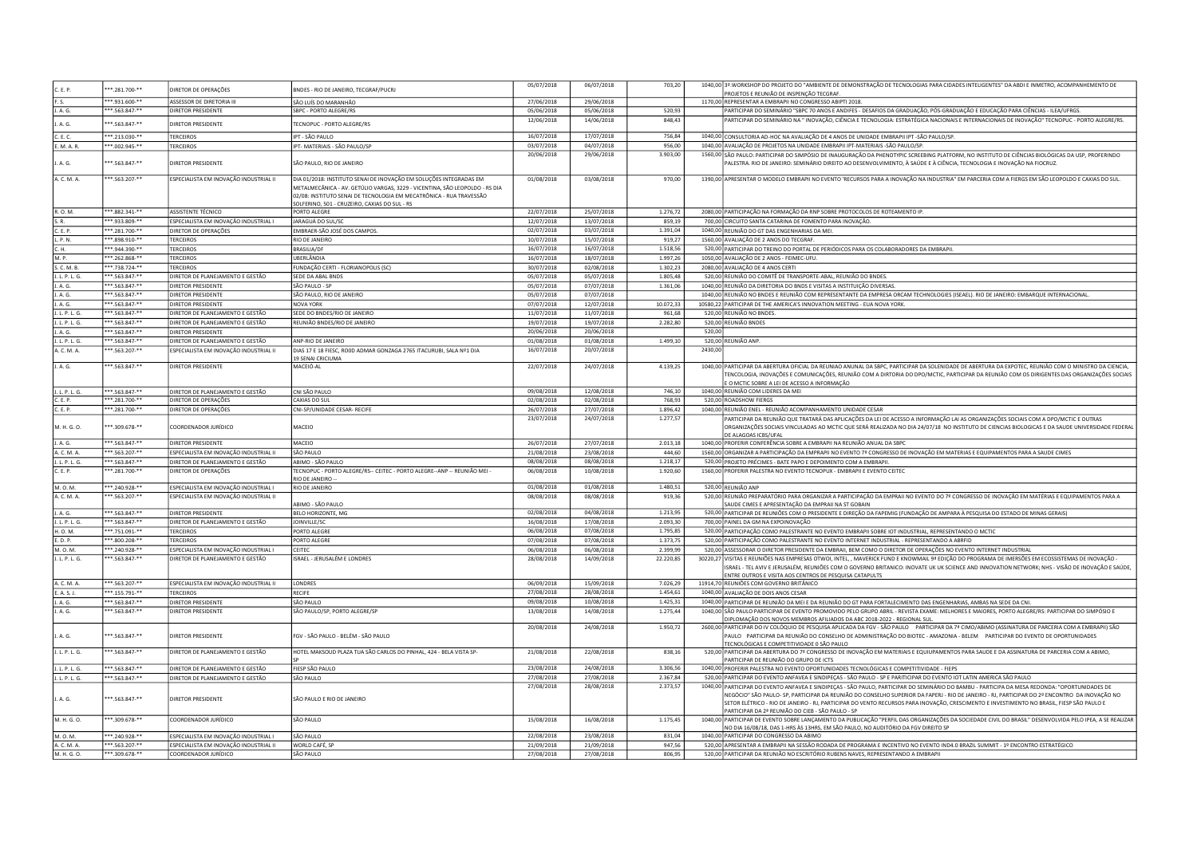| C. E. P.       | ***.281.700-**   | DIRETOR DE OPERAÇÕES                   | BNDES - RIO DE JANEIRO, TECGRAF/PUCRJ                                                                                                             | 05/07/2018 | 06/07/2018 | 703,20    |          | 1040,00 3º WORKSHOP DO PROJETO DO "AMBIENTE DE DEMONSTRAÇÃO DE TECNOLOGIAS PARA CIDADES INTELIGENTES" DA ABDI E INMETRO, ACOMPANHEMENTO DE<br>ROJETOS E REUNIÃO DE INSPENÇÃO TECGRAF                                                                                                                                                                                                                                                                                                            |
|----------------|------------------|----------------------------------------|---------------------------------------------------------------------------------------------------------------------------------------------------|------------|------------|-----------|----------|-------------------------------------------------------------------------------------------------------------------------------------------------------------------------------------------------------------------------------------------------------------------------------------------------------------------------------------------------------------------------------------------------------------------------------------------------------------------------------------------------|
| F. S.          | **.931.600-**    | ASSESSOR DE DIRETORIA III              | SÃO LUÍS DO MARANHÃO                                                                                                                              | 27/06/2018 | 29/06/2018 |           |          | 1170,00 REPRESENTAR A EMBRAPII NO CONGRESSO ABIPTI 2018.                                                                                                                                                                                                                                                                                                                                                                                                                                        |
| J. A. G.       | **.563.847-**    | DIRETOR PRESIDENTE                     | SBPC - PORTO ALEGRE/RS                                                                                                                            | 05/06/2018 | 05/06/2018 | 520,93    |          | ARTICIPAR DO SEMINÁRIO "SBPC 70 ANOS E ANDIFES - DESAFIOS DA GRADUAÇÃO, PÓS-GRADUAÇÃO E EDUCAÇÃO PARA CIÊNCIAS - ILEA/UFRGS.                                                                                                                                                                                                                                                                                                                                                                    |
| . A. G.        | ***.563.847-**   | DIRETOR PRESIDENTE                     | <b>FECNOPUC - PORTO ALEGRE/RS</b>                                                                                                                 | 12/06/2018 | 14/06/2018 | 848,43    |          | PARTICIPAR DO SEMINÁRIO NA " INOVAÇÃO, CIÊNCIA E TECNOLOGIA: ESTRATÉGICA NACIONAIS E INTERNACIONAIS DE INOVAÇÃO" TECNOPUC - PORTO ALEGRE/RS.                                                                                                                                                                                                                                                                                                                                                    |
| C. E. C.       | ***.213.030-**   | <b>TERCEIROS</b>                       | IPT - SÃO PAULO                                                                                                                                   | 16/07/2018 | 17/07/2018 | 756,84    |          | 1040,00 CONSULTORIA AD-HOC NA AVALIAÇÃO DE 4 ANOS DE UNIDADE EMBRAPII IPT -SÃO PAULO/SP.                                                                                                                                                                                                                                                                                                                                                                                                        |
| E. M. A. R     | ***.002.945-**   |                                        |                                                                                                                                                   | 03/07/2018 | 04/07/2018 | 956,00    |          | 1040,00 AVALIAÇÃO DE PROJETOS NA UNIDADE EMBRAPII IPT-MATERIAIS -SÃO PAULO/SP.                                                                                                                                                                                                                                                                                                                                                                                                                  |
| A. G.          | **.563.847-**    | <b>TERCEIROS</b><br>DIRETOR PRESIDENTE | IPT- MATERIAIS - SÃO PAULO/SP<br>SÃO PAULO, RIO DE JANEIRO                                                                                        | 20/06/2018 | 29/06/2018 | 3.903,00  |          | 1560,00 SÃO PAULO: PARTICIPAR DO SIMPÓSIO DE INAUGURAÇÃO DA PHENOTYPIC SCREEBING PLATFORM, NO INSTITUTO DE CIÊNCIAS BIOLÓGICAS DA USP, PROFERINDO<br>PALESTRA. RIO DE JANEIRO: SEMINÁRIO DIREITO AO DESENVOLVIMENTO, À SAÚDE E À CIÊNCIA, TECNOLOGIA E INOVAÇÃO NA FIOCRUZ.                                                                                                                                                                                                                     |
| A. C. M. A.    | **.563.207-**    | ESPECIALISTA EM INOVAÇÃO INDUSTRIAL II | DIA 01/2018: INSTITUTO SENAI DE INOVAÇÃO EM SOLUÇÕES INTEGRADAS EM<br>METALMECÂNICA - AV. GETÚLIO VARGAS, 3229 - VICENTINA, SÃO LEOPOLDO - RS DIA | 01/08/2018 | 03/08/2018 | 970,00    |          | 1390,00 APRESENTAR O MODELO EMBRAPII NO EVENTO 'RECURSOS PARA A INOVAÇÃO NA INDUSTRIA" EM PARCERIA COM A FIERGS EM SÃO LEOPOLDO E CAXIAS DO SUL.                                                                                                                                                                                                                                                                                                                                                |
|                |                  |                                        | 02/08: INSTITUTO SENAI DE TECNOLOGIA EM MECATRÔNICA - RUA TRAVESSÃO<br>SOLFERINO, 501 - CRUZEIRO, CAXIAS DO SUL - RS                              |            |            |           |          |                                                                                                                                                                                                                                                                                                                                                                                                                                                                                                 |
| R. O. M.       | ***.882.341-**   | ASSISTENTE TÉCNICO                     | PORTO ALEGRE                                                                                                                                      | 22/07/2018 | 25/07/2018 | 1.276.72  |          | 2080,00 PARTICIPAÇÃO NA FORMAÇÃO DA RNP SOBRE PROTOCOLOS DE ROTEAMENTO IP.                                                                                                                                                                                                                                                                                                                                                                                                                      |
| S.R.           | **.933.809-**    | ESPECIALISTA EM INOVAÇÃO INDUSTRIAL I  | JARAGUÁ DO SUL/SC                                                                                                                                 | 12/07/2018 | 13/07/2018 | 859.19    |          | 700,00 CIRCUITO SANTA CATARINA DE FOMENTO PARA INOVAÇÃO.                                                                                                                                                                                                                                                                                                                                                                                                                                        |
| C. E. P.       | ***.281.700-**   | DIRETOR DE OPERAÇÕES                   | EMBRAER-SÃO JOSÉ DOS CAMPOS.                                                                                                                      | 02/07/2018 | 03/07/2018 | 1.391,04  |          | 1040,00 REUNIÃO DO GT DAS ENGENHARIAS DA MEI.                                                                                                                                                                                                                                                                                                                                                                                                                                                   |
| L. P. N.       | ***.898.910-**   | <b>TERCEIROS</b>                       | RIO DE JANEIRO                                                                                                                                    | 10/07/2018 | 15/07/2018 | 919,27    |          | 1560,00 AVALIAÇÃO DE 2 ANOS DO TECGRAF.                                                                                                                                                                                                                                                                                                                                                                                                                                                         |
| C. H.          | ***.944.390-**   | <b>TERCEIROS</b>                       | <b>BRASILIA/DF</b>                                                                                                                                | 16/07/2018 | 16/07/2018 | 1.518.56  |          | 520,00 PARTICIPAR DO TREINO DO PORTAL DE PERIÓDICOS PARA OS COLABORADORES DA EMBRAPII.                                                                                                                                                                                                                                                                                                                                                                                                          |
| M. P.          | ***.262.868-**   | <b>TERCEIROS</b>                       | UBERLÂNDIA                                                                                                                                        | 16/07/2018 | 18/07/2018 | 1.997.26  |          | 1050,00 AVALIAÇÃO DE 2 ANOS - FEIMEC-UFU.                                                                                                                                                                                                                                                                                                                                                                                                                                                       |
| S. C. M. B     | ***.738.724-**   | <b>TERCEIROS</b>                       | FUNDAÇÃO CERTI - FLORIANOPOLIS (SC)                                                                                                               | 30/07/2018 | 02/08/2018 | 1.302.23  |          | 2080.00 AVALIAÇÃO DE 4 ANOS CERTI                                                                                                                                                                                                                                                                                                                                                                                                                                                               |
|                |                  |                                        |                                                                                                                                                   |            |            | 1.805.48  |          |                                                                                                                                                                                                                                                                                                                                                                                                                                                                                                 |
| J. L. P. L. G. | ***.563.847-**   | DIRETOR DE PLANEJAMENTO E GESTÃO       | SEDE DA ABAL BNDS                                                                                                                                 | 05/07/2018 | 05/07/2018 |           |          | 520,00 REUNIÃO DO COMITÊ DE TRANSPORTE-ABAL, REUNIÃO DO BNDES.                                                                                                                                                                                                                                                                                                                                                                                                                                  |
| l. A. G.       | ***.563.847-**   | DIRETOR PRESIDENTE                     | SÃO PAULO - SP                                                                                                                                    | 05/07/2018 | 07/07/2018 | 1.361,06  |          | 1040,00 REUNIÃO DA DIRETORIA DO BNDS E VISITAS A INSTITUIÇÃO DIVERSAS.                                                                                                                                                                                                                                                                                                                                                                                                                          |
| J. A. G.       | ***.563.847-**   | DIRETOR PRESIDENTE                     | SÃO PAULO, RIO DE JANEIRO                                                                                                                         | 05/07/2018 | 07/07/2018 |           |          | 1040,00 REUNIÃO NO BNDES E REUNIÃO COM REPRESENTANTE DA EMPRESA ORCAM TECHNOLOGIES (ISEAEL). RIO DE JANEIRO: EMBARQUE INTERNACIONAL.                                                                                                                                                                                                                                                                                                                                                            |
| J. A. G.       | ***.563.847-**   | <b>DIRETOR PRESIDENTE</b>              | NOVA YORK                                                                                                                                         | 07/07/2018 | 12/07/2018 | 10.072,33 |          | 10580,22 PARTICIPAR DE THE AMERICA'S INNOVATION MEETING - EUA NOVA YORK.                                                                                                                                                                                                                                                                                                                                                                                                                        |
| J, L, P, L, G  | ***.563.847-**   | DIRETOR DE PLANEJAMENTO E GESTÃO       | SEDE DO BNDES/RIO DE JANEIRO                                                                                                                      | 11/07/2018 | 11/07/2018 | 961,68    |          | 520,00 REUNIÃO NO BNDES                                                                                                                                                                                                                                                                                                                                                                                                                                                                         |
| J. L. P. L. G. | ***.563.847-**   | DIRETOR DE PLANEJAMENTO E GESTÃO       | REUNIÃO BNDES/RIO DE JANEIRO                                                                                                                      | 19/07/2018 | 19/07/2018 | 2.282,80  |          | 520,00 REUNIÃO BNDES                                                                                                                                                                                                                                                                                                                                                                                                                                                                            |
| J. A. G.       | $***.563.847.**$ | <b>DIRETOR PRESIDENTE</b>              |                                                                                                                                                   | 20/06/2018 | 20/06/2018 |           | 520.00   |                                                                                                                                                                                                                                                                                                                                                                                                                                                                                                 |
| J. L. P. L. G. | $***.563.847.**$ | DIRETOR DE PLANEJAMENTO E GESTÃO       | ANP-RIO DE JANEIRO                                                                                                                                | 01/08/2018 | 01/08/2018 | 1.499,10  |          | 520,00 REUNIÃO ANP.                                                                                                                                                                                                                                                                                                                                                                                                                                                                             |
|                |                  |                                        |                                                                                                                                                   |            |            |           |          |                                                                                                                                                                                                                                                                                                                                                                                                                                                                                                 |
| A. C. M. A.    | **.563.207-**    | ESPECIALISTA EM INOVAÇÃO INDUSTRIAL II | DIAS 17 E 18 FIESC, ROOD ADMAR GONZAGA 2765 ITACURUBI, SALA Nº1 DIA<br><b>19 SENAI CRICIUMA</b>                                                   | 16/07/2018 | 20/07/2018 |           | 2430,00  |                                                                                                                                                                                                                                                                                                                                                                                                                                                                                                 |
| J. A. G.       | $***.563.847.**$ | <b>DIRETOR PRESIDENTE</b>              | MACEIÓ-AL                                                                                                                                         | 22/07/2018 | 24/07/2018 | 4.139,25  | 1040.00  | PARTICIPAR DA ABERTURA OFICIAL DA REUNIAO ANUNAL DA SBPC, PARTICIPAR DA SOLENIDADE DE ABERTURA DA EXPOTEC, REUNIÃO COM O MINISTRO DA CIENCIA,<br>ENCOLOGIA, INOVAÇÕES E COMUNICAÇÕES, REUNIÃO COM A DIRTORIA DO DPO/MCTIC, PARTICIPAR DA REUNIÃO COM OS DIRIGENTES DAS ORGANIZAÇÕES SOCIAIS<br>O MCTIC SOBRE A LEI DE ACESSO A INFORMACÃO                                                                                                                                                       |
| 1.1. P. 1. G.  | *** 563.847-**   | DIRETOR DE PLANEJAMENTO E GESTÃO       | CNI SÃO PAULO                                                                                                                                     | 09/08/2018 | 12/08/2018 | 746.10    |          | 1040,00 REUNIÃO COM LIDERES DA MEI                                                                                                                                                                                                                                                                                                                                                                                                                                                              |
| C. E. P.       | ***.281.700-**   | DIRETOR DE OPERAÇÕES                   | CAXIAS DO SUL                                                                                                                                     | 02/08/2018 | 02/08/2018 | 768,93    |          | 520,00 ROADSHOW FIERGS                                                                                                                                                                                                                                                                                                                                                                                                                                                                          |
| C. E. P.       | ***.281.700-**   | DIRETOR DE OPERAÇÕES                   | CNI-SP/UNIDADE CESAR- RECIFE                                                                                                                      | 26/07/2018 | 27/07/2018 | 1.896,42  |          | 1040,00 REUNIÃO ENEL - REUNIÃO ACOMPANHAMENTO UNIDADE CESAR                                                                                                                                                                                                                                                                                                                                                                                                                                     |
| M. H. G. O.    | ***.309.678-**   | COORDENADOR JURÍDICO                   | MACEIO                                                                                                                                            | 23/07/2018 | 24/07/2018 | 1.277,57  |          | PARTICIPAR DA REUNIÃO QUE TRATARÁ DAS APLICAÇÕES DA LEI DE ACESSO A INFORMAÇÃO LAI AS ORGANIZAÇÕES SOCIAIS COM A DPO/MCTIC E OUTRAS<br>ORGANIZAÇÕES SOCIAIS VINCULADAS AO MCTIC QUE SERÁ REALIZADA NO DIA 24/07/18 NO INSTITUTO DE CIENCIAS BIOLOGICAS E DA SAUDE UNIVERSIDADE FEDERAL<br><b>DE ALAGOAS ICBS/UFAL</b>                                                                                                                                                                           |
| J. A. G.       | **.563.847-**    | DIRETOR PRESIDENTE                     | MACEIO                                                                                                                                            | 26/07/2018 | 27/07/2018 | 2.013,18  | 1040,00  | PROFERIR CONFERÊNCIA SOBRE A EMBRAPII NA REUNIÃO ANUAL DA SBPC                                                                                                                                                                                                                                                                                                                                                                                                                                  |
| A. C. M. A     | $*.563.207-*$    | ESPECIALISTA EM INOVAÇÃO INDUSTRIAL II | SÃO PAULO                                                                                                                                         | 21/08/2018 | 23/08/2018 | 444,60    | 1560.00  | DRGANIZAR A PARTICIPAÇÃO DA EMPRAPII NO EVENTO 7º CONGRESSO DE INOVAÇÃO EM MATERIAS E EQUIPAMENTOS PARA A SAUDE CIMES                                                                                                                                                                                                                                                                                                                                                                           |
| J. L. P. L. G. | $*563.847.**$    | DIRETOR DE PLANEJAMENTO E GESTÃO       | ABIMO - SÃO PAULO                                                                                                                                 | 08/08/2018 | 08/08/2018 | 1.218,17  | 520.00   | <b>PROJETO PRÉCIMES - BATE PAPO E DEPOIMENTO COM A EMBRAPII</b>                                                                                                                                                                                                                                                                                                                                                                                                                                 |
|                |                  |                                        |                                                                                                                                                   |            |            |           | 1560.00  |                                                                                                                                                                                                                                                                                                                                                                                                                                                                                                 |
| C. E. P.       | $*$ .281.700-**  | DIRETOR DE OPERAÇÕES                   | FECNOPUC - PORTO ALEGRE/RS -- CEITEC - PORTO ALEGRE -- ANP -- REUNIÃO MEI<br><b>RIO DE JANEIRO</b>                                                | 06/08/2018 | 10/08/2018 | 1.920,60  |          | PROFERIR PALESTRA NO EVENTO TECNOPUX - EMBRAPII E EVENTO CEITEC                                                                                                                                                                                                                                                                                                                                                                                                                                 |
| M. O. M.       | ***.240.928-**   | ESPECIALISTA EM INOVAÇÃO INDUSTRIAL I  | RIO DE JANEIRO                                                                                                                                    | 01/08/2018 | 01/08/2018 | 1.480,51  |          | 520.00 REUNIÃO ANP                                                                                                                                                                                                                                                                                                                                                                                                                                                                              |
| A. C. M. A.    | **.563.207-**    | ESPECIALISTA EM INOVAÇÃO INDUSTRIAL II | ABIMO - SÃO PAULO                                                                                                                                 | 08/08/2018 | 08/08/2018 | 919,36    |          | 520,00 REUNIÃO PREPARATÓRIO PARA ORGANIZAR A PARTICIPAÇÃO DA EMPRAII NO EVENTO DO 7º CONGRESSO DE INOVAÇÃO EM MATÉRIAS E EQUIPAMENTOS PARA A<br>SAUDE CIMES E APRESENTAÇÃO DA EMPRAII NA ST GOBAIN                                                                                                                                                                                                                                                                                              |
| J. A. G.       | ***.563.847-**   | <b>DIRETOR PRESIDENTE</b>              | <b>BELO HORIZONTE, MG</b>                                                                                                                         | 02/08/2018 | 04/08/2018 | 1.213,95  |          | 520,00 PARTICIPAR DE REUNIÕES COM O PRESIDENTE E DIREÇÃO DA FAPEMIG (FUNDAÇÃO DE AMPARA À PESQUISA DO ESTADO DE MINAS GERAIS)                                                                                                                                                                                                                                                                                                                                                                   |
| J, L, P, L, G  | ***.563.847-**   | DIRETOR DE PLANEJAMENTO E GESTÃO       | JOINVILLE/SC                                                                                                                                      | 16/08/2018 | 17/08/2018 | 2.093,30  |          | 700,00 PAINEL DA GM NA EXPOINOVAÇÃO                                                                                                                                                                                                                                                                                                                                                                                                                                                             |
| H. O. M.       | ***.751.091-**   | <b>TERCEIROS</b>                       | PORTO ALEGRE                                                                                                                                      | 06/08/2018 | 07/08/2018 | 1.795,85  |          | 520,00 PARTICIPAÇÃO COMO PALESTRANTE NO EVENTO EMBRAPII SOBRE IOT INDUSTRIAL, REPRESENTANDO O MCTIC                                                                                                                                                                                                                                                                                                                                                                                             |
| E. D. P.       | ***.800.208-**   | <b>TERCEIROS</b>                       | PORTO ALEGRE                                                                                                                                      | 07/08/2018 | 07/08/2018 | 1.373,75  |          | 520,00 PARTICIPAÇÃO COMO PALESTRANTE NO EVENTO INTERNET INDUSTRIAL - REPRESENTANDO A ABRFID                                                                                                                                                                                                                                                                                                                                                                                                     |
| M. O. M.       | ***.240.928-**   |                                        | <b>CEITEC</b>                                                                                                                                     |            |            |           |          |                                                                                                                                                                                                                                                                                                                                                                                                                                                                                                 |
|                |                  | ESPECIALISTA EM INOVAÇÃO INDUSTRIAL I  |                                                                                                                                                   | 06/08/2018 | 06/08/2018 | 2.399,99  |          | 520,00 ASSESSORAR O DIRETOR PRESIDENTE DA EMBRAII, BEM COMO O DIRETOR DE OPERAÇÕES NO EVENTO INTERNET INDUSTRIAL                                                                                                                                                                                                                                                                                                                                                                                |
| J. L. P. L. G. | ***.563.847-**   | DIRETOR DE PLANEJAMENTO E GESTÃO       | ISRAEL - JERUSALÉM E LONDRES                                                                                                                      | 28/08/2018 | 14/09/2018 | 22.220,85 | 30220.27 | VISITAS E REUNIÕES NAS EMPRESAS OTWOI, INTEL, , MAVERICK FUND E KNOWMAIL 9ª EDIÇÃO DO PROGRAMA DE IMERSÕES EM ECOSSISTEMAS DE INOVAÇÃO<br>ISRAEL - TEL AVIV E JERUSALÉM, REUNIÕES COM O GOVERNO BRITANICO: INOVATE UK UK SCIENCE AND INNOVATION NETWORK; NHS - VISÃO DE INOVAÇÃO E SAÚDE,<br>ENTRE OUTROS E VISITA AOS CENTROS DE PESQUISA CATAPULTS                                                                                                                                            |
| A. C. M. A.    | ***.563.207-**   | ESPECIALISTA EM INOVAÇÃO INDUSTRIAL II | LONDRES                                                                                                                                           | 06/09/2018 | 15/09/2018 | 7.026,29  |          | 11914,70 REUNIÕES COM GOVERNO BRITÂNICO                                                                                                                                                                                                                                                                                                                                                                                                                                                         |
| E. A. S. J.    | ***.155.791-**   | <b>TERCEIROS</b>                       | RECIFE                                                                                                                                            | 27/08/2018 | 28/08/2018 | 1.454.61  |          | 1040.00 AVALIAÇÃO DE DOIS ANOS CESAR                                                                                                                                                                                                                                                                                                                                                                                                                                                            |
| J. A. G.       | ***.563.847-**   | DIRETOR PRESIDENTE                     | SÃO PAULO                                                                                                                                         | 09/08/2018 | 10/08/2018 | 1.425,31  |          | 1040,00 PARTICIPAR DE REUNIÃO DA MEI E DA REUNIÃO DO GT PARA FORTALECIMENTO DAS ENGENHARIAS, AMBAS NA SEDE DA CNI.                                                                                                                                                                                                                                                                                                                                                                              |
| l. A. G.       | ***.563.847-**   | DIRETOR PRESIDENTE                     | SÃO PAULO/SP, PORTO ALEGRE/SP                                                                                                                     | 13/08/2018 | 14/08/2018 | 1.275,44  |          | 1040,00 SÃO PAULO PARTICIPAR DE EVENTO PROMOVIDO PELO GRUPO ABRIL - REVISTA EXAME: MELHORES E MAIORES, PORTO ALEGRE/RS: PARTICIPAR DO SIMPÓSIO E<br>DIPLOMAÇÃO DOS NOVOS MEMBROS AFILIADOS DA ABC 2018-2022 - REGIONAL SUL                                                                                                                                                                                                                                                                      |
| . A. G.        | **.563.847-**    | DIRETOR PRESIDENTE                     | FGV - SÃO PAULO - BELÉM - SÃO PAULO                                                                                                               | 20/08/2018 | 24/08/2018 | 1.950,72  |          | 2600,00 PARTICIPAR DO IV COLÓQUIO DE PESQUISA APLICADA DA FGV - SÃO PAULO PARTICIPAR DA 7ª CIMO/ABIMO (ASSINATURA DE PARCERIA COM A EMBRAPII) SÃO<br>PAULO PARTICIPAR DA REUNIÃO DO CONSELHO DE ADMINISTRAÇÃO DO BIOTEC - AMAZONIA - BELEM PARTICIPAR DO EVENTO DE OPORTUNIDADES<br>FECNOLÓGICAS E COMPETITIVIDADE O SÃO PAULO                                                                                                                                                                  |
| J. L. P. L. G. | **.563.847-**    | DIRETOR DE PLANEJAMENTO E GESTÃO       | HOTEL MAKSOUD PLAZA TUA SÃO CARLOS DO PINHAL, 424 - BELA VISTA SP-                                                                                | 21/08/2018 | 22/08/2018 | 838,16    |          | 520,00 PARTICIPAR DA ABERTURA DO 7º CONGRESSO DE INOVAÇÃO EM MATERIAIS E EQUIUPAMENTOS PARA SAUDE E DA ASSINATURA DE PARCERIA COM A ABIMO,<br>PARTICIPAR DE REUNIÃO DO GRUPO DE ICTS                                                                                                                                                                                                                                                                                                            |
| J. L. P. L. G. | ***.563.847-**   | DIRETOR DE PLANEJAMENTO E GESTÃO       | FIESP SÃO PAULO                                                                                                                                   | 23/08/2018 | 24/08/2018 | 3.306,56  |          | 1040,00 PROFERIR PALESTRA NO EVENTO OPORTUNIDADES TECNOLÓGICAS E COMPETITIVIDADE - FIEPS                                                                                                                                                                                                                                                                                                                                                                                                        |
| J. L. P. L. G. | ***.563.847-**   | DIRETOR DE PLANEJAMENTO E GESTÃO       | SÃO PAULO                                                                                                                                         | 27/08/2018 | 27/08/2018 | 2.367,84  |          | 520,00 PARTICIPAR DO EVENTO ANFAVEA E SINDIPEÇAS - SÃO PAULO - SP E PARITICIPAR DO EVENTO IOT LATIN AMERICA SÃO PAULO                                                                                                                                                                                                                                                                                                                                                                           |
| I. A. G.       | ** 563.847-**    | <b>DIRETOR PRESIDENTE</b>              | SÃO PAULO E RIO DE JANEIRO                                                                                                                        | 27/08/2018 | 28/08/2018 | 2.373,57  |          | 1040,00 PARTICIPAR DO EVENTO ANFAVEA E SINDIPEÇAS - SÃO PAULO, PARTICIPAR DO SEMINÁRIO DO BAMBU - PARTICIPA DA MESA REDONDA: "OPORTUNIDADES DE<br>NEGÓCIO" SÃO PAULO-SP, PARTICIPAR DA REUNIÃO DO CONSELHO SUPERIOR DA FAPERJ - RIO DE JANEIRO - RJ, PARTICIPAR DO 2º ENCONTRO DA INOVAÇÃO NO<br>SETOR ELÉTRICO - RIO DE JANEIRO - RJ, PARTICIPAR DO VENTO RECURSOS PARA INOVAÇÃO, CRESCIMENTO E INVESTIMENTO NO BRASIL, FIESP SÃO PAULO E<br>PARTICIPAR DA 2ª REUNIÃO DO CIEB - SÃO PAULO - SP |
| M. H. G. O.    | **.309.678-**    | COORDENADOR JURÍDICO                   | SÃO PAULO                                                                                                                                         | 15/08/2018 | 16/08/2018 | 1.175,45  |          | 1040,00 PARTICIPAR DE EVENTO SOBRE LANÇAMENTO DA PUBLICAÇÃO "PERFIL DAS ORGANIZAÇÕES DA SOCIEDADE CIVIL DO BRASIL" DESENVOLVIDA PELO IPEA, A SE REALIZAR<br>NO DIA 16/08/18, DAS 1-HRS ÀS 13HRS, EM SÃO PAULO, NO AUDITÓRIO DA FGV DIREITO SP                                                                                                                                                                                                                                                   |
| M. O. M.       | ***.240.928-**   | ESPECIALISTA EM INOVAÇÃO INDUSTRIAL I  | SÃO PAULO                                                                                                                                         | 22/08/2018 | 23/08/2018 | 831,04    |          | 1040,00 PARTICIPAR DO CONGRESSO DA ABIMO                                                                                                                                                                                                                                                                                                                                                                                                                                                        |
| A. C. M. A     | ***.563.207-**   | ESPECIALISTA EM INOVAÇÃO INDUSTRIAL II | WORLD CAFÉ, SF                                                                                                                                    | 21/09/2018 | 21/09/2018 | 947.56    |          | 520,00 APRESENTAR A EMBRAPII NA SESSÃO RODADA DE PROGRAMA E INCENTIVO NO EVENTO IND4.0 BRAZIL SUMMIT - 1º ENCONTRO ESTRATÉGICO                                                                                                                                                                                                                                                                                                                                                                  |
| M. H. G. O.    | ***.309.678-**   | COORDENADOR JURÍDICO                   | SÃO PAULO                                                                                                                                         | 27/08/2018 | 27/08/2018 | 806,95    |          | 520,00 PARTICIPAR DA REUNIÃO NO ESCRITÓRIO RUBENS NAVES, REPRESENTANDO A EMBRAPII                                                                                                                                                                                                                                                                                                                                                                                                               |
|                |                  |                                        |                                                                                                                                                   |            |            |           |          |                                                                                                                                                                                                                                                                                                                                                                                                                                                                                                 |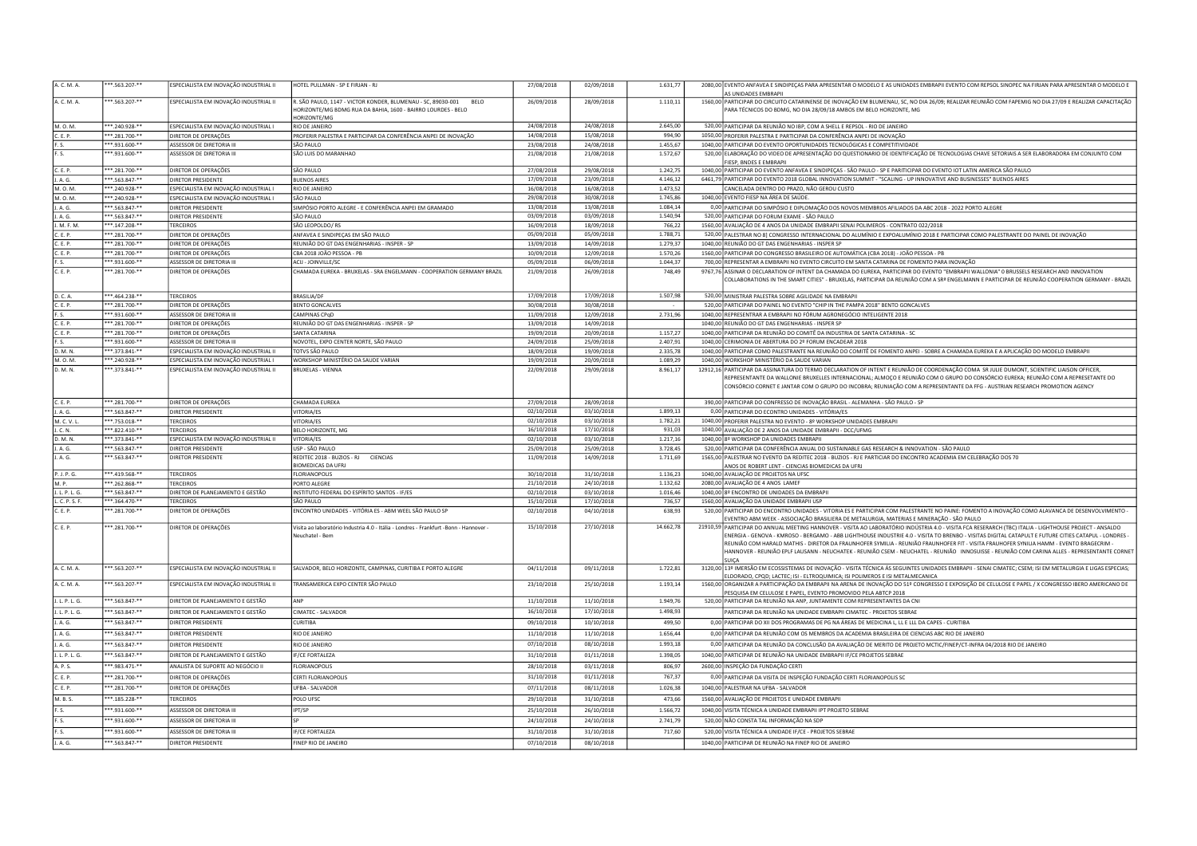| A. C. M. A.          | **.563.207-**                    | ESPECIALISTA EM INOVAÇÃO INDUSTRIAL II                      | HOTEL PULLMAN - SP E FIRJAN - RJ                                                    | 27/08/2018               | 02/09/2018               | 1.631,77             | 2080,00 EVENTO ANFAVEA E SINDIPEÇAS PARA APRESENTAR O MODELO E AS UNIDADES EMBRAPII EVENTO COM REPSOL SINOPEC NA FIRIAN PARA APRESENTAR O MODELO E                                                                                                                                              |
|----------------------|----------------------------------|-------------------------------------------------------------|-------------------------------------------------------------------------------------|--------------------------|--------------------------|----------------------|-------------------------------------------------------------------------------------------------------------------------------------------------------------------------------------------------------------------------------------------------------------------------------------------------|
|                      |                                  |                                                             |                                                                                     |                          |                          |                      | AS UNIDADES EMBRAPII                                                                                                                                                                                                                                                                            |
| A. C. M. A.          | **.563.207-**                    | ESPECIALISTA EM INOVAÇÃO INDUSTRIAL II                      | R. SÃO PAULO, 1147 - VICTOR KONDER, BLUMENAU - SC, 89030-001<br><b>BELO</b>         | 26/09/2018               | 28/09/2018               | 1.110,11             | 1560,00 PARTICIPAR DO CIRCUITO CATARINENSE DE INOVAÇÃO EM BLUMENAU, SC, NO DIA 26/09; REALIZAR REUNIÃO COM FAPEMIG NO DIA 27/09 E REALIZAR CAPACITAÇÃO<br>PARA TÉCNICOS DO BDMG. NO DIA 28/09/18 AMBOS EM BELO HORIZONTE. MG                                                                    |
|                      |                                  |                                                             | IORIZONTE/MG BDMG RUA DA BAHIA, 1600 - BAIRRO LOURDES - BELO<br>HORIZONTE/MG        |                          |                          |                      |                                                                                                                                                                                                                                                                                                 |
| M. O. M.             | **.240.928-**                    | ESPECIALISTA EM INOVAÇÃO INDUSTRIAL I                       | RIO DE JANEIRO                                                                      | 24/08/2018               | 24/08/2018               | 2.645,00             | 520,00 PARTICIPAR DA REUNIÃO NO IBP, COM A SHELL E REPSOL - RIO DE JANEIRO                                                                                                                                                                                                                      |
| C. E. P.             | **.281.700-**                    | DIRETOR DE OPERAÇÕES                                        | PROFERIR PALESTRA E PARTICIPAR DA CONFERÊNCIA ANPEI DE INOVAÇÃO                     | 14/08/2018               | 15/08/2018               | 994,90               | 1050,00 PROFERIR PALESTRA E PARTICIPAR DA CONFERÊNCIA ANPEI DE INOVAÇÃO                                                                                                                                                                                                                         |
| F.S.                 | **.931.600-**                    | ASSESSOR DE DIRETORIA III                                   | SÃO PAULO                                                                           | 23/08/2018               | 24/08/2018               | 1.455,67             | 1040,00 PARTICIPAR DO EVENTO OPORTUNIDADES TECNOLÓGICAS E COMPETITIVIDADE                                                                                                                                                                                                                       |
| F. S.                | **.931.600-**                    | ASSESSOR DE DIRETORIA III                                   | SÃO LUIS DO MARANHAO                                                                | 21/08/2018               | 21/08/2018               | 1.572,67             | 520,00 ELABORAÇÃO DO VIDEO DE APRESENTAÇÃO DO QUESTIONARIO DE IDENTIFICAÇÃO DE TECNOLOGIAS CHAVE SETORIAIS A SER ELABORADORA EM CONJUNTO COM                                                                                                                                                    |
|                      |                                  |                                                             |                                                                                     |                          |                          |                      | FIESP, BNDES E EMBRAPII                                                                                                                                                                                                                                                                         |
| C. E. P.             | **.281.700-**                    | DIRETOR DE OPERAÇÕES                                        | SÃO PAULO                                                                           | 27/08/2018               | 29/08/2018               | 1.242,75             | 1040,00 PARTICIPAR DO EVENTO ANFAVEA E SINDIPEÇAS - SÃO PAULO - SP E PARITICIPAR DO EVENTO IOT LATIN AMERICA SÃO PAULO                                                                                                                                                                          |
| J. A. G.             | **.563.847-**                    | DIRETOR PRESIDENTE                                          | <b>BUENOS AIRES</b>                                                                 | 17/09/2018               | 23/09/2018               | 4.146,12<br>1.473.52 | 6461,79 PARTICIPAR DO EVENTO 2018 GLOBAL INNOVATION SUMMIT - "SCALING - UP INNOVATIVE AND BUSINESSES" BUENOS AIRES                                                                                                                                                                              |
| M. O. M.             | **.240.928-**                    | ESPECIALISTA EM INOVAÇÃO INDUSTRIAL I                       | RIO DE JANEIRO                                                                      | 16/08/2018<br>29/08/2018 | 16/08/2018<br>30/08/2018 | 1.745,86             | CANCELADA DENTRO DO PRAZO, NÃO GEROU CUSTO<br>1040,00 EVENTO FIESP NA ÁREA DE SAÚDE.                                                                                                                                                                                                            |
| M. O. M.<br>J. A. G. | **.240.928-**<br>**.563.847-**   | ESPECIALISTA EM INOVAÇÃO INDUSTRIAL I<br>DIRETOR PRESIDENTE | SÃO PAULO<br>SIMPÓSIO PORTO ALEGRE - E CONFERÊNCIA ANPEI EM GRAMADO                 | 13/08/2018               | 13/08/2018               | 1.084.14             | 0,00 PARTICIPAR DO SIMPÓSIO E DIPLOMAÇÃO DOS NOVOS MEMBROS AFILIADOS DA ABC 2018 - 2022 PORTO ALEGRE                                                                                                                                                                                            |
| J. A. G.             | **.563.847-**                    | DIRETOR PRESIDENTE                                          | SÃO PAULO                                                                           | 03/09/2018               | 03/09/2018               | 1.540,94             | 520,00 PARTICIPAR DO FORUM EXAME - SÃO PAULO                                                                                                                                                                                                                                                    |
| J. M. F. M.          | $*$ .147.208-**                  | <b>FERCEIROS</b>                                            | SÃO LEOPOLDO/RS                                                                     | 16/09/2018               | 18/09/2018               | 766,22               | 1560,00 AVALIAÇÃO DE 4 ANOS DA UNIDADE EMBRAPII SENAI POLIMEROS - CONTRATO 022/2018                                                                                                                                                                                                             |
| C. E. P.             | **.281.700-**                    | DIRETOR DE OPERAÇÕES                                        | ANFAVEA E SINDIPEÇAS EM SÃO PAULO                                                   | 05/09/2018               | 05/09/2018               | 1.788,71             | 520,00 PALESTRAR NO 8] CONGRESSO INTERNACIONAL DO ALUMÍNIO E EXPOALUMÍNIO 2018 E PARTICIPAR COMO PALESTRANTE DO PAINEL DE INOVAÇÃO                                                                                                                                                              |
| C.F.P.               | *.281.700-**                     | DIRETOR DE OPERAÇÕES                                        | REUNIÃO DO GT DAS ENGENHARIAS - INSPER - SP                                         | 13/09/2018               | 14/09/2018               | 1.279,37             | 1040,00 REUNIÃO DO GT DAS ENGENHARIAS - INSPER SP                                                                                                                                                                                                                                               |
| C. E. P.             | *.281.700-**                     | DIRETOR DE OPERAÇÕES                                        | CBA 2018 JOÃO PESSOA - PB                                                           | 10/09/2018               | 12/09/2018               | 1.570,26             | 1560,00 PARTICIPAR DO CONGRESSO BRASILEIRO DE AUTOMÁTICA (CBA 2018) - JOÃO PESSOA - PB                                                                                                                                                                                                          |
| IF.S.                | **.931.600-**                    | ASSESSOR DE DIRETORIA II                                    | ACIJ - JOINVILLE/SC                                                                 | 05/09/2018               | 06/09/2018               | 1.044,37             | 700,00 REPRESENTAR A EMBRAPII NO EVENTO CIRCUITO EM SANTA CATARINA DE FOMENTO PARA INOVAÇÃO                                                                                                                                                                                                     |
| C.E.P.               | **.281.700-**                    | DIRETOR DE OPERAÇÕES                                        | CHAMADA EUREKA - BRUXELAS - SRA ENGELMANN - COOPERATION GERMANY BRAZIL              | 21/09/2018               | 26/09/2018               | 748,49               | 9767,76 ASSINAR O DECLARATION OF INTENT DA CHAMADA DO EUREKA, PARTICIPAR DO EVENTO "EMBRAPII WALLONIA" O BRUSSELS RESEARCH AND INNOVATION                                                                                                                                                       |
|                      |                                  |                                                             |                                                                                     |                          |                          |                      | COLLABORATIONS IN THE SMART CITIES" - BRUXELAS, PARTICIPAR DA REUNIÃO COM A SRª ENGELMANN E PARTICIPAR DE REUNIÃO COOPERATION GERMANY - BRAZIL                                                                                                                                                  |
|                      |                                  |                                                             |                                                                                     |                          |                          |                      |                                                                                                                                                                                                                                                                                                 |
| D. C. A.             | ** 464.238-**                    | <b>TERCEIROS</b>                                            | <b>BRASILIA/DF</b>                                                                  | 17/09/2018               | 17/09/2018               | 1.507,98             | 520.00 MINISTRAR PALESTRA SOBRE AGILIDADE NA EMBRAPII                                                                                                                                                                                                                                           |
| C. E. P.<br>F.S.     | **.281.700-**                    | DIRETOR DE OPERAÇÕES                                        | <b>BENTO GONCALVES</b><br><b>AMPINAS CPGD</b>                                       | 30/08/2018<br>11/09/2018 | 30/08/2018<br>12/09/2018 | 2.731,96             | 520,00 PARTICIPAR DO PAINEL NO EVENTO "CHIP IN THE PAMPA 2018" BENTO GONCALVES                                                                                                                                                                                                                  |
| C. E. P.             | **.931.600-**                    | ASSESSOR DE DIRETORIA III                                   |                                                                                     |                          |                          |                      | 1040,00 REPRESENTRAR A EMBRAPII NO FÓRUM AGRONEGÓCIO INTELIGENTE 2018                                                                                                                                                                                                                           |
| C.F.P.               | **.281.700-**<br>$**.281.700***$ | DIRETOR DE OPERAÇÕES                                        | REUNIÃO DO GT DAS ENGENHARIAS - INSPER - SP<br>SANTA CATARINA                       | 13/09/2018<br>19/09/2018 | 14/09/2018<br>20/09/2018 | 1.157,27             | 1040,00 REUNIÃO DO GT DAS ENGENHARIAS - INSPER SP<br>1040,00 PARTICIPAR DA REUNIÃO DO COMITÊ DA INDUSTRIA DE SANTA CATARINA - SC                                                                                                                                                                |
| E.S.                 | **.931.600-**                    | DIRETOR DE OPERAÇÕES<br>ASSESSOR DE DIRETORIA III           | NOVOTEL, EXPO CENTER NORTE, SÃO PAULO                                               | 24/09/2018               | 25/09/2018               | 2.407,91             | 1040,00 CERIMONIA DE ABERTURA DO 2º FORUM ENCADEAR 2018                                                                                                                                                                                                                                         |
| D.M.N.               | **.373.841-**                    | ESPECIALISTA EM INOVACÃO INDUSTRIAL II                      | TOTVS SÃO PAULO                                                                     | 18/09/2018               | 19/09/2018               | 2.335,78             | 1040,00 PARTICIPAR COMO PALESTRANTE NA REUNIÃO DO COMITÊ DE FOMENTO ANPEI - SOBRE A CHAMADA EUREKA E A APLICAÇÃO DO MODELO EMBRAPII                                                                                                                                                             |
| <b>M.O.M.</b>        | *.240.928-**                     | SPECIALISTA EM INOVAÇÃO INDUSTRIAL I                        | WORKSHOP MINISTÉRIO DA SAUDE VARIAN                                                 | 19/09/2018               | 20/09/2018               | 1.089,29             | 1040.00 WORKSHOP MINISTÉRIO DA SAUDE VARIAN                                                                                                                                                                                                                                                     |
| D.M.N.               | **.373.841-**                    | ESPECIALISTA EM INOVAÇÃO INDUSTRIAL II                      | <b>BRUXELAS - VIENNA</b>                                                            | 22/09/2018               | 29/09/2018               | 8.961,17             | 12912,16 PARTICIPAR DA ASSINATURA DO TERMO DECLARATION OF INTENT E REUNIÃO DE COORDENAÇÃO COMA SR JULIE DUMONT, SCIENTIFIC LIAISON OFFICER,                                                                                                                                                     |
|                      |                                  |                                                             |                                                                                     |                          |                          |                      | REPRESENTANTE DA WALLONIE BRUXELLES INTERNACIONAL; ALMOÇO E REUNIÃO COM O GRUPO DO CONSÓRCIO EUREKA; REUNIÃO COM A REPRESETANTE DO<br>CONSÓRCIO CORNET E JANTAR COM O GRUPO DO INCOBRA; REUNIAÇÃO COM A REPRESENTANTE DA FFG - AUSTRIAN RESEARCH PROMOTION AGENCY                               |
| C. E. P.             | **.281.700-**                    |                                                             | CHAMADA EUREKA                                                                      | 27/09/2018               | 28/09/2018               |                      |                                                                                                                                                                                                                                                                                                 |
| J. A. G.             | * 563.847-**                     | DIRETOR DE OPERAÇÕES<br>DIRETOR PRESIDENTE                  | VITORIA/ES                                                                          | 02/10/2018               | 03/10/2018               | 1.899.13             | 390,00 PARTICIPAR DO CONFRESSO DE INOVAÇÃO BRASIL - ALEMANHA - SÃO PAULO - SP<br>0,00 PARTICIPAR DO ECONTRO UNIDADES - VITÓRIA/ES                                                                                                                                                               |
| M. C. V. L.          | **.753.018-**                    | <b>TERCEIROS</b>                                            | VITORIA/ES                                                                          | 02/10/2018               | 03/10/2018               | 1.782,21             | 1040,00 PROFERIR PALESTRA NO EVENTO - 8º WORKSHOP UNIDADES EMBRAPII                                                                                                                                                                                                                             |
| J. C. N.             | **.822.410-**                    | TERCEIROS                                                   | BELO HORIZONTE, MG                                                                  | 16/10/2018               | 17/10/2018               | 931,03               | 1040,00 AVALIAÇÃO DE 2 ANOS DA UNIDADE EMBRAPII - DCC/UFMG                                                                                                                                                                                                                                      |
| D. M. N.             | **.373.841-**                    | ESPECIALISTA EM INOVAÇÃO INDUSTRIAL II                      | VITORIA/ES                                                                          | 02/10/2018               | 03/10/2018               | 1.217,16             | 1040,00 8º WORKSHOP DA UNIDADES EMBRAPII                                                                                                                                                                                                                                                        |
| J. A. G.             | **.563.847-**                    | DIRETOR PRESIDENTE                                          | USP - SÃO PAULO                                                                     | 25/09/2018               | 25/09/2018               | 3.728,45             | 520,00 PARTICIPAR DA CONFERÊNCIA ANUAL DO SUSTAINABLE GAS RESEARCH & INNOVATION - SÃO PAULO                                                                                                                                                                                                     |
|                      |                                  | DIRETOR PRESIDENTE                                          | REDITEC 2018 - BUZIOS - RJ CIENCIAS                                                 | 11/09/2018               | 14/09/2018               | 1.711,69             |                                                                                                                                                                                                                                                                                                 |
| J. A. G.             | **.563.847-**                    |                                                             | BIOMEDICAS DA UFRJ                                                                  |                          |                          |                      | 1565,00 PALESTRAR NO EVENTO DA REDITEC 2018 - BUZIOS - RJ E PARTICIAR DO ENCONTRO ACADEMIA EM CELEBRAÇÃO DOS 70                                                                                                                                                                                 |
| P. J. P. G.          | **.419.568-**                    | <b>TERCEIROS</b>                                            | FLORIANOPOLIS                                                                       | 30/10/2018               | 31/10/2018               | 1.136,23             | ANOS DE ROBERT LENT - CIENCIAS BIOMEDICAS DA UFRJ<br>1040,00 AVALIAÇÃO DE PROJETOS NA UFSC                                                                                                                                                                                                      |
| M. P.                | **.262.868-**                    | <b>TERCEIROS</b>                                            | PORTO ALEGRE                                                                        | 21/10/2018               | 24/10/2018               | 1.132.62             |                                                                                                                                                                                                                                                                                                 |
| J. L. P. L. G.       | *.563.847-**                     | DIRETOR DE PLANEJAMENTO E GESTÃO                            | INSTITUTO FEDERAL DO ESPÍRITO SANTOS - IF/ES                                        | 02/10/2018               | 03/10/2018               | 1.016,46             | 2080,00 AVALIAÇÃO DE 4 ANOS LAMEF<br>1040,00 8º ENCONTRO DE UNIDADES DA EMBRAPII                                                                                                                                                                                                                |
| L. C. P. S. F.       | **.364.470-**                    | <b>TERCEIROS</b>                                            | SÃO PAULO                                                                           | 15/10/2018               | 17/10/2018               | 736,57               | 1560.00 AVALIAÇÃO DA UNIDADE EMBRAPII USP                                                                                                                                                                                                                                                       |
| C. E. P.             | **.281.700-**                    | DIRETOR DE OPERAÇÕES                                        | ENCONTRO UNIDADES - VITÓRIA ES - ABM WEEL SÃO PAULO SP                              | 02/10/2018               | 04/10/2018               | 638,93               | 520,00 PARTICIPAR DO ENCONTRO UNIDADES - VITORIA ES E PARTICIPAR COM PALESTRANTE NO PAINE: FOMENTO A INOVAÇÃO COMO ALAVANCA DE DESENVOLVIMENTO -<br>VENTRO ABM WEEK - ASSOCIAÇÃO BRASILIERA DE METALURGIA, MATERIAS E MINERAÇÃO - SÃO PAULO                                                     |
| C. E. P.             | **.281.700-**                    | DIRETOR DE OPERAÇÕES                                        | Visita ao laboratório Industria 4.0 - Itália - Londres - Frankfurt -Bonn - Hannover | 15/10/2018               | 27/10/2018               | 14.662,78            | 21910,59 PARTICIPAR DO ANNUAL MEETING HANNOVER - VISITA AO LABORATÓRIO INDÚSTRIA 4.0 - VISITA FCA RESERARCH (TBC) ITALIA - LIGHTHOUSE PROJECT - ANSALDO                                                                                                                                         |
|                      |                                  |                                                             | <b>Jeuchatel - Berr</b>                                                             |                          |                          |                      | NERGIA - GENOVA - KMROSO - BERGAMO - ABB LIGHTHOUSE INDUSTRIE 4.0 - VISITA TO BRENBO - VISITAS DIGITAL CATAPULT E FUTURE CITIES CATAPUL - LONDRES -<br>REUNIÃO COM HARAI D MATHIS - DIRETOR DA FRAUNHOFFR SYMILIA - REUNIÃO FRAUNHOFFR FIT - VISITA FRAUHOFFR SYNILIA HAMM - EVENTO BRAGECRIM - |
|                      |                                  |                                                             |                                                                                     |                          |                          |                      | HANNOVER - REUNIÃO EPLF LAUSANN - NEUCHATEK - REUNIÃO CSEM - NEUCHATEL - REUNIÃO INNOSUISSE - REUNIÃO COM CARINA ALLES - REPRESENTANTE CORNET                                                                                                                                                   |
|                      |                                  |                                                             |                                                                                     |                          |                          |                      |                                                                                                                                                                                                                                                                                                 |
| A.C.M.A              | * 563.207-**                     | ESPECIALISTA EM INOVACÃO INDUSTRIAL II                      | SALVADOR, BELO HORIZONTE, CAMPINAS, CURITIBA E PORTO ALEGRE                         | 04/11/2018               | 09/11/2018               | 1.722.81             | 3120,00 139 IMERSÃO EM ECOSSISTEMAS DE INOVAÇÃO - VISITA TÉCNICA ÁS SEGUINTES UNIDADES EMBRAPII - SENAI CIMATEC; CSEM; ISI EM METALURGIA E LIGAS ESPECIAS;                                                                                                                                      |
| A. C. M. A.          | **.563.207-**                    | ESPECIALISTA EM INOVAÇÃO INDUSTRIAL II                      | TRANSAMERICA EXPO CENTER SÃO PAULO                                                  | 23/10/2018               | 25/10/2018               | 1.193,14             | ELDORADO, CPQD; LACTEC; ISI - ELTROQUIMICA; ISI POLIMEROS E ISI METALMECANICA<br>1560,00 ORGANIZAR A PARTICIPAÇÃO DA EMBRAPII NA ARENA DE INOVAÇÃO DO 51º CONGRESSO E EXPOSIÇÃO DE CELULOSE E PAPEL / X CONGRESSO IBERO AMERICANO DE                                                            |
|                      |                                  |                                                             |                                                                                     |                          |                          |                      | PESQUISA EM CELULOSE E PAPEL, EVENTO PROMOVIDO PELA ABTCP 2018                                                                                                                                                                                                                                  |
| J. L. P. L. G.       | *.563.847-**                     | DIRETOR DE PLANEJAMENTO E GESTÃO                            | ANP                                                                                 | 11/10/2018               | 11/10/2018               | 1.949,76             | 520,00 PARTICIPAR DA REUNIÃO NA ANP, JUNTAMENTE COM REPRESENTANTES DA CNI                                                                                                                                                                                                                       |
| J. L. P. L. G.       | *.563.847-**                     | DIRETOR DE PLANEJAMENTO E GESTÃO                            | CIMATEC - SALVADOR                                                                  | 16/10/2018               | 17/10/2018               | 1.498.93             | PARTICIPAR DA REUNIÃO NA UNIDADE EMBRAPII CIMATEC - PROJETOS SEBRAE                                                                                                                                                                                                                             |
| J. A. G.             | **.563.847-**                    | DIRETOR PRESIDENTE                                          | <b>CURITIBA</b>                                                                     | 09/10/2018               | 10/10/2018               | 499,50               | 0,00 PARTICIPAR DO XII DOS PROGRAMAS DE PG NA ÁREAS DE MEDICINA L, LL E LLL DA CAPES - CURITIBA                                                                                                                                                                                                 |
| J. A. G.             | **.563.847-**                    | DIRETOR PRESIDENTE                                          | RIO DE JANEIRO                                                                      | 11/10/2018               | 11/10/2018               | 1.656,44             | 0.00 PARTICIPAR DA REUNIÃO COM OS MEMBROS DA ACADEMIA BRASILEIRA DE CIENCIAS ABC RIO DE JANEIRO                                                                                                                                                                                                 |
| LAG.                 | * 563.847-**                     | DIRETOR PRESIDENTE                                          | <b>RIO DE JANEIRO</b>                                                               | 07/10/2018               | 08/10/2018               | 1.993.18             | 0,00 PARTICIPAR DA REUNIÃO DA CONCLUSÃO DA AVALIAÇÃO DE MERITO DE PROJETO MCTIC/FINEP/CT-INFRA 04/2018 RIO DE JANEIRO                                                                                                                                                                           |
| 1.1.9.1.6            | * 563.847-**                     | DIRETOR DE PLANEJAMENTO E GESTÃO                            | <b>IF/CE FORTALEZA</b>                                                              | 31/10/2018               | 01/11/2018               | 1.398,05             | 1040,00 PARTICIPAR DE REUNIÃO NA UNIDADE EMBRAPII IF/CE PROJETOS SEBRAE                                                                                                                                                                                                                         |
| A. P. S.             | *.983.471-**                     | ANALISTA DE SUPORTE AO NEGÓCIO II                           | LORIANOPOLIS                                                                        | 28/10/2018               | 03/11/2018               | 806,97               | 2600.00 INSPECÃO DA FUNDAÇÃO CERTI                                                                                                                                                                                                                                                              |
| C. E. P.             | **.281.700-**                    | DIRETOR DE OPERAÇÕES                                        | CERTI FLORIANOPOLIS                                                                 | 31/10/2018               | 01/11/2018               | 767,37               | 0,00 PARTICIPAR DA VISITA DE INSPEÇÃO FUNDAÇÃO CERTI FLORIANOPOLIS SC                                                                                                                                                                                                                           |
| C.E.P.               | $*$ .281.700-**                  | DIRETOR DE OPERAÇÕES                                        | <b>UFBA - SALVADOR</b>                                                              | 07/11/2018               | 08/11/2018               | 1.026,38             | 1040.00 PALESTRAR NA UFBA - SALVADOR                                                                                                                                                                                                                                                            |
|                      |                                  |                                                             |                                                                                     |                          |                          |                      |                                                                                                                                                                                                                                                                                                 |
| M. B. S.             | **.185.228-**                    | ERCEIROS                                                    | POLO UFSC                                                                           | 29/10/2018               | 31/10/2018               | 473.66               | 1560,00 AVALIAÇÃO DE PROJETOS E UNIDADE EMBRAPII                                                                                                                                                                                                                                                |
| F. S.                | **.931.600-**                    | ASSESSOR DE DIRETORIA III                                   | IPT/SP                                                                              | 25/10/2018               | 26/10/2018               | 1.566,72             | 1040,00 VISITA TÉCNICA A UNIDADE EMBRAPII IPT PROJETO SEBRAE                                                                                                                                                                                                                                    |
| F. S.                | **.931.600-**                    | ASSESSOR DE DIRETORIA III                                   |                                                                                     | 24/10/2018               | 24/10/2018               | 2.741,79             | 520,00 NÃO CONSTA TAL INFORMAÇÃO NA SDP                                                                                                                                                                                                                                                         |
| IF.S.<br>J. A. G.    | **.931.600-**<br>**.563.847-**   | ASSESSOR DE DIRETORIA III<br>DIRETOR PRESIDENTE             | <b>IF/CE FORTALEZA</b><br>FINEP RIO DE JANEIRO                                      | 31/10/2018<br>07/10/2018 | 31/10/2018<br>08/10/2018 | 717.60               | 520,00 VISITA TÉCNICA A UNIDADE IF/CE - PROJETOS SEBRAE<br>1040,00 PARTICIPAR DE REUNIÃO NA FINEP RIO DE JANEIRO                                                                                                                                                                                |